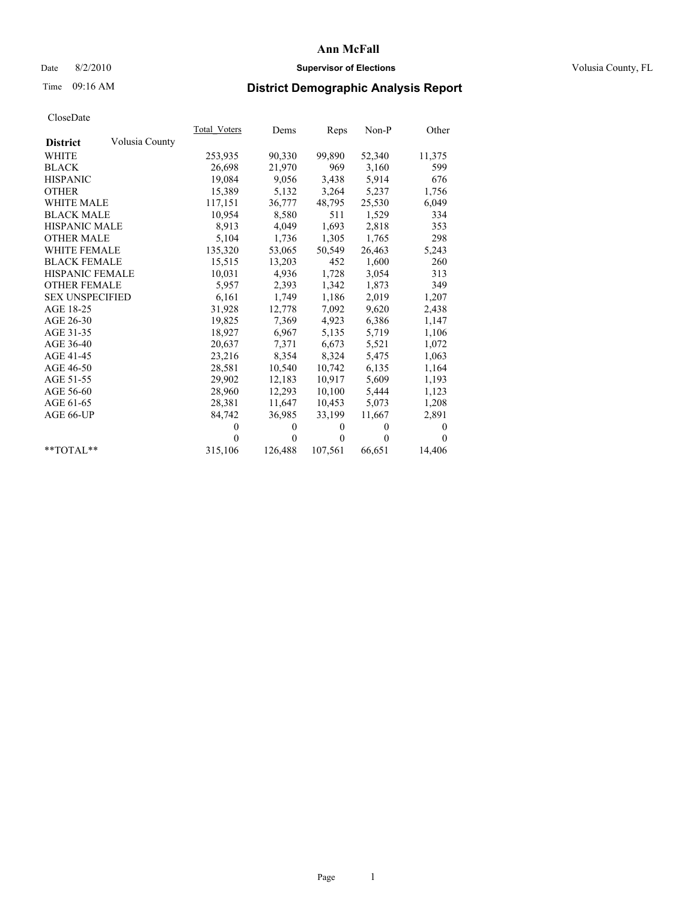## Date 8/2/2010 **Supervisor of Elections Supervisor of Elections** Volusia County, FL

# Time 09:16 AM **District Demographic Analysis Report**

|                                   | Total Voters | Dems         | Reps         | Non-P        | Other        |
|-----------------------------------|--------------|--------------|--------------|--------------|--------------|
| Volusia County<br><b>District</b> |              |              |              |              |              |
| <b>WHITE</b>                      | 253,935      | 90,330       | 99,890       | 52,340       | 11,375       |
| <b>BLACK</b>                      | 26,698       | 21,970       | 969          | 3,160        | 599          |
| <b>HISPANIC</b>                   | 19,084       | 9,056        | 3,438        | 5,914        | 676          |
| <b>OTHER</b>                      | 15,389       | 5,132        | 3,264        | 5,237        | 1,756        |
| <b>WHITE MALE</b>                 | 117,151      | 36,777       | 48,795       | 25,530       | 6,049        |
| <b>BLACK MALE</b>                 | 10,954       | 8,580        | 511          | 1,529        | 334          |
| <b>HISPANIC MALE</b>              | 8,913        | 4,049        | 1,693        | 2,818        | 353          |
| <b>OTHER MALE</b>                 | 5,104        | 1,736        | 1,305        | 1,765        | 298          |
| <b>WHITE FEMALE</b>               | 135,320      | 53,065       | 50,549       | 26,463       | 5,243        |
| <b>BLACK FEMALE</b>               | 15,515       | 13,203       | 452          | 1,600        | 260          |
| HISPANIC FEMALE                   | 10,031       | 4,936        | 1,728        | 3,054        | 313          |
| <b>OTHER FEMALE</b>               | 5,957        | 2,393        | 1,342        | 1,873        | 349          |
| <b>SEX UNSPECIFIED</b>            | 6,161        | 1,749        | 1,186        | 2,019        | 1,207        |
| AGE 18-25                         | 31,928       | 12,778       | 7,092        | 9,620        | 2,438        |
| AGE 26-30                         | 19,825       | 7,369        | 4,923        | 6,386        | 1,147        |
| AGE 31-35                         | 18,927       | 6,967        | 5,135        | 5,719        | 1,106        |
| AGE 36-40                         | 20,637       | 7,371        | 6,673        | 5,521        | 1,072        |
| AGE 41-45                         | 23,216       | 8,354        | 8,324        | 5,475        | 1,063        |
| AGE 46-50                         | 28,581       | 10,540       | 10,742       | 6,135        | 1,164        |
| AGE 51-55                         | 29,902       | 12,183       | 10,917       | 5,609        | 1,193        |
| AGE 56-60                         | 28,960       | 12,293       | 10,100       | 5,444        | 1,123        |
| AGE 61-65                         | 28,381       | 11,647       | 10,453       | 5,073        | 1,208        |
| AGE 66-UP                         | 84,742       | 36,985       | 33,199       | 11,667       | 2,891        |
|                                   | $\mathbf{0}$ | $\mathbf{0}$ | $\mathbf{0}$ | $\mathbf{0}$ | $\mathbf{0}$ |
|                                   | $\Omega$     | $\mathbf{0}$ | $\theta$     | $\theta$     | $\Omega$     |
| $*$ $TOTAI.**$                    | 315,106      | 126,488      | 107,561      | 66,651       | 14,406       |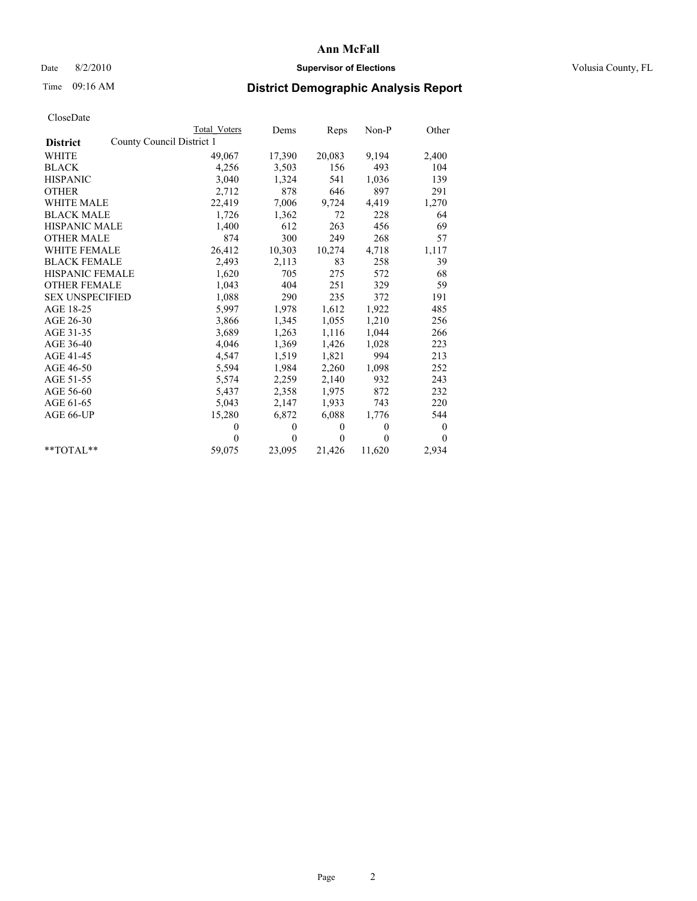## Date 8/2/2010 **Supervisor of Elections Supervisor of Elections** Volusia County, FL

# Time 09:16 AM **District Demographic Analysis Report**

|                        | <b>Total Voters</b>       | Dems         | Reps         | $Non-P$      | Other    |
|------------------------|---------------------------|--------------|--------------|--------------|----------|
| <b>District</b>        | County Council District 1 |              |              |              |          |
| <b>WHITE</b>           | 49,067                    | 17,390       | 20,083       | 9,194        | 2,400    |
| <b>BLACK</b>           | 4,256                     | 3,503        | 156          | 493          | 104      |
| <b>HISPANIC</b>        | 3,040                     | 1,324        | 541          | 1,036        | 139      |
| <b>OTHER</b>           | 2,712                     | 878          | 646          | 897          | 291      |
| <b>WHITE MALE</b>      | 22,419                    | 7,006        | 9,724        | 4,419        | 1,270    |
| <b>BLACK MALE</b>      | 1,726                     | 1,362        | 72           | 228          | 64       |
| <b>HISPANIC MALE</b>   | 1,400                     | 612          | 263          | 456          | 69       |
| <b>OTHER MALE</b>      | 874                       | 300          | 249          | 268          | 57       |
| WHITE FEMALE           | 26,412                    | 10,303       | 10,274       | 4,718        | 1,117    |
| <b>BLACK FEMALE</b>    | 2,493                     | 2,113        | 83           | 258          | 39       |
| HISPANIC FEMALE        | 1,620                     | 705          | 275          | 572          | 68       |
| <b>OTHER FEMALE</b>    | 1,043                     | 404          | 251          | 329          | 59       |
| <b>SEX UNSPECIFIED</b> | 1,088                     | 290          | 235          | 372          | 191      |
| AGE 18-25              | 5,997                     | 1,978        | 1,612        | 1,922        | 485      |
| AGE 26-30              | 3,866                     | 1,345        | 1,055        | 1,210        | 256      |
| AGE 31-35              | 3,689                     | 1,263        | 1,116        | 1,044        | 266      |
| AGE 36-40              | 4,046                     | 1,369        | 1,426        | 1,028        | 223      |
| AGE 41-45              | 4,547                     | 1,519        | 1,821        | 994          | 213      |
| AGE 46-50              | 5,594                     | 1,984        | 2,260        | 1,098        | 252      |
| AGE 51-55              | 5,574                     | 2,259        | 2,140        | 932          | 243      |
| AGE 56-60              | 5,437                     | 2,358        | 1,975        | 872          | 232      |
| AGE 61-65              | 5,043                     | 2,147        | 1,933        | 743          | 220      |
| AGE 66-UP              | 15,280                    | 6,872        | 6,088        | 1,776        | 544      |
|                        | $\theta$                  | $\mathbf{0}$ | $\mathbf{0}$ | $\mathbf{0}$ | $\bf{0}$ |
|                        | $\theta$                  | $\theta$     | $\Omega$     | $\theta$     | $\theta$ |
| $*$ $TOTAI.**$         | 59,075                    | 23,095       | 21,426       | 11,620       | 2,934    |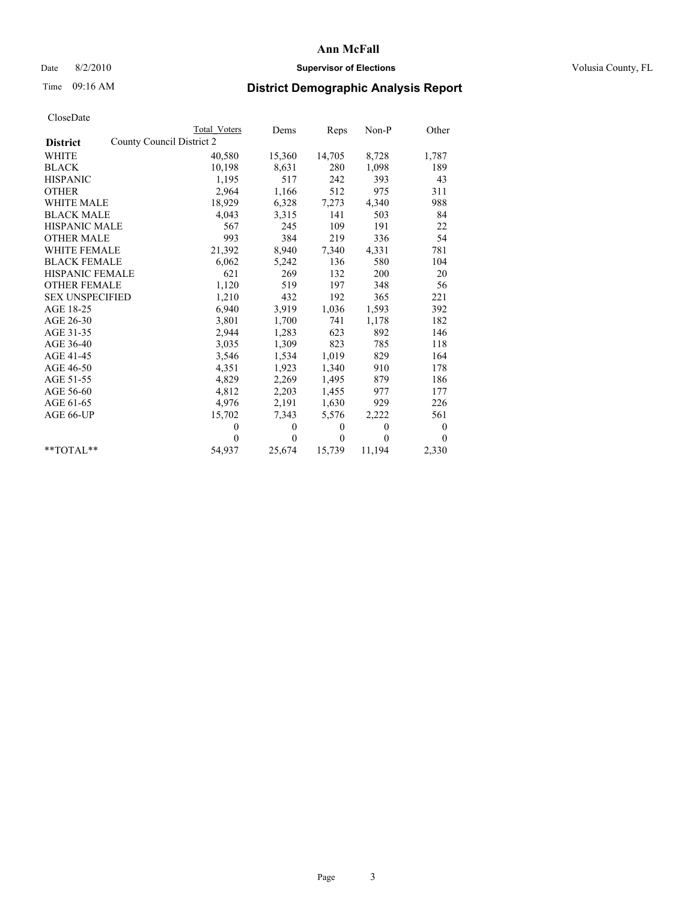## Date 8/2/2010 **Supervisor of Elections Supervisor of Elections** Volusia County, FL

# Time 09:16 AM **District Demographic Analysis Report**

|                        | <b>Total Voters</b>       | Dems         | Reps         | $Non-P$  | Other    |
|------------------------|---------------------------|--------------|--------------|----------|----------|
| <b>District</b>        | County Council District 2 |              |              |          |          |
| <b>WHITE</b>           | 40,580                    | 15,360       | 14,705       | 8,728    | 1,787    |
| <b>BLACK</b>           | 10,198                    | 8,631        | 280          | 1,098    | 189      |
| <b>HISPANIC</b>        | 1,195                     | 517          | 242          | 393      | 43       |
| <b>OTHER</b>           | 2,964                     | 1,166        | 512          | 975      | 311      |
| <b>WHITE MALE</b>      | 18,929                    | 6,328        | 7,273        | 4,340    | 988      |
| <b>BLACK MALE</b>      | 4,043                     | 3,315        | 141          | 503      | 84       |
| <b>HISPANIC MALE</b>   | 567                       | 245          | 109          | 191      | 22       |
| <b>OTHER MALE</b>      | 993                       | 384          | 219          | 336      | 54       |
| WHITE FEMALE           | 21,392                    | 8,940        | 7,340        | 4,331    | 781      |
| <b>BLACK FEMALE</b>    | 6,062                     | 5,242        | 136          | 580      | 104      |
| HISPANIC FEMALE        | 621                       | 269          | 132          | 200      | 20       |
| <b>OTHER FEMALE</b>    | 1,120                     | 519          | 197          | 348      | 56       |
| <b>SEX UNSPECIFIED</b> | 1,210                     | 432          | 192          | 365      | 221      |
| AGE 18-25              | 6,940                     | 3,919        | 1,036        | 1,593    | 392      |
| AGE 26-30              | 3,801                     | 1,700        | 741          | 1,178    | 182      |
| AGE 31-35              | 2,944                     | 1,283        | 623          | 892      | 146      |
| AGE 36-40              | 3,035                     | 1,309        | 823          | 785      | 118      |
| AGE 41-45              | 3,546                     | 1,534        | 1,019        | 829      | 164      |
| AGE 46-50              | 4,351                     | 1,923        | 1,340        | 910      | 178      |
| AGE 51-55              | 4,829                     | 2,269        | 1,495        | 879      | 186      |
| AGE 56-60              | 4,812                     | 2,203        | 1,455        | 977      | 177      |
| AGE 61-65              | 4,976                     | 2,191        | 1,630        | 929      | 226      |
| AGE 66-UP              | 15,702                    | 7,343        | 5,576        | 2,222    | 561      |
|                        | $\theta$                  | $\mathbf{0}$ | $\mathbf{0}$ | $\theta$ | $\bf{0}$ |
|                        | $\theta$                  | $\theta$     | $\theta$     | $\theta$ | $\theta$ |
| $*$ $TOTAI.**$         | 54,937                    | 25,674       | 15,739       | 11,194   | 2,330    |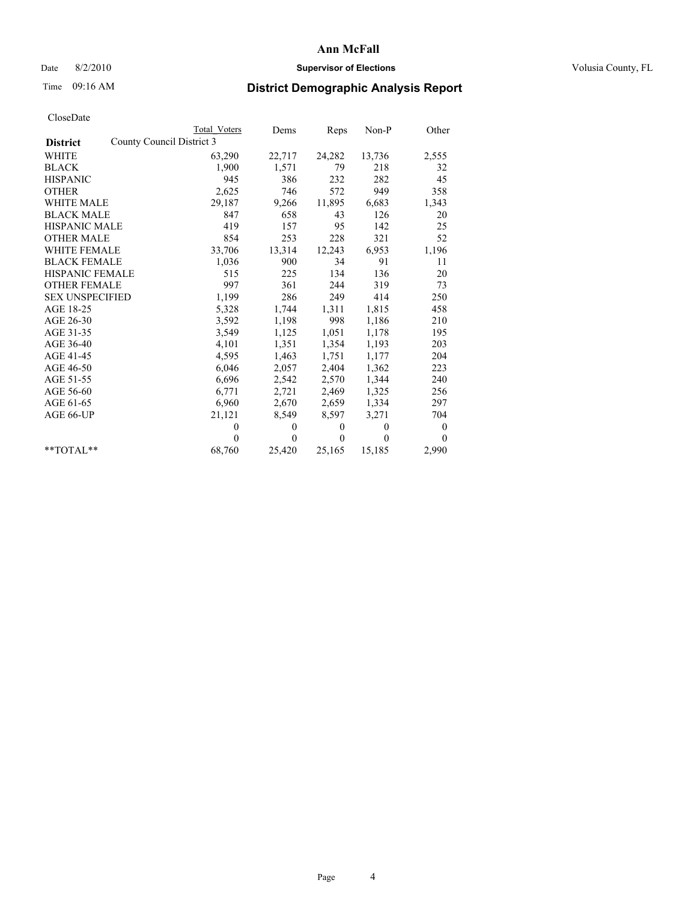## Date 8/2/2010 **Supervisor of Elections Supervisor of Elections** Volusia County, FL

# Time 09:16 AM **District Demographic Analysis Report**

|                                              | Total Voters | Dems         | Reps         | $Non-P$  | Other            |
|----------------------------------------------|--------------|--------------|--------------|----------|------------------|
| County Council District 3<br><b>District</b> |              |              |              |          |                  |
| WHITE                                        | 63,290       | 22,717       | 24,282       | 13,736   | 2,555            |
| <b>BLACK</b>                                 | 1,900        | 1,571        | 79           | 218      | 32               |
| <b>HISPANIC</b>                              | 945          | 386          | 232          | 282      | 45               |
| <b>OTHER</b>                                 | 2,625        | 746          | 572          | 949      | 358              |
| <b>WHITE MALE</b>                            | 29,187       | 9,266        | 11,895       | 6,683    | 1,343            |
| <b>BLACK MALE</b>                            | 847          | 658          | 43           | 126      | 20               |
| <b>HISPANIC MALE</b>                         | 419          | 157          | 95           | 142      | 25               |
| <b>OTHER MALE</b>                            | 854          | 253          | 228          | 321      | 52               |
| WHITE FEMALE                                 | 33,706       | 13,314       | 12,243       | 6,953    | 1,196            |
| <b>BLACK FEMALE</b>                          | 1,036        | 900          | 34           | 91       | 11               |
| HISPANIC FEMALE                              | 515          | 225          | 134          | 136      | 20               |
| <b>OTHER FEMALE</b>                          | 997          | 361          | 244          | 319      | 73               |
| <b>SEX UNSPECIFIED</b>                       | 1,199        | 286          | 249          | 414      | 250              |
| AGE 18-25                                    | 5,328        | 1,744        | 1,311        | 1,815    | 458              |
| AGE 26-30                                    | 3,592        | 1,198        | 998          | 1,186    | 210              |
| AGE 31-35                                    | 3,549        | 1,125        | 1,051        | 1,178    | 195              |
| AGE 36-40                                    | 4,101        | 1,351        | 1,354        | 1,193    | 203              |
| AGE 41-45                                    | 4,595        | 1,463        | 1,751        | 1,177    | 204              |
| AGE 46-50                                    | 6,046        | 2,057        | 2,404        | 1,362    | 223              |
| AGE 51-55                                    | 6,696        | 2,542        | 2,570        | 1,344    | 240              |
| AGE 56-60                                    | 6,771        | 2,721        | 2,469        | 1,325    | 256              |
| AGE 61-65                                    | 6,960        | 2,670        | 2,659        | 1,334    | 297              |
| AGE 66-UP                                    | 21,121       | 8,549        | 8,597        | 3,271    | 704              |
|                                              | $\mathbf{0}$ | $\mathbf{0}$ | $\mathbf{0}$ | $\theta$ | $\boldsymbol{0}$ |
|                                              | $\Omega$     | $\theta$     | $\theta$     | $\theta$ | $\theta$         |
| $*$ $TOTAI.**$                               | 68,760       | 25,420       | 25,165       | 15,185   | 2,990            |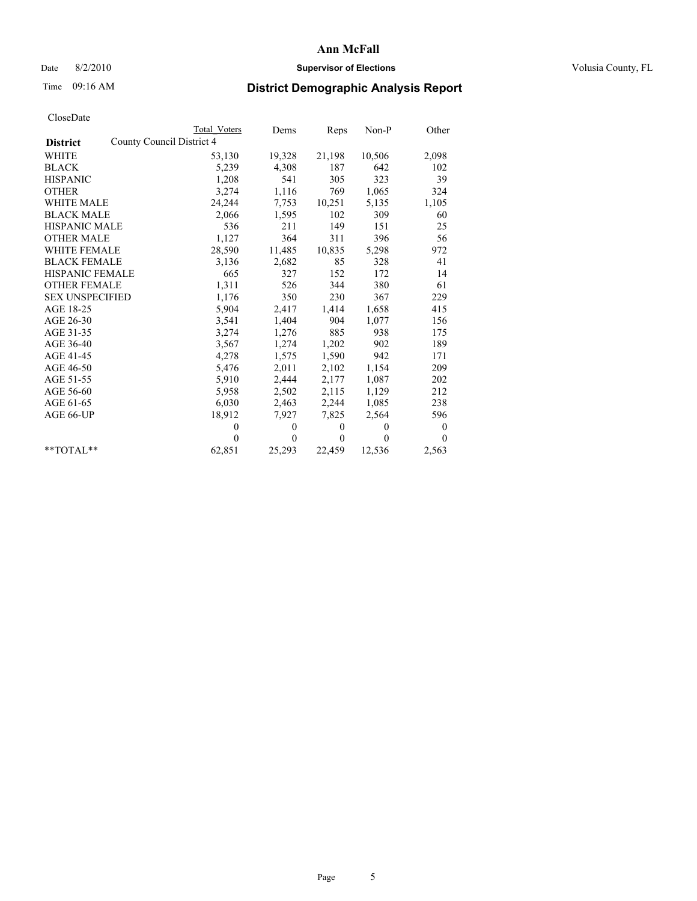## Date 8/2/2010 **Supervisor of Elections Supervisor of Elections** Volusia County, FL

# Time 09:16 AM **District Demographic Analysis Report**

|                                              | Total Voters | Dems     | Reps         | $Non-P$  | Other            |
|----------------------------------------------|--------------|----------|--------------|----------|------------------|
| County Council District 4<br><b>District</b> |              |          |              |          |                  |
| <b>WHITE</b>                                 | 53,130       | 19,328   | 21,198       | 10,506   | 2,098            |
| <b>BLACK</b>                                 | 5,239        | 4,308    | 187          | 642      | 102              |
| <b>HISPANIC</b>                              | 1,208        | 541      | 305          | 323      | 39               |
| <b>OTHER</b>                                 | 3,274        | 1,116    | 769          | 1,065    | 324              |
| WHITE MALE                                   | 24,244       | 7,753    | 10,251       | 5,135    | 1,105            |
| <b>BLACK MALE</b>                            | 2,066        | 1,595    | 102          | 309      | 60               |
| HISPANIC MALE                                | 536          | 211      | 149          | 151      | 25               |
| <b>OTHER MALE</b>                            | 1,127        | 364      | 311          | 396      | 56               |
| <b>WHITE FEMALE</b>                          | 28,590       | 11,485   | 10,835       | 5,298    | 972              |
| <b>BLACK FEMALE</b>                          | 3,136        | 2,682    | 85           | 328      | 41               |
| HISPANIC FEMALE                              | 665          | 327      | 152          | 172      | 14               |
| <b>OTHER FEMALE</b>                          | 1,311        | 526      | 344          | 380      | 61               |
| <b>SEX UNSPECIFIED</b>                       | 1,176        | 350      | 230          | 367      | 229              |
| AGE 18-25                                    | 5,904        | 2,417    | 1,414        | 1,658    | 415              |
| AGE 26-30                                    | 3,541        | 1,404    | 904          | 1,077    | 156              |
| AGE 31-35                                    | 3,274        | 1,276    | 885          | 938      | 175              |
| AGE 36-40                                    | 3,567        | 1,274    | 1,202        | 902      | 189              |
| AGE 41-45                                    | 4,278        | 1,575    | 1,590        | 942      | 171              |
| AGE 46-50                                    | 5,476        | 2,011    | 2,102        | 1,154    | 209              |
| AGE 51-55                                    | 5,910        | 2,444    | 2,177        | 1,087    | 202              |
| AGE 56-60                                    | 5,958        | 2,502    | 2,115        | 1,129    | 212              |
| AGE 61-65                                    | 6,030        | 2,463    | 2,244        | 1,085    | 238              |
| AGE 66-UP                                    | 18,912       | 7,927    | 7,825        | 2,564    | 596              |
|                                              | $\theta$     | $\theta$ | $\mathbf{0}$ | $\theta$ | $\boldsymbol{0}$ |
|                                              | $\Omega$     | $\theta$ | $\mathbf{0}$ | $\theta$ | $\theta$         |
| $*$ $TOTAI.**$                               | 62,851       | 25,293   | 22,459       | 12,536   | 2,563            |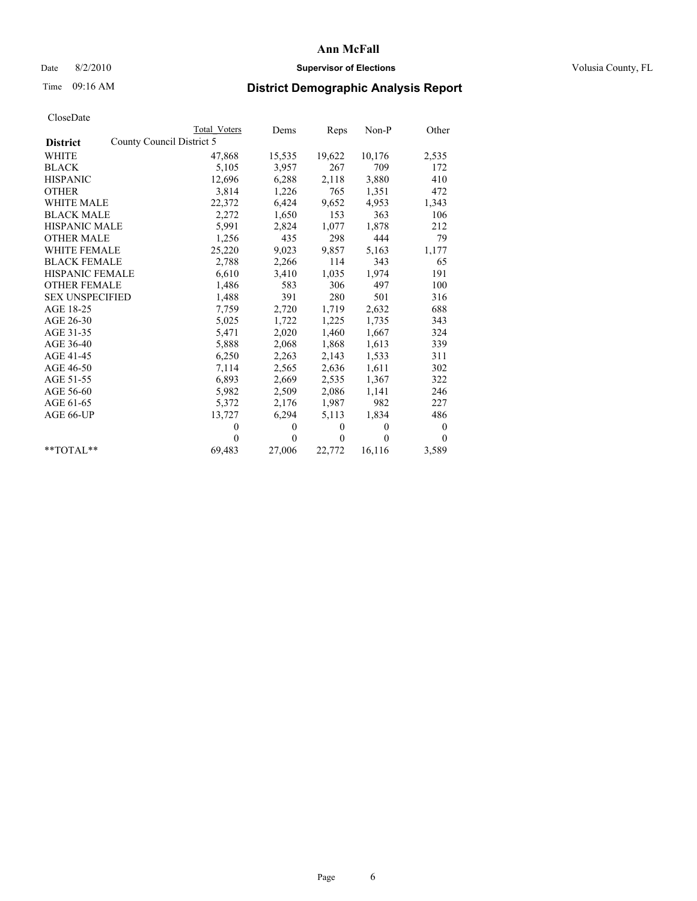# Date 8/2/2010 **Supervisor of Elections Supervisor of Elections** Volusia County, FL

# Time 09:16 AM **District Demographic Analysis Report**

|                                              | Total Voters | Dems         | Reps         | Non-P        | Other    |
|----------------------------------------------|--------------|--------------|--------------|--------------|----------|
| County Council District 5<br><b>District</b> |              |              |              |              |          |
| WHITE                                        | 47,868       | 15,535       | 19,622       | 10,176       | 2,535    |
| <b>BLACK</b>                                 | 5,105        | 3,957        | 267          | 709          | 172      |
| <b>HISPANIC</b>                              | 12,696       | 6,288        | 2,118        | 3,880        | 410      |
| <b>OTHER</b>                                 | 3,814        | 1,226        | 765          | 1,351        | 472      |
| <b>WHITE MALE</b>                            | 22,372       | 6,424        | 9,652        | 4,953        | 1,343    |
| <b>BLACK MALE</b>                            | 2,272        | 1,650        | 153          | 363          | 106      |
| <b>HISPANIC MALE</b>                         | 5,991        | 2,824        | 1,077        | 1,878        | 212      |
| <b>OTHER MALE</b>                            | 1,256        | 435          | 298          | 444          | 79       |
| <b>WHITE FEMALE</b>                          | 25,220       | 9,023        | 9,857        | 5,163        | 1,177    |
| <b>BLACK FEMALE</b>                          | 2,788        | 2,266        | 114          | 343          | 65       |
| HISPANIC FEMALE                              | 6,610        | 3,410        | 1,035        | 1,974        | 191      |
| <b>OTHER FEMALE</b>                          | 1,486        | 583          | 306          | 497          | 100      |
| <b>SEX UNSPECIFIED</b>                       | 1,488        | 391          | 280          | 501          | 316      |
| AGE 18-25                                    | 7,759        | 2,720        | 1,719        | 2,632        | 688      |
| AGE 26-30                                    | 5,025        | 1,722        | 1,225        | 1,735        | 343      |
| AGE 31-35                                    | 5,471        | 2,020        | 1,460        | 1,667        | 324      |
| AGE 36-40                                    | 5,888        | 2,068        | 1,868        | 1,613        | 339      |
| AGE 41-45                                    | 6,250        | 2,263        | 2,143        | 1,533        | 311      |
| AGE 46-50                                    | 7,114        | 2,565        | 2,636        | 1,611        | 302      |
| AGE 51-55                                    | 6,893        | 2,669        | 2,535        | 1,367        | 322      |
| AGE 56-60                                    | 5,982        | 2,509        | 2,086        | 1,141        | 246      |
| AGE 61-65                                    | 5,372        | 2,176        | 1,987        | 982          | 227      |
| AGE 66-UP                                    | 13,727       | 6,294        | 5,113        | 1,834        | 486      |
|                                              | $\theta$     | $\mathbf{0}$ | $\mathbf{0}$ | $\mathbf{0}$ | $\bf{0}$ |
|                                              | $\theta$     | $\theta$     | $\Omega$     | $\theta$     | $\theta$ |
| $*$ $TOTAI.**$                               | 69,483       | 27,006       | 22,772       | 16,116       | 3,589    |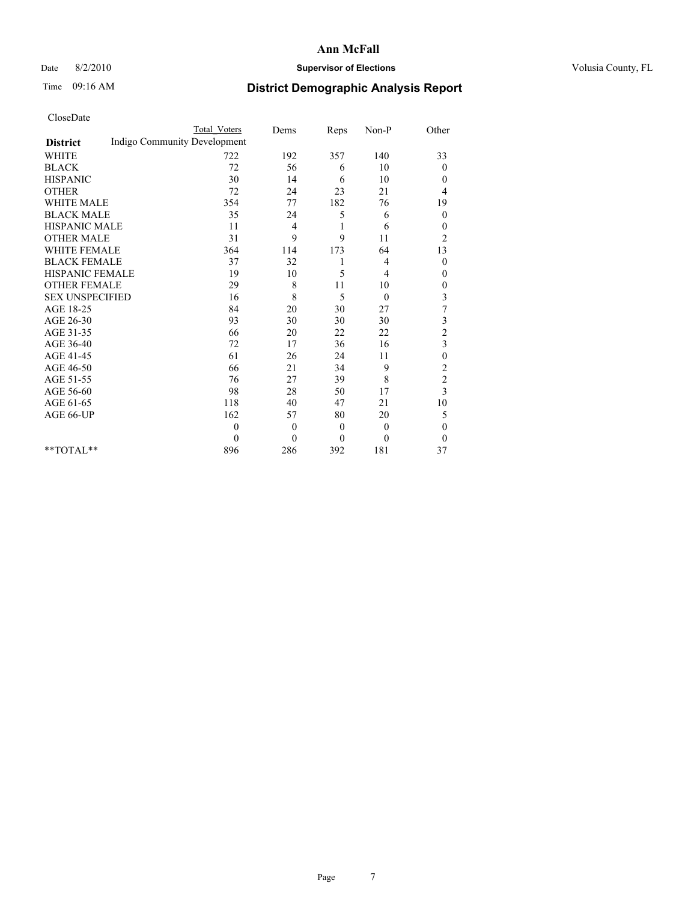## Date 8/2/2010 **Supervisor of Elections Supervisor of Elections** Volusia County, FL

# Time 09:16 AM **District Demographic Analysis Report**

|                                                 | <b>Total Voters</b> | Dems           | Reps         | Non-P          | Other            |
|-------------------------------------------------|---------------------|----------------|--------------|----------------|------------------|
| Indigo Community Development<br><b>District</b> |                     |                |              |                |                  |
| <b>WHITE</b>                                    | 722                 | 192            | 357          | 140            | 33               |
| <b>BLACK</b>                                    | 72                  | 56             | 6            | 10             | $\overline{0}$   |
| <b>HISPANIC</b>                                 | 30                  | 14             | 6            | 10             | $\mathbf{0}$     |
| <b>OTHER</b>                                    | 72                  | 24             | 23           | 21             | 4                |
| <b>WHITE MALE</b>                               | 354                 | 77             | 182          | 76             | 19               |
| <b>BLACK MALE</b>                               | 35                  | 24             | 5            | 6              | $\theta$         |
| HISPANIC MALE                                   | 11                  | 4              | 1            | 6              | $\boldsymbol{0}$ |
| <b>OTHER MALE</b>                               | 31                  | 9              | 9            | 11             | $\overline{c}$   |
| <b>WHITE FEMALE</b>                             | 364                 | 114            | 173          | 64             | 13               |
| <b>BLACK FEMALE</b>                             | 37                  | 32             | 1            | 4              | $\boldsymbol{0}$ |
| HISPANIC FEMALE                                 | 19                  | 10             | 5            | $\overline{4}$ | $\mathbf{0}$     |
| <b>OTHER FEMALE</b>                             | 29                  | 8              | 11           | 10             | $\boldsymbol{0}$ |
| <b>SEX UNSPECIFIED</b>                          | 16                  | 8              | 5            | $\theta$       | $\mathfrak{Z}$   |
| AGE 18-25                                       | 84                  | 20             | 30           | 27             | $\overline{7}$   |
| AGE 26-30                                       | 93                  | 30             | 30           | 30             | 3                |
| AGE 31-35                                       | 66                  | 20             | 22           | 22             | $\overline{c}$   |
| AGE 36-40                                       | 72                  | 17             | 36           | 16             | $\overline{3}$   |
| AGE 41-45                                       | 61                  | 26             | 24           | 11             | $\boldsymbol{0}$ |
| AGE 46-50                                       | 66                  | 21             | 34           | 9              | $\overline{c}$   |
| AGE 51-55                                       | 76                  | 27             | 39           | 8              | $\overline{c}$   |
| AGE 56-60                                       | 98                  | 28             | 50           | 17             | 3                |
| AGE 61-65                                       | 118                 | 40             | 47           | 21             | 10               |
| AGE 66-UP                                       | 162                 | 57             | 80           | 20             | 5                |
|                                                 | $\mathbf{0}$        | $\overline{0}$ | $\theta$     | $\mathbf{0}$   | $\mathbf{0}$     |
|                                                 | $\theta$            | $\mathbf{0}$   | $\mathbf{0}$ | $\theta$       | $\theta$         |
| $*$ $TOTAI.**$                                  | 896                 | 286            | 392          | 181            | 37               |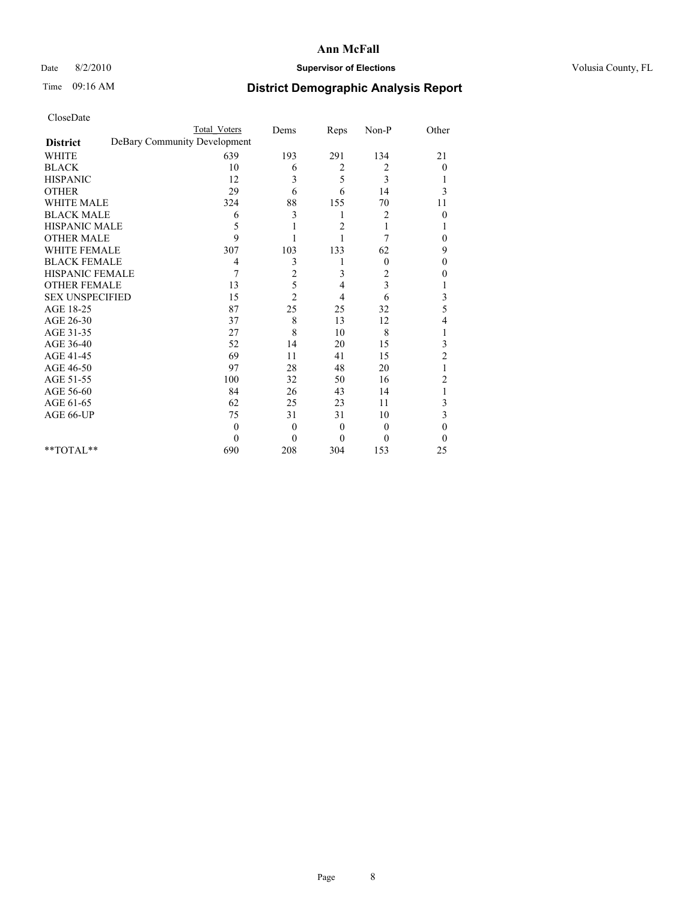## Date 8/2/2010 **Supervisor of Elections Supervisor of Elections** Volusia County, FL

# Time 09:16 AM **District Demographic Analysis Report**

|                                                 | <b>Total Voters</b> | Dems             | Reps           | Non-P          | Other          |
|-------------------------------------------------|---------------------|------------------|----------------|----------------|----------------|
| DeBary Community Development<br><b>District</b> |                     |                  |                |                |                |
| <b>WHITE</b>                                    | 639                 | 193              | 291            | 134            | 21             |
| <b>BLACK</b>                                    | 10                  | 6                | 2              | 2              | $\overline{0}$ |
| <b>HISPANIC</b>                                 | 12                  | 3                | 5              | 3              |                |
| <b>OTHER</b>                                    | 29                  | 6                | 6              | 14             | 3              |
| <b>WHITE MALE</b>                               | 324                 | 88               | 155            | 70             | 11             |
| <b>BLACK MALE</b>                               | 6                   | 3                | 1              | 2              | $\theta$       |
| HISPANIC MALE                                   | 5                   |                  | $\overline{c}$ |                |                |
| <b>OTHER MALE</b>                               | 9                   |                  |                | 7              | 0              |
| <b>WHITE FEMALE</b>                             | 307                 | 103              | 133            | 62             | 9              |
| <b>BLACK FEMALE</b>                             | 4                   | 3                |                | $\theta$       | $\mathbf{0}$   |
| HISPANIC FEMALE                                 | 7                   | $\overline{c}$   | 3              | 2              | 0              |
| <b>OTHER FEMALE</b>                             | 13                  | 5                | 4              | 3              |                |
| <b>SEX UNSPECIFIED</b>                          | 15                  | $\overline{2}$   | 4              | 6              | 3              |
| AGE 18-25                                       | 87                  | 25               | 25             | 32             | 5              |
| AGE 26-30                                       | 37                  | 8                | 13             | 12             | 4              |
| AGE 31-35                                       | 27                  | 8                | 10             | 8              |                |
| AGE 36-40                                       | 52                  | 14               | 20             | 15             | 3              |
| AGE 41-45                                       | 69                  | 11               | 41             | 15             | $\overline{c}$ |
| AGE 46-50                                       | 97                  | 28               | 48             | 20             |                |
| AGE 51-55                                       | 100                 | 32               | 50             | 16             | 2              |
| AGE 56-60                                       | 84                  | 26               | 43             | 14             |                |
| AGE 61-65                                       | 62                  | 25               | 23             | 11             | 3              |
| AGE 66-UP                                       | 75                  | 31               | 31             | 10             | 3              |
|                                                 | $\theta$            | $\boldsymbol{0}$ | $\theta$       | $\overline{0}$ | $\theta$       |
|                                                 | $\Omega$            | $\mathbf{0}$     | $\overline{0}$ | $\theta$       | $\theta$       |
| **TOTAL**                                       | 690                 | 208              | 304            | 153            | 25             |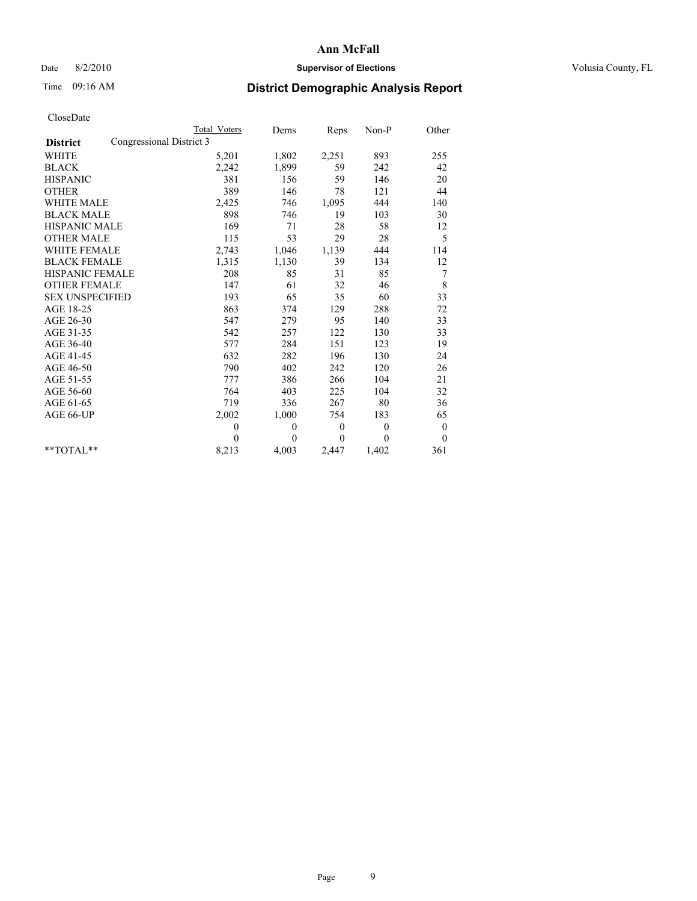## Date 8/2/2010 **Supervisor of Elections Supervisor of Elections** Volusia County, FL

# Time 09:16 AM **District Demographic Analysis Report**

|                        |                          | <b>Total Voters</b> | Dems     | Reps             | $Non-P$  | Other        |
|------------------------|--------------------------|---------------------|----------|------------------|----------|--------------|
| <b>District</b>        | Congressional District 3 |                     |          |                  |          |              |
| <b>WHITE</b>           |                          | 5,201               | 1,802    | 2,251            | 893      | 255          |
| <b>BLACK</b>           |                          | 2,242               | 1,899    | 59               | 242      | 42           |
| <b>HISPANIC</b>        |                          | 381                 | 156      | 59               | 146      | 20           |
| <b>OTHER</b>           |                          | 389                 | 146      | 78               | 121      | 44           |
| <b>WHITE MALE</b>      |                          | 2,425               | 746      | 1,095            | 444      | 140          |
| <b>BLACK MALE</b>      |                          | 898                 | 746      | 19               | 103      | 30           |
| <b>HISPANIC MALE</b>   |                          | 169                 | 71       | 28               | 58       | 12           |
| <b>OTHER MALE</b>      |                          | 115                 | 53       | 29               | 28       | 5            |
| <b>WHITE FEMALE</b>    |                          | 2,743               | 1,046    | 1,139            | 444      | 114          |
| <b>BLACK FEMALE</b>    |                          | 1,315               | 1,130    | 39               | 134      | 12           |
| HISPANIC FEMALE        |                          | 208                 | 85       | 31               | 85       | 7            |
| <b>OTHER FEMALE</b>    |                          | 147                 | 61       | 32               | 46       | 8            |
| <b>SEX UNSPECIFIED</b> |                          | 193                 | 65       | 35               | 60       | 33           |
| AGE 18-25              |                          | 863                 | 374      | 129              | 288      | 72           |
| AGE 26-30              |                          | 547                 | 279      | 95               | 140      | 33           |
| AGE 31-35              |                          | 542                 | 257      | 122              | 130      | 33           |
| AGE 36-40              |                          | 577                 | 284      | 151              | 123      | 19           |
| AGE 41-45              |                          | 632                 | 282      | 196              | 130      | 24           |
| AGE 46-50              |                          | 790                 | 402      | 242              | 120      | 26           |
| AGE 51-55              |                          | 777                 | 386      | 266              | 104      | 21           |
| AGE 56-60              |                          | 764                 | 403      | 225              | 104      | 32           |
| AGE 61-65              |                          | 719                 | 336      | 267              | 80       | 36           |
| AGE 66-UP              |                          | 2,002               | 1,000    | 754              | 183      | 65           |
|                        |                          | $\mathbf{0}$        | $\theta$ | $\boldsymbol{0}$ | $\theta$ | $\mathbf{0}$ |
|                        |                          | $\Omega$            | $\theta$ | $\Omega$         | $\theta$ | $\theta$     |
| $*$ $TOTAI.**$         |                          | 8,213               | 4,003    | 2,447            | 1,402    | 361          |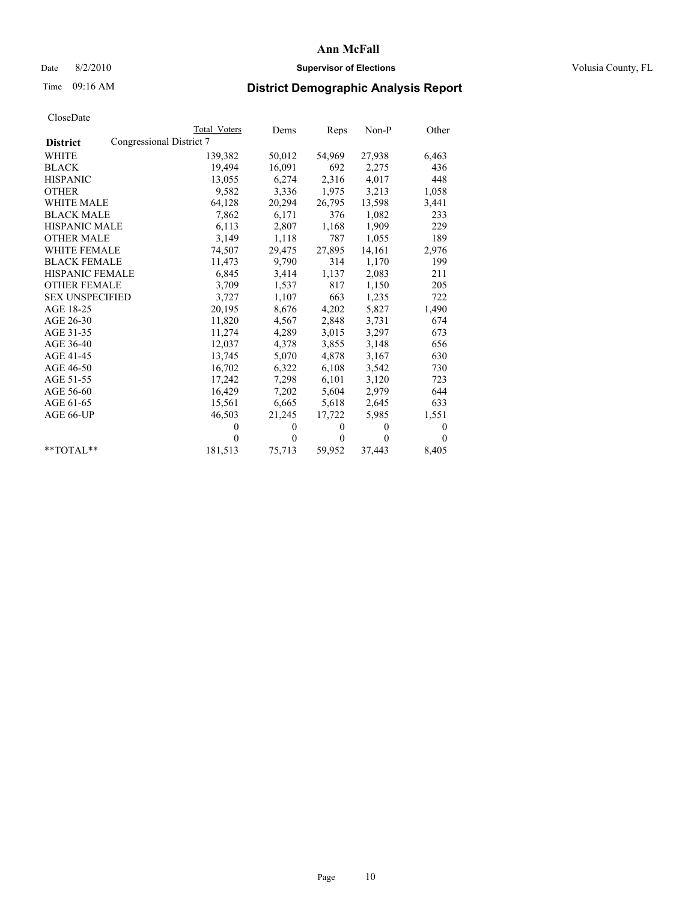## Date 8/2/2010 **Supervisor of Elections Supervisor of Elections** Volusia County, FL

# Time 09:16 AM **District Demographic Analysis Report**

|                        |                          | Total Voters | Dems     | Reps         | $Non-P$  | Other    |
|------------------------|--------------------------|--------------|----------|--------------|----------|----------|
| <b>District</b>        | Congressional District 7 |              |          |              |          |          |
| WHITE                  |                          | 139,382      | 50,012   | 54,969       | 27,938   | 6,463    |
| <b>BLACK</b>           |                          | 19,494       | 16,091   | 692          | 2,275    | 436      |
| <b>HISPANIC</b>        |                          | 13,055       | 6,274    | 2,316        | 4,017    | 448      |
| <b>OTHER</b>           |                          | 9,582        | 3,336    | 1,975        | 3,213    | 1,058    |
| WHITE MALE             |                          | 64,128       | 20,294   | 26,795       | 13,598   | 3,441    |
| <b>BLACK MALE</b>      |                          | 7,862        | 6,171    | 376          | 1,082    | 233      |
| <b>HISPANIC MALE</b>   |                          | 6,113        | 2,807    | 1,168        | 1,909    | 229      |
| <b>OTHER MALE</b>      |                          | 3,149        | 1,118    | 787          | 1,055    | 189      |
| <b>WHITE FEMALE</b>    |                          | 74,507       | 29,475   | 27,895       | 14,161   | 2,976    |
| <b>BLACK FEMALE</b>    |                          | 11,473       | 9,790    | 314          | 1,170    | 199      |
| HISPANIC FEMALE        |                          | 6,845        | 3,414    | 1,137        | 2,083    | 211      |
| <b>OTHER FEMALE</b>    |                          | 3,709        | 1,537    | 817          | 1,150    | 205      |
| <b>SEX UNSPECIFIED</b> |                          | 3,727        | 1,107    | 663          | 1,235    | 722      |
| AGE 18-25              |                          | 20,195       | 8,676    | 4,202        | 5,827    | 1,490    |
| AGE 26-30              |                          | 11,820       | 4,567    | 2,848        | 3,731    | 674      |
| AGE 31-35              |                          | 11,274       | 4,289    | 3,015        | 3,297    | 673      |
| AGE 36-40              |                          | 12,037       | 4,378    | 3,855        | 3,148    | 656      |
| AGE 41-45              |                          | 13,745       | 5,070    | 4,878        | 3,167    | 630      |
| AGE 46-50              |                          | 16,702       | 6,322    | 6,108        | 3,542    | 730      |
| AGE 51-55              |                          | 17,242       | 7,298    | 6,101        | 3,120    | 723      |
| AGE 56-60              |                          | 16,429       | 7,202    | 5,604        | 2,979    | 644      |
| AGE 61-65              |                          | 15,561       | 6,665    | 5,618        | 2,645    | 633      |
| AGE 66-UP              |                          | 46,503       | 21,245   | 17,722       | 5,985    | 1,551    |
|                        |                          | $\theta$     | $\theta$ | $\mathbf{0}$ | $\theta$ | 0        |
|                        |                          | $\theta$     | $\theta$ | $\mathbf{0}$ | $\theta$ | $\Omega$ |
| $*$ $TOTAI.**$         |                          | 181,513      | 75,713   | 59,952       | 37,443   | 8,405    |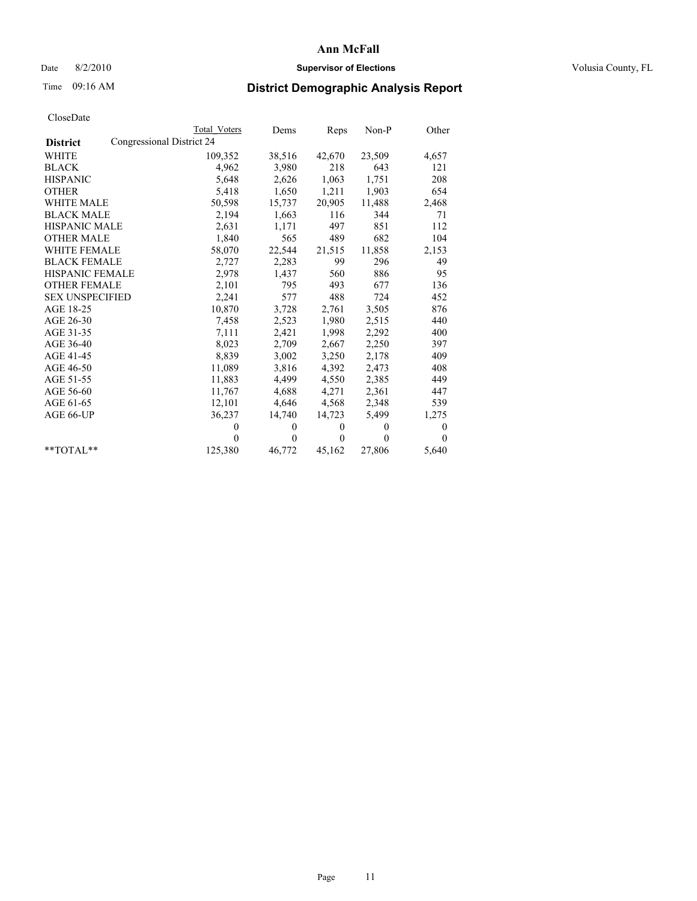# Date 8/2/2010 **Supervisor of Elections Supervisor of Elections** Volusia County, FL

# Time 09:16 AM **District Demographic Analysis Report**

|                        |                           | Total Voters | Dems     | Reps         | $Non-P$  | Other    |
|------------------------|---------------------------|--------------|----------|--------------|----------|----------|
| <b>District</b>        | Congressional District 24 |              |          |              |          |          |
| WHITE                  |                           | 109,352      | 38,516   | 42,670       | 23,509   | 4,657    |
| <b>BLACK</b>           |                           | 4,962        | 3,980    | 218          | 643      | 121      |
| <b>HISPANIC</b>        |                           | 5,648        | 2,626    | 1,063        | 1,751    | 208      |
| <b>OTHER</b>           |                           | 5,418        | 1,650    | 1,211        | 1,903    | 654      |
| WHITE MALE             |                           | 50,598       | 15,737   | 20,905       | 11,488   | 2,468    |
| <b>BLACK MALE</b>      |                           | 2,194        | 1,663    | 116          | 344      | 71       |
| HISPANIC MALE          |                           | 2,631        | 1,171    | 497          | 851      | 112      |
| <b>OTHER MALE</b>      |                           | 1,840        | 565      | 489          | 682      | 104      |
| <b>WHITE FEMALE</b>    |                           | 58,070       | 22,544   | 21,515       | 11,858   | 2,153    |
| <b>BLACK FEMALE</b>    |                           | 2,727        | 2,283    | 99           | 296      | 49       |
| HISPANIC FEMALE        |                           | 2,978        | 1,437    | 560          | 886      | 95       |
| <b>OTHER FEMALE</b>    |                           | 2,101        | 795      | 493          | 677      | 136      |
| <b>SEX UNSPECIFIED</b> |                           | 2,241        | 577      | 488          | 724      | 452      |
| AGE 18-25              |                           | 10,870       | 3,728    | 2,761        | 3,505    | 876      |
| AGE 26-30              |                           | 7,458        | 2,523    | 1,980        | 2,515    | 440      |
| AGE 31-35              |                           | 7,111        | 2,421    | 1,998        | 2,292    | 400      |
| AGE 36-40              |                           | 8,023        | 2,709    | 2,667        | 2,250    | 397      |
| AGE 41-45              |                           | 8,839        | 3,002    | 3,250        | 2,178    | 409      |
| AGE 46-50              |                           | 11,089       | 3,816    | 4,392        | 2,473    | 408      |
| AGE 51-55              |                           | 11,883       | 4,499    | 4,550        | 2,385    | 449      |
| AGE 56-60              |                           | 11,767       | 4,688    | 4,271        | 2,361    | 447      |
| AGE 61-65              |                           | 12,101       | 4,646    | 4,568        | 2,348    | 539      |
| AGE 66-UP              |                           | 36,237       | 14,740   | 14,723       | 5,499    | 1,275    |
|                        |                           | $\Omega$     | $\theta$ | $\mathbf{0}$ | $\theta$ | 0        |
|                        |                           | $\Omega$     | $\theta$ | $\mathbf{0}$ | $\theta$ | $\Omega$ |
| $*$ $TOTAI.**$         |                           | 125,380      | 46,772   | 45,162       | 27,806   | 5,640    |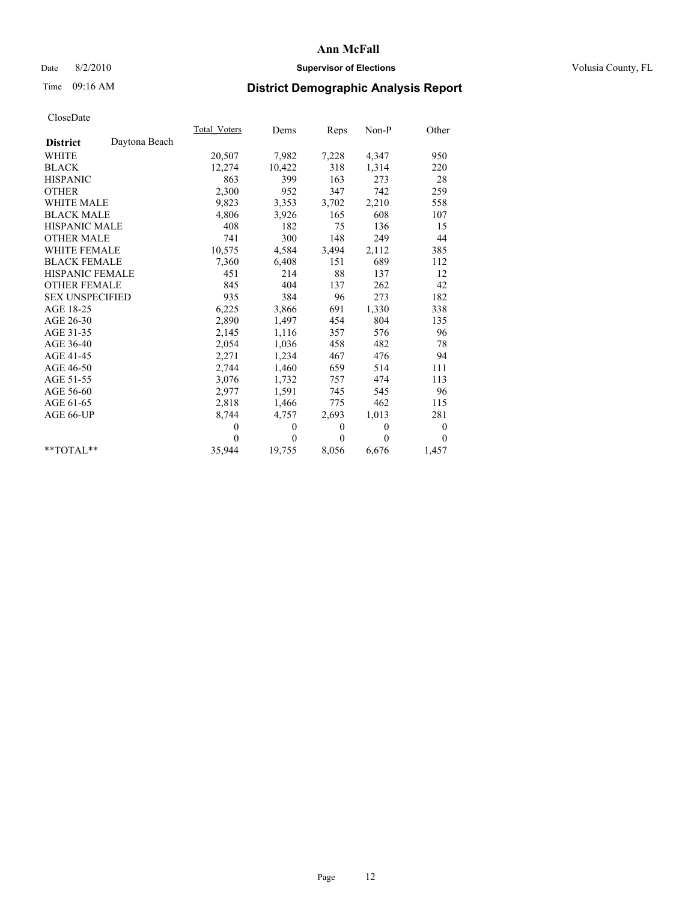# Date 8/2/2010 **Supervisor of Elections Supervisor of Elections** Volusia County, FL

# Time 09:16 AM **District Demographic Analysis Report**

|                        |               | Total Voters | Dems         | Reps         | $Non-P$      | Other            |
|------------------------|---------------|--------------|--------------|--------------|--------------|------------------|
| <b>District</b>        | Daytona Beach |              |              |              |              |                  |
| <b>WHITE</b>           |               | 20,507       | 7,982        | 7,228        | 4,347        | 950              |
| <b>BLACK</b>           |               | 12,274       | 10,422       | 318          | 1,314        | 220              |
| <b>HISPANIC</b>        |               | 863          | 399          | 163          | 273          | 28               |
| <b>OTHER</b>           |               | 2,300        | 952          | 347          | 742          | 259              |
| <b>WHITE MALE</b>      |               | 9,823        | 3,353        | 3,702        | 2,210        | 558              |
| <b>BLACK MALE</b>      |               | 4,806        | 3,926        | 165          | 608          | 107              |
| <b>HISPANIC MALE</b>   |               | 408          | 182          | 75           | 136          | 15               |
| <b>OTHER MALE</b>      |               | 741          | 300          | 148          | 249          | 44               |
| WHITE FEMALE           |               | 10,575       | 4,584        | 3,494        | 2,112        | 385              |
| <b>BLACK FEMALE</b>    |               | 7,360        | 6,408        | 151          | 689          | 112              |
| HISPANIC FEMALE        |               | 451          | 214          | 88           | 137          | 12               |
| <b>OTHER FEMALE</b>    |               | 845          | 404          | 137          | 262          | 42               |
| <b>SEX UNSPECIFIED</b> |               | 935          | 384          | 96           | 273          | 182              |
| AGE 18-25              |               | 6,225        | 3,866        | 691          | 1,330        | 338              |
| AGE 26-30              |               | 2,890        | 1,497        | 454          | 804          | 135              |
| AGE 31-35              |               | 2,145        | 1,116        | 357          | 576          | 96               |
| AGE 36-40              |               | 2,054        | 1,036        | 458          | 482          | 78               |
| AGE 41-45              |               | 2,271        | 1,234        | 467          | 476          | 94               |
| AGE 46-50              |               | 2,744        | 1,460        | 659          | 514          | 111              |
| AGE 51-55              |               | 3,076        | 1,732        | 757          | 474          | 113              |
| AGE 56-60              |               | 2,977        | 1,591        | 745          | 545          | 96               |
| AGE 61-65              |               | 2,818        | 1,466        | 775          | 462          | 115              |
| AGE 66-UP              |               | 8,744        | 4,757        | 2,693        | 1,013        | 281              |
|                        |               | $\theta$     | $\mathbf{0}$ | $\mathbf{0}$ | $\mathbf{0}$ | $\boldsymbol{0}$ |
|                        |               | $\theta$     | $\theta$     | $\theta$     | $\theta$     | $\theta$         |
| $*$ $TOTAI$            |               | 35,944       | 19,755       | 8,056        | 6,676        | 1,457            |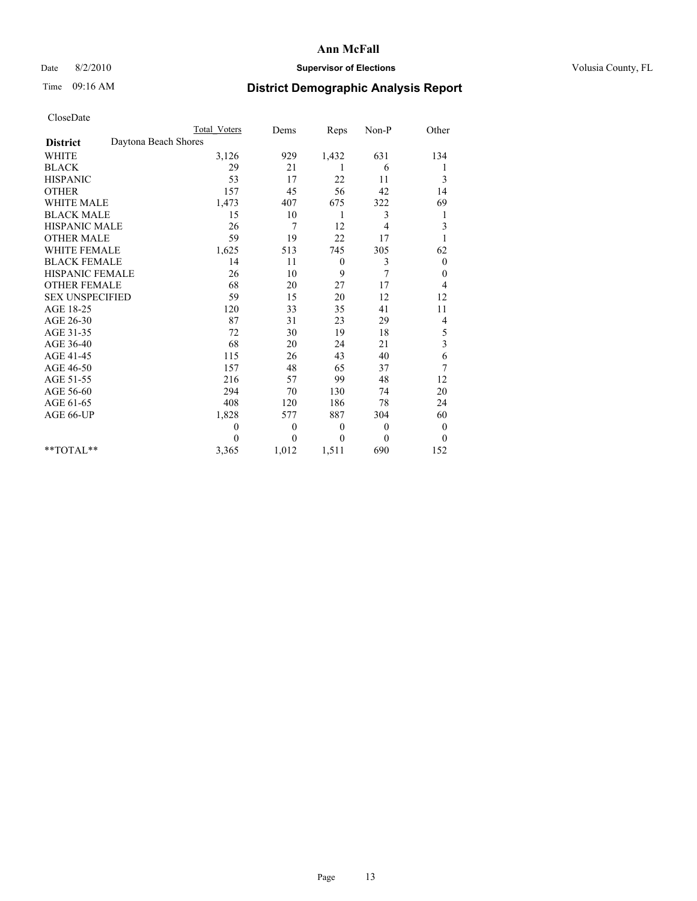# Date 8/2/2010 **Supervisor of Elections Supervisor of Elections** Volusia County, FL

# Time 09:16 AM **District Demographic Analysis Report**

|                                         | <b>Total Voters</b> | Dems           | Reps             | Non-P          | Other            |
|-----------------------------------------|---------------------|----------------|------------------|----------------|------------------|
| Daytona Beach Shores<br><b>District</b> |                     |                |                  |                |                  |
| <b>WHITE</b>                            | 3,126               | 929            | 1,432            | 631            | 134              |
| <b>BLACK</b>                            | 29                  | 21             |                  | 6              | 1                |
| <b>HISPANIC</b>                         | 53                  | 17             | 22               | 11             | 3                |
| <b>OTHER</b>                            | 157                 | 45             | 56               | 42             | 14               |
| <b>WHITE MALE</b>                       | 1,473               | 407            | 675              | 322            | 69               |
| <b>BLACK MALE</b>                       | 15                  | 10             | 1                | 3              | 1                |
| <b>HISPANIC MALE</b>                    | 26                  | $\overline{7}$ | 12               | 4              | 3                |
| <b>OTHER MALE</b>                       | 59                  | 19             | 22               | 17             |                  |
| <b>WHITE FEMALE</b>                     | 1,625               | 513            | 745              | 305            | 62               |
| <b>BLACK FEMALE</b>                     | 14                  | 11             | $\boldsymbol{0}$ | 3              | $\theta$         |
| HISPANIC FEMALE                         | 26                  | 10             | 9                | 7              | 0                |
| <b>OTHER FEMALE</b>                     | 68                  | 20             | 27               | 17             | 4                |
| <b>SEX UNSPECIFIED</b>                  | 59                  | 15             | 20               | 12             | 12               |
| AGE 18-25                               | 120                 | 33             | 35               | 41             | 11               |
| AGE 26-30                               | 87                  | 31             | 23               | 29             | 4                |
| AGE 31-35                               | 72                  | 30             | 19               | 18             | 5                |
| AGE 36-40                               | 68                  | 20             | 24               | 21             | 3                |
| AGE 41-45                               | 115                 | 26             | 43               | 40             | 6                |
| AGE 46-50                               | 157                 | 48             | 65               | 37             | 7                |
| AGE 51-55                               | 216                 | 57             | 99               | 48             | 12               |
| AGE 56-60                               | 294                 | 70             | 130              | 74             | 20               |
| AGE 61-65                               | 408                 | 120            | 186              | 78             | 24               |
| AGE 66-UP                               | 1,828               | 577            | 887              | 304            | 60               |
|                                         | $\theta$            | $\theta$       | $\mathbf{0}$     | $\overline{0}$ | $\boldsymbol{0}$ |
|                                         | $\Omega$            | $\mathbf{0}$   | $\mathbf{0}$     | $\theta$       | $\theta$         |
| $*$ TOTAL $*$                           | 3,365               | 1,012          | 1,511            | 690            | 152              |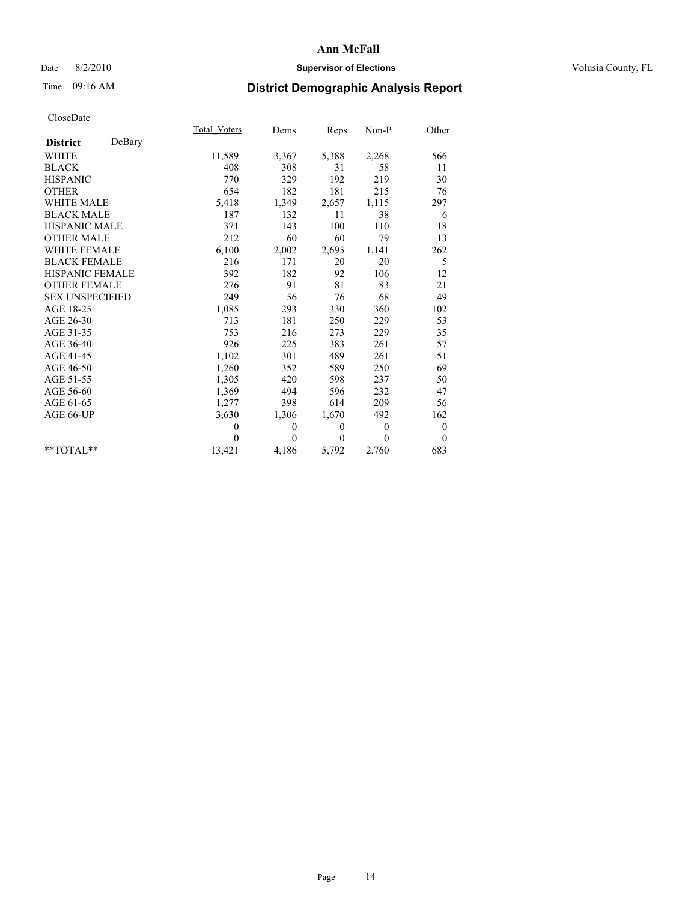# Date 8/2/2010 **Supervisor of Elections Supervisor of Elections** Volusia County, FL

# Time 09:16 AM **District Demographic Analysis Report**

|                        |        | <b>Total Voters</b> | Dems     | Reps         | Non-P    | Other            |  |
|------------------------|--------|---------------------|----------|--------------|----------|------------------|--|
| <b>District</b>        | DeBary |                     |          |              |          |                  |  |
| <b>WHITE</b>           |        | 11,589              | 3,367    | 5,388        | 2,268    | 566              |  |
| <b>BLACK</b>           |        | 408                 | 308      | 31           | 58       | 11               |  |
| <b>HISPANIC</b>        |        | 770                 | 329      | 192          | 219      | 30               |  |
| <b>OTHER</b>           |        | 654                 | 182      | 181          | 215      | 76               |  |
| <b>WHITE MALE</b>      |        | 5,418               | 1,349    | 2,657        | 1,115    | 297              |  |
| <b>BLACK MALE</b>      |        | 187                 | 132      | 11           | 38       | 6                |  |
| <b>HISPANIC MALE</b>   |        | 371                 | 143      | 100          | 110      | 18               |  |
| <b>OTHER MALE</b>      |        | 212                 | 60       | 60           | 79       | 13               |  |
| <b>WHITE FEMALE</b>    |        | 6,100               | 2,002    | 2,695        | 1,141    | 262              |  |
| <b>BLACK FEMALE</b>    |        | 216                 | 171      | 20           | 20       | 5                |  |
| <b>HISPANIC FEMALE</b> |        | 392                 | 182      | 92           | 106      | 12               |  |
| <b>OTHER FEMALE</b>    |        | 276                 | 91       | 81           | 83       | 21               |  |
| <b>SEX UNSPECIFIED</b> |        | 249                 | 56       | 76           | 68       | 49               |  |
| AGE 18-25              |        | 1,085               | 293      | 330          | 360      | 102              |  |
| AGE 26-30              |        | 713                 | 181      | 250          | 229      | 53               |  |
| AGE 31-35              |        | 753                 | 216      | 273          | 229      | 35               |  |
| AGE 36-40              |        | 926                 | 225      | 383          | 261      | 57               |  |
| AGE 41-45              |        | 1,102               | 301      | 489          | 261      | 51               |  |
| AGE 46-50              |        | 1,260               | 352      | 589          | 250      | 69               |  |
| AGE 51-55              |        | 1,305               | 420      | 598          | 237      | 50               |  |
| AGE 56-60              |        | 1,369               | 494      | 596          | 232      | 47               |  |
| AGE 61-65              |        | 1,277               | 398      | 614          | 209      | 56               |  |
| AGE 66-UP              |        | 3,630               | 1,306    | 1,670        | 492      | 162              |  |
|                        |        | $\theta$            | 0        | $\mathbf{0}$ | $\theta$ | $\boldsymbol{0}$ |  |
|                        |        | $\theta$            | $\theta$ | $\Omega$     | $\theta$ | $\theta$         |  |
| $*$ $TOTAI.**$         |        | 13,421              | 4,186    | 5,792        | 2,760    | 683              |  |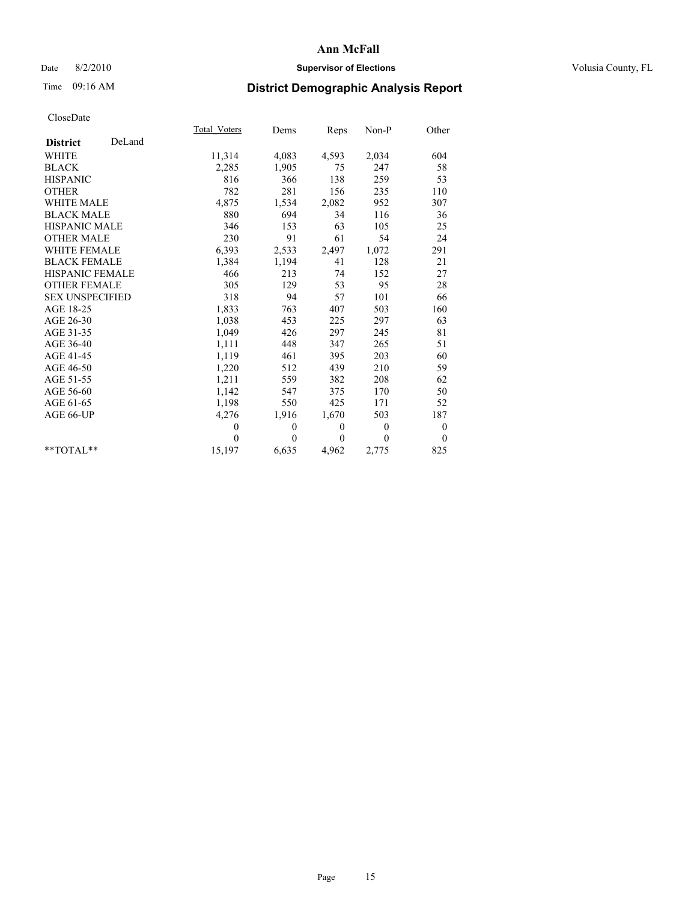# Date 8/2/2010 **Supervisor of Elections Supervisor of Elections** Volusia County, FL

# Time 09:16 AM **District Demographic Analysis Report**

|                        |        | Total Voters | Dems         | Reps     | $Non-P$      | Other            |
|------------------------|--------|--------------|--------------|----------|--------------|------------------|
| <b>District</b>        | DeLand |              |              |          |              |                  |
| <b>WHITE</b>           |        | 11,314       | 4,083        | 4,593    | 2,034        | 604              |
| <b>BLACK</b>           |        | 2,285        | 1,905        | 75       | 247          | 58               |
| <b>HISPANIC</b>        |        | 816          | 366          | 138      | 259          | 53               |
| <b>OTHER</b>           |        | 782          | 281          | 156      | 235          | 110              |
| <b>WHITE MALE</b>      |        | 4,875        | 1,534        | 2,082    | 952          | 307              |
| <b>BLACK MALE</b>      |        | 880          | 694          | 34       | 116          | 36               |
| <b>HISPANIC MALE</b>   |        | 346          | 153          | 63       | 105          | 25               |
| <b>OTHER MALE</b>      |        | 230          | 91           | 61       | 54           | 24               |
| WHITE FEMALE           |        | 6,393        | 2,533        | 2,497    | 1,072        | 291              |
| <b>BLACK FEMALE</b>    |        | 1,384        | 1,194        | 41       | 128          | 21               |
| HISPANIC FEMALE        |        | 466          | 213          | 74       | 152          | 27               |
| <b>OTHER FEMALE</b>    |        | 305          | 129          | 53       | 95           | 28               |
| <b>SEX UNSPECIFIED</b> |        | 318          | 94           | 57       | 101          | 66               |
| AGE 18-25              |        | 1,833        | 763          | 407      | 503          | 160              |
| AGE 26-30              |        | 1,038        | 453          | 225      | 297          | 63               |
| AGE 31-35              |        | 1,049        | 426          | 297      | 245          | 81               |
| AGE 36-40              |        | 1,111        | 448          | 347      | 265          | 51               |
| AGE 41-45              |        | 1,119        | 461          | 395      | 203          | 60               |
| AGE 46-50              |        | 1,220        | 512          | 439      | 210          | 59               |
| AGE 51-55              |        | 1,211        | 559          | 382      | 208          | 62               |
| AGE 56-60              |        | 1,142        | 547          | 375      | 170          | 50               |
| AGE 61-65              |        | 1,198        | 550          | 425      | 171          | 52               |
| AGE 66-UP              |        | 4,276        | 1,916        | 1,670    | 503          | 187              |
|                        |        | $\mathbf{0}$ | $\mathbf{0}$ | $\theta$ | $\mathbf{0}$ | $\boldsymbol{0}$ |
|                        |        | $\theta$     | $\theta$     | $\theta$ | $\theta$     | $\theta$         |
| $*$ $TOTAI.**$         |        | 15,197       | 6,635        | 4,962    | 2,775        | 825              |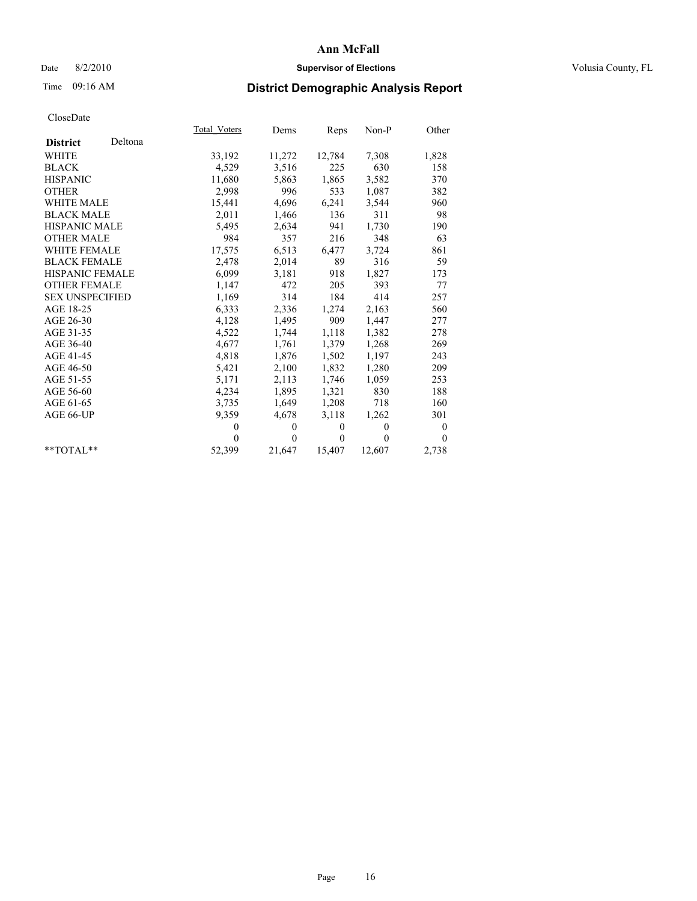# Date 8/2/2010 **Supervisor of Elections Supervisor of Elections** Volusia County, FL

# Time 09:16 AM **District Demographic Analysis Report**

|                        |         | Total Voters | Dems         | Reps         | Non-P        | Other          |
|------------------------|---------|--------------|--------------|--------------|--------------|----------------|
| <b>District</b>        | Deltona |              |              |              |              |                |
| <b>WHITE</b>           |         | 33,192       | 11,272       | 12,784       | 7,308        | 1,828          |
| <b>BLACK</b>           |         | 4,529        | 3,516        | 225          | 630          | 158            |
| <b>HISPANIC</b>        |         | 11,680       | 5,863        | 1,865        | 3,582        | 370            |
| <b>OTHER</b>           |         | 2,998        | 996          | 533          | 1,087        | 382            |
| <b>WHITE MALE</b>      |         | 15,441       | 4,696        | 6,241        | 3,544        | 960            |
| <b>BLACK MALE</b>      |         | 2,011        | 1,466        | 136          | 311          | 98             |
| <b>HISPANIC MALE</b>   |         | 5,495        | 2,634        | 941          | 1,730        | 190            |
| <b>OTHER MALE</b>      |         | 984          | 357          | 216          | 348          | 63             |
| <b>WHITE FEMALE</b>    |         | 17,575       | 6,513        | 6,477        | 3,724        | 861            |
| <b>BLACK FEMALE</b>    |         | 2,478        | 2,014        | 89           | 316          | 59             |
| <b>HISPANIC FEMALE</b> |         | 6,099        | 3,181        | 918          | 1,827        | 173            |
| <b>OTHER FEMALE</b>    |         | 1,147        | 472          | 205          | 393          | 77             |
| <b>SEX UNSPECIFIED</b> |         | 1,169        | 314          | 184          | 414          | 257            |
| AGE 18-25              |         | 6,333        | 2,336        | 1,274        | 2,163        | 560            |
| AGE 26-30              |         | 4,128        | 1,495        | 909          | 1,447        | 277            |
| AGE 31-35              |         | 4,522        | 1,744        | 1,118        | 1,382        | 278            |
| AGE 36-40              |         | 4,677        | 1,761        | 1,379        | 1,268        | 269            |
| AGE 41-45              |         | 4,818        | 1,876        | 1,502        | 1,197        | 243            |
| AGE 46-50              |         | 5,421        | 2,100        | 1,832        | 1,280        | 209            |
| AGE 51-55              |         | 5,171        | 2,113        | 1,746        | 1,059        | 253            |
| AGE 56-60              |         | 4,234        | 1,895        | 1,321        | 830          | 188            |
| AGE 61-65              |         | 3,735        | 1,649        | 1,208        | 718          | 160            |
| AGE 66-UP              |         | 9,359        | 4,678        | 3,118        | 1,262        | 301            |
|                        |         | $\mathbf{0}$ | $\mathbf{0}$ | $\mathbf{0}$ | $\mathbf{0}$ | $\overline{0}$ |
|                        |         | $\Omega$     | $\Omega$     | $\mathbf{0}$ | 0            | $\theta$       |
| $*$ $TOTAI.**$         |         | 52,399       | 21,647       | 15,407       | 12,607       | 2,738          |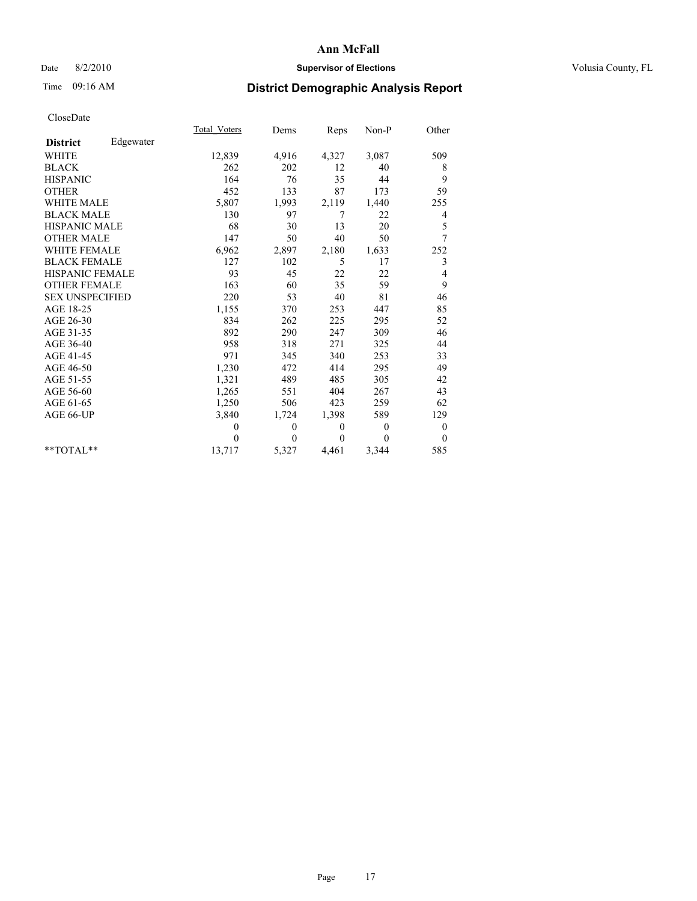# Date 8/2/2010 **Supervisor of Elections Supervisor of Elections** Volusia County, FL

# Time 09:16 AM **District Demographic Analysis Report**

|                        |           | <b>Total Voters</b> | Dems     | Reps         | Non-P    | Other          |
|------------------------|-----------|---------------------|----------|--------------|----------|----------------|
| <b>District</b>        | Edgewater |                     |          |              |          |                |
| <b>WHITE</b>           |           | 12,839              | 4,916    | 4,327        | 3,087    | 509            |
| <b>BLACK</b>           |           | 262                 | 202      | 12           | 40       | 8              |
| <b>HISPANIC</b>        |           | 164                 | 76       | 35           | 44       | 9              |
| <b>OTHER</b>           |           | 452                 | 133      | 87           | 173      | 59             |
| <b>WHITE MALE</b>      |           | 5,807               | 1,993    | 2,119        | 1,440    | 255            |
| <b>BLACK MALE</b>      |           | 130                 | 97       | 7            | 22       | 4              |
| <b>HISPANIC MALE</b>   |           | 68                  | 30       | 13           | 20       | 5              |
| <b>OTHER MALE</b>      |           | 147                 | 50       | 40           | 50       | 7              |
| <b>WHITE FEMALE</b>    |           | 6,962               | 2,897    | 2,180        | 1,633    | 252            |
| <b>BLACK FEMALE</b>    |           | 127                 | 102      | 5            | 17       | 3              |
| HISPANIC FEMALE        |           | 93                  | 45       | 22           | 22       | 4              |
| <b>OTHER FEMALE</b>    |           | 163                 | 60       | 35           | 59       | 9              |
| <b>SEX UNSPECIFIED</b> |           | 220                 | 53       | 40           | 81       | 46             |
| AGE 18-25              |           | 1,155               | 370      | 253          | 447      | 85             |
| AGE 26-30              |           | 834                 | 262      | 225          | 295      | 52             |
| AGE 31-35              |           | 892                 | 290      | 247          | 309      | 46             |
| AGE 36-40              |           | 958                 | 318      | 271          | 325      | 44             |
| AGE 41-45              |           | 971                 | 345      | 340          | 253      | 33             |
| AGE 46-50              |           | 1,230               | 472      | 414          | 295      | 49             |
| AGE 51-55              |           | 1,321               | 489      | 485          | 305      | 42             |
| AGE 56-60              |           | 1,265               | 551      | 404          | 267      | 43             |
| AGE 61-65              |           | 1,250               | 506      | 423          | 259      | 62             |
| AGE 66-UP              |           | 3,840               | 1,724    | 1,398        | 589      | 129            |
|                        |           | $\theta$            | $\theta$ | $\mathbf{0}$ | $\theta$ | $\theta$       |
|                        |           | $\theta$            | $\theta$ | $\Omega$     | $\theta$ | $\overline{0}$ |
| $*$ $TOTAI.**$         |           | 13,717              | 5,327    | 4,461        | 3,344    | 585            |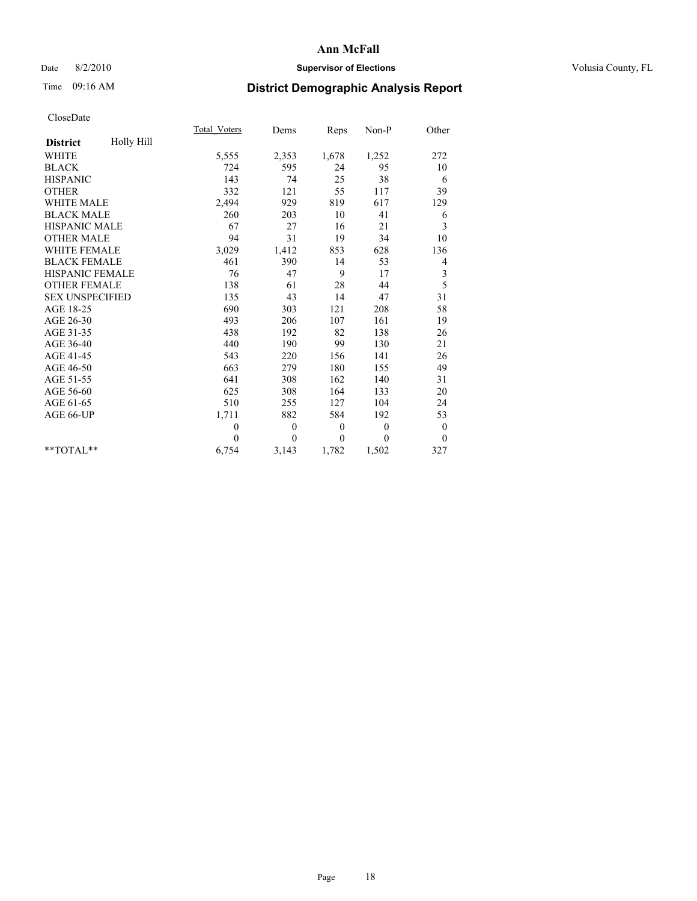# Date 8/2/2010 **Supervisor of Elections Supervisor of Elections** Volusia County, FL

# Time 09:16 AM **District Demographic Analysis Report**

|                        |            | <b>Total Voters</b> | Dems     | Reps             | $Non-P$      | Other            |
|------------------------|------------|---------------------|----------|------------------|--------------|------------------|
| <b>District</b>        | Holly Hill |                     |          |                  |              |                  |
| <b>WHITE</b>           |            | 5,555               | 2,353    | 1,678            | 1,252        | 272              |
| <b>BLACK</b>           |            | 724                 | 595      | 24               | 95           | 10               |
| <b>HISPANIC</b>        |            | 143                 | 74       | 25               | 38           | 6                |
| <b>OTHER</b>           |            | 332                 | 121      | 55               | 117          | 39               |
| <b>WHITE MALE</b>      |            | 2,494               | 929      | 819              | 617          | 129              |
| <b>BLACK MALE</b>      |            | 260                 | 203      | 10               | 41           | 6                |
| <b>HISPANIC MALE</b>   |            | 67                  | 27       | 16               | 21           | 3                |
| <b>OTHER MALE</b>      |            | 94                  | 31       | 19               | 34           | 10               |
| <b>WHITE FEMALE</b>    |            | 3,029               | 1,412    | 853              | 628          | 136              |
| <b>BLACK FEMALE</b>    |            | 461                 | 390      | 14               | 53           | 4                |
| HISPANIC FEMALE        |            | 76                  | 47       | 9                | 17           | 3                |
| <b>OTHER FEMALE</b>    |            | 138                 | 61       | 28               | 44           | 5                |
| <b>SEX UNSPECIFIED</b> |            | 135                 | 43       | 14               | 47           | 31               |
| AGE 18-25              |            | 690                 | 303      | 121              | 208          | 58               |
| AGE 26-30              |            | 493                 | 206      | 107              | 161          | 19               |
| AGE 31-35              |            | 438                 | 192      | 82               | 138          | 26               |
| AGE 36-40              |            | 440                 | 190      | 99               | 130          | 21               |
| AGE 41-45              |            | 543                 | 220      | 156              | 141          | 26               |
| AGE 46-50              |            | 663                 | 279      | 180              | 155          | 49               |
| AGE 51-55              |            | 641                 | 308      | 162              | 140          | 31               |
| AGE 56-60              |            | 625                 | 308      | 164              | 133          | 20               |
| AGE 61-65              |            | 510                 | 255      | 127              | 104          | 24               |
| AGE 66-UP              |            | 1,711               | 882      | 584              | 192          | 53               |
|                        |            | $\theta$            | $\theta$ | $\boldsymbol{0}$ | $\mathbf{0}$ | $\boldsymbol{0}$ |
|                        |            | $\theta$            | $\theta$ | $\mathbf{0}$     | $\theta$     | $\theta$         |
| $*$ TOTAL $*$          |            | 6,754               | 3,143    | 1,782            | 1,502        | 327              |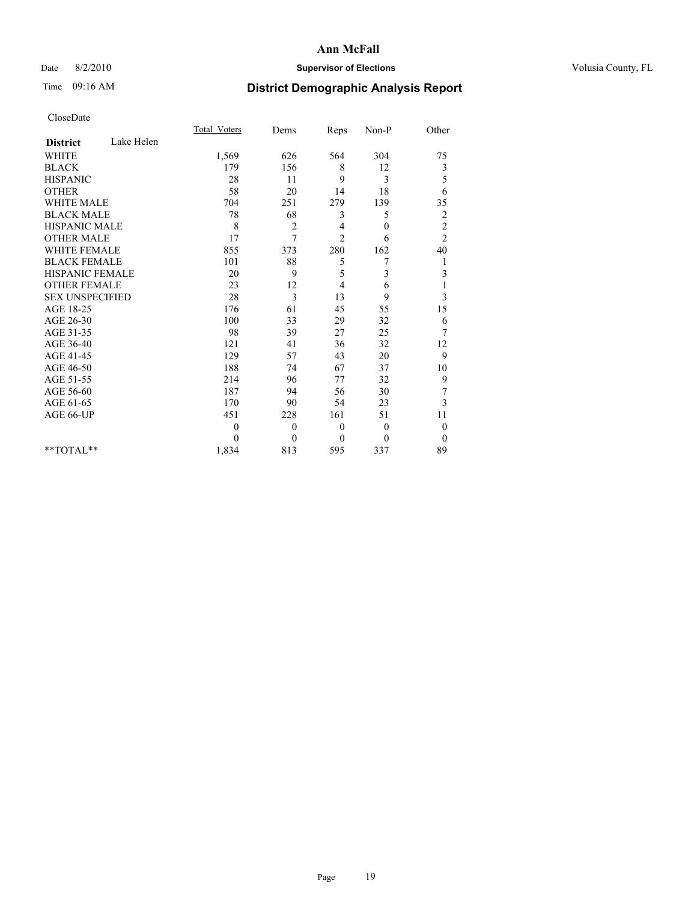# Date 8/2/2010 **Supervisor of Elections Supervisor of Elections** Volusia County, FL

# Time 09:16 AM **District Demographic Analysis Report**

|                        |            | <b>Total Voters</b> | Dems           | Reps           | Non-P            | Other                   |
|------------------------|------------|---------------------|----------------|----------------|------------------|-------------------------|
| <b>District</b>        | Lake Helen |                     |                |                |                  |                         |
| <b>WHITE</b>           |            | 1,569               | 626            | 564            | 304              | 75                      |
| <b>BLACK</b>           |            | 179                 | 156            | 8              | 12               | 3                       |
| <b>HISPANIC</b>        |            | 28                  | 11             | 9              | 3                | 5                       |
| <b>OTHER</b>           |            | 58                  | 20             | 14             | 18               | 6                       |
| <b>WHITE MALE</b>      |            | 704                 | 251            | 279            | 139              | 35                      |
| <b>BLACK MALE</b>      |            | 78                  | 68             | 3              | 5                | $\overline{\mathbf{c}}$ |
| <b>HISPANIC MALE</b>   |            | 8                   | $\overline{2}$ | 4              | $\boldsymbol{0}$ | $\overline{c}$          |
| <b>OTHER MALE</b>      |            | 17                  | 7              | $\overline{c}$ | 6                | $\overline{c}$          |
| <b>WHITE FEMALE</b>    |            | 855                 | 373            | 280            | 162              | 40                      |
| <b>BLACK FEMALE</b>    |            | 101                 | 88             | 5              | 7                |                         |
| HISPANIC FEMALE        |            | 20                  | 9              | 5              | 3                | 3                       |
| <b>OTHER FEMALE</b>    |            | 23                  | 12             | $\overline{4}$ | 6                |                         |
| <b>SEX UNSPECIFIED</b> |            | 28                  | 3              | 13             | 9                | 3                       |
| AGE 18-25              |            | 176                 | 61             | 45             | 55               | 15                      |
| AGE 26-30              |            | 100                 | 33             | 29             | 32               | 6                       |
| AGE 31-35              |            | 98                  | 39             | 27             | 25               | 7                       |
| AGE 36-40              |            | 121                 | 41             | 36             | 32               | 12                      |
| AGE 41-45              |            | 129                 | 57             | 43             | 20               | 9                       |
| AGE 46-50              |            | 188                 | 74             | 67             | 37               | 10                      |
| AGE 51-55              |            | 214                 | 96             | 77             | 32               | 9                       |
| AGE 56-60              |            | 187                 | 94             | 56             | 30               | 7                       |
| AGE 61-65              |            | 170                 | 90             | 54             | 23               | 3                       |
| AGE 66-UP              |            | 451                 | 228            | 161            | 51               | 11                      |
|                        |            | $\theta$            | $\theta$       | $\mathbf{0}$   | $\theta$         | $\theta$                |
|                        |            | $\Omega$            | $\theta$       | $\mathbf{0}$   | $\mathbf{0}$     | $\overline{0}$          |
| $*$ $TOTAI.**$         |            | 1,834               | 813            | 595            | 337              | 89                      |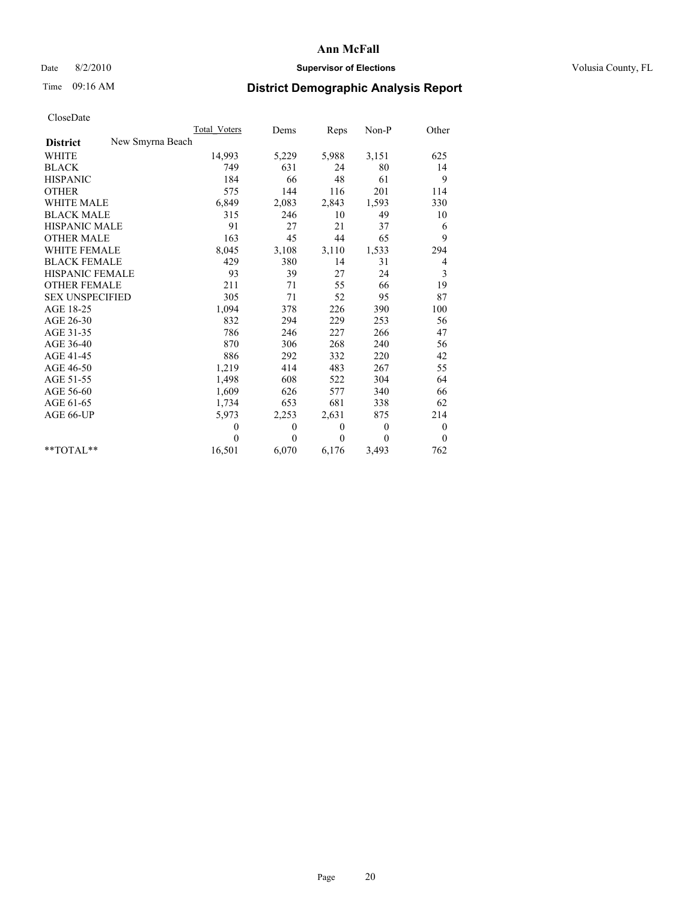# Date 8/2/2010 **Supervisor of Elections Supervisor of Elections** Volusia County, FL

# Time 09:16 AM **District Demographic Analysis Report**

|                                     | <b>Total Voters</b> | Dems     | Reps         | Non-P        | Other            |
|-------------------------------------|---------------------|----------|--------------|--------------|------------------|
| New Smyrna Beach<br><b>District</b> |                     |          |              |              |                  |
| <b>WHITE</b>                        | 14,993              | 5,229    | 5,988        | 3,151        | 625              |
| <b>BLACK</b>                        | 749                 | 631      | 24           | 80           | 14               |
| <b>HISPANIC</b>                     | 184                 | 66       | 48           | 61           | 9                |
| <b>OTHER</b>                        | 575                 | 144      | 116          | 201          | 114              |
| <b>WHITE MALE</b>                   | 6,849               | 2,083    | 2,843        | 1,593        | 330              |
| <b>BLACK MALE</b>                   | 315                 | 246      | 10           | 49           | 10               |
| <b>HISPANIC MALE</b>                | 91                  | 27       | 21           | 37           | 6                |
| <b>OTHER MALE</b>                   | 163                 | 45       | 44           | 65           | 9                |
| <b>WHITE FEMALE</b>                 | 8,045               | 3,108    | 3,110        | 1,533        | 294              |
| <b>BLACK FEMALE</b>                 | 429                 | 380      | 14           | 31           | 4                |
| HISPANIC FEMALE                     | 93                  | 39       | 27           | 24           | 3                |
| <b>OTHER FEMALE</b>                 | 211                 | 71       | 55           | 66           | 19               |
| <b>SEX UNSPECIFIED</b>              | 305                 | 71       | 52           | 95           | 87               |
| AGE 18-25                           | 1,094               | 378      | 226          | 390          | 100              |
| AGE 26-30                           | 832                 | 294      | 229          | 253          | 56               |
| AGE 31-35                           | 786                 | 246      | 227          | 266          | 47               |
| AGE 36-40                           | 870                 | 306      | 268          | 240          | 56               |
| AGE 41-45                           | 886                 | 292      | 332          | 220          | 42               |
| AGE 46-50                           | 1,219               | 414      | 483          | 267          | 55               |
| AGE 51-55                           | 1,498               | 608      | 522          | 304          | 64               |
| AGE 56-60                           | 1,609               | 626      | 577          | 340          | 66               |
| AGE 61-65                           | 1,734               | 653      | 681          | 338          | 62               |
| AGE 66-UP                           | 5,973               | 2,253    | 2,631        | 875          | 214              |
|                                     | $\theta$            | $\theta$ | $\mathbf{0}$ | $\mathbf{0}$ | $\boldsymbol{0}$ |
|                                     | $\theta$            | $\theta$ | $\theta$     | $\theta$     | $\mathbf{0}$     |
| $*$ $TOTAI.**$                      | 16,501              | 6,070    | 6,176        | 3,493        | 762              |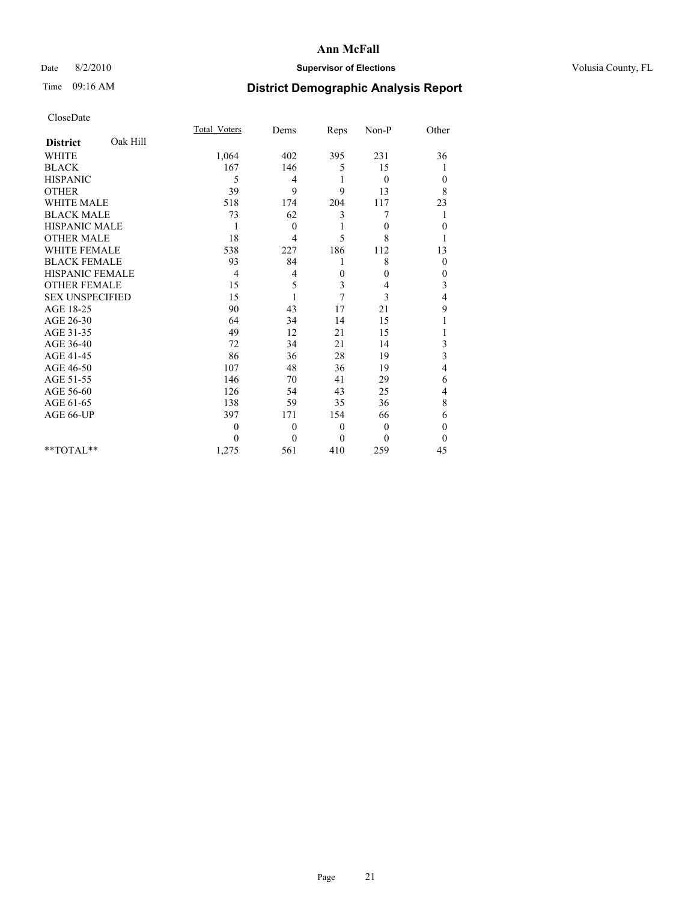# Date 8/2/2010 **Supervisor of Elections Supervisor of Elections** Volusia County, FL

# Time 09:16 AM **District Demographic Analysis Report**

|                        |          | <b>Total Voters</b> | Dems         | Reps     | Non-P          | Other        |
|------------------------|----------|---------------------|--------------|----------|----------------|--------------|
| <b>District</b>        | Oak Hill |                     |              |          |                |              |
| <b>WHITE</b>           |          | 1,064               | 402          | 395      | 231            | 36           |
| <b>BLACK</b>           |          | 167                 | 146          | 5        | 15             |              |
| <b>HISPANIC</b>        |          | 5                   | 4            | 1        | $\overline{0}$ | $\theta$     |
| <b>OTHER</b>           |          | 39                  | 9            | 9        | 13             | 8            |
| <b>WHITE MALE</b>      |          | 518                 | 174          | 204      | 117            | 23           |
| <b>BLACK MALE</b>      |          | 73                  | 62           | 3        | 7              | 1            |
| <b>HISPANIC MALE</b>   |          |                     | $\mathbf{0}$ |          | $\theta$       | $\mathbf{0}$ |
| <b>OTHER MALE</b>      |          | 18                  | 4            | 5        | 8              |              |
| <b>WHITE FEMALE</b>    |          | 538                 | 227          | 186      | 112            | 13           |
| <b>BLACK FEMALE</b>    |          | 93                  | 84           |          | 8              | $\theta$     |
| HISPANIC FEMALE        |          | 4                   | 4            | 0        | $\theta$       | $\mathbf{0}$ |
| <b>OTHER FEMALE</b>    |          | 15                  | 5            | 3        | 4              | 3            |
| <b>SEX UNSPECIFIED</b> |          | 15                  | 1            | 7        | 3              | 4            |
| AGE 18-25              |          | 90                  | 43           | 17       | 21             | 9            |
| AGE 26-30              |          | 64                  | 34           | 14       | 15             |              |
| AGE 31-35              |          | 49                  | 12           | 21       | 15             |              |
| AGE 36-40              |          | 72                  | 34           | 21       | 14             | 3            |
| AGE 41-45              |          | 86                  | 36           | 28       | 19             | 3            |
| AGE 46-50              |          | 107                 | 48           | 36       | 19             | 4            |
| AGE 51-55              |          | 146                 | 70           | 41       | 29             | 6            |
| AGE 56-60              |          | 126                 | 54           | 43       | 25             | 4            |
| AGE 61-65              |          | 138                 | 59           | 35       | 36             | 8            |
| AGE 66-UP              |          | 397                 | 171          | 154      | 66             | 6            |
|                        |          | $\theta$            | $\mathbf{0}$ | $\theta$ | $\theta$       | $\theta$     |
|                        |          | $\theta$            | $\theta$     | $\Omega$ | $\theta$       | $\Omega$     |
| $*$ TOTAL $*$          |          | 1,275               | 561          | 410      | 259            | 45           |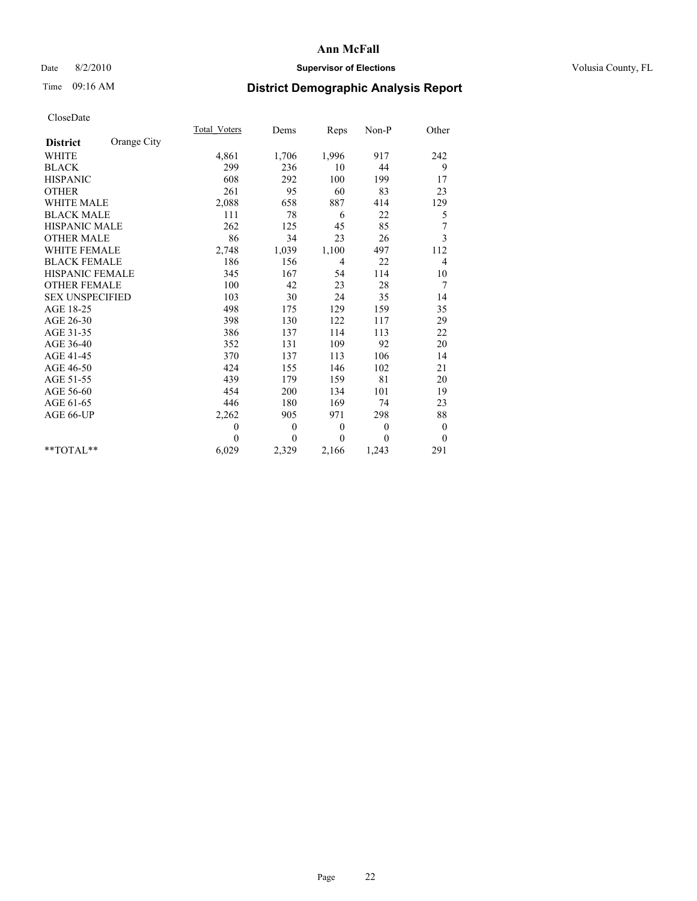# Date 8/2/2010 **Supervisor of Elections Supervisor of Elections** Volusia County, FL

# Time 09:16 AM **District Demographic Analysis Report**

|                        |             | Total Voters | Dems           | Reps           | $Non-P$      | Other            |
|------------------------|-------------|--------------|----------------|----------------|--------------|------------------|
| <b>District</b>        | Orange City |              |                |                |              |                  |
| <b>WHITE</b>           |             | 4,861        | 1,706          | 1,996          | 917          | 242              |
| <b>BLACK</b>           |             | 299          | 236            | 10             | 44           | 9                |
| <b>HISPANIC</b>        |             | 608          | 292            | 100            | 199          | 17               |
| <b>OTHER</b>           |             | 261          | 95             | 60             | 83           | 23               |
| <b>WHITE MALE</b>      |             | 2,088        | 658            | 887            | 414          | 129              |
| <b>BLACK MALE</b>      |             | 111          | 78             | 6              | 22           | 5                |
| <b>HISPANIC MALE</b>   |             | 262          | 125            | 45             | 85           | 7                |
| <b>OTHER MALE</b>      |             | 86           | 34             | 23             | 26           | 3                |
| WHITE FEMALE           |             | 2,748        | 1,039          | 1,100          | 497          | 112              |
| <b>BLACK FEMALE</b>    |             | 186          | 156            | $\overline{4}$ | 22           | 4                |
| HISPANIC FEMALE        |             | 345          | 167            | 54             | 114          | 10               |
| <b>OTHER FEMALE</b>    |             | 100          | 42             | 23             | 28           | 7                |
| <b>SEX UNSPECIFIED</b> |             | 103          | 30             | 24             | 35           | 14               |
| AGE 18-25              |             | 498          | 175            | 129            | 159          | 35               |
| AGE 26-30              |             | 398          | 130            | 122            | 117          | 29               |
| AGE 31-35              |             | 386          | 137            | 114            | 113          | 22               |
| AGE 36-40              |             | 352          | 131            | 109            | 92           | 20               |
| AGE 41-45              |             | 370          | 137            | 113            | 106          | 14               |
| AGE 46-50              |             | 424          | 155            | 146            | 102          | 21               |
| AGE 51-55              |             | 439          | 179            | 159            | 81           | 20               |
| AGE 56-60              |             | 454          | 200            | 134            | 101          | 19               |
| AGE 61-65              |             | 446          | 180            | 169            | 74           | 23               |
| AGE 66-UP              |             | 2,262        | 905            | 971            | 298          | 88               |
|                        |             | $\mathbf{0}$ | $\overline{0}$ | $\mathbf{0}$   | $\theta$     | $\boldsymbol{0}$ |
|                        |             | $\theta$     | $\theta$       | $\mathbf{0}$   | $\mathbf{0}$ | $\overline{0}$   |
| $*$ $TOTAI.**$         |             | 6,029        | 2,329          | 2,166          | 1,243        | 291              |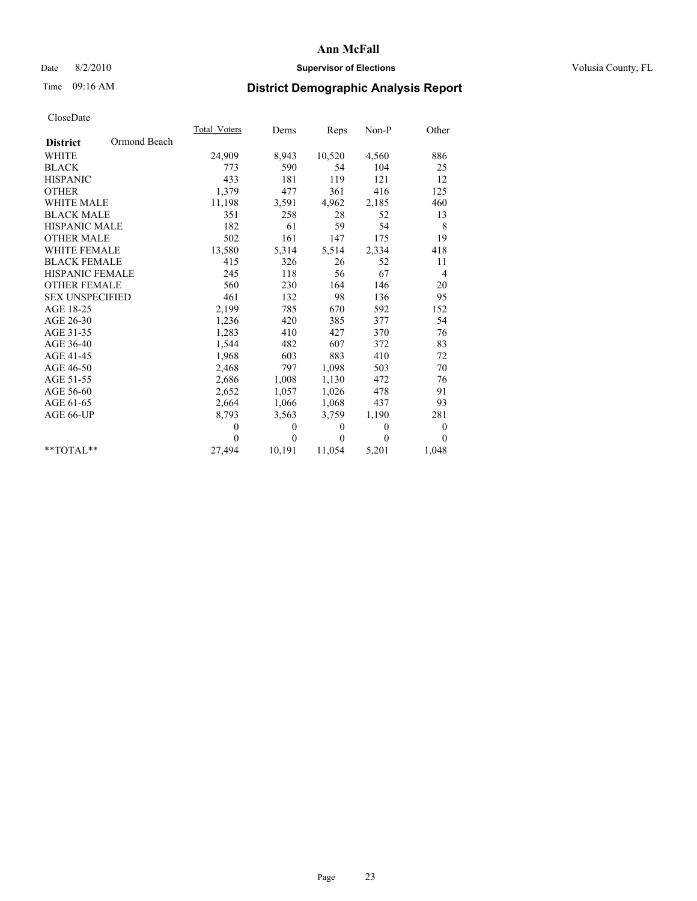# Date 8/2/2010 **Supervisor of Elections Supervisor of Elections** Volusia County, FL

# Time 09:16 AM **District Demographic Analysis Report**

|                        |              | Total Voters | Dems     | <b>Reps</b> | $Non-P$  | Other            |  |
|------------------------|--------------|--------------|----------|-------------|----------|------------------|--|
| <b>District</b>        | Ormond Beach |              |          |             |          |                  |  |
| <b>WHITE</b>           |              | 24,909       | 8,943    | 10,520      | 4,560    | 886              |  |
| <b>BLACK</b>           |              | 773          | 590      | 54          | 104      | 25               |  |
| <b>HISPANIC</b>        |              | 433          | 181      | 119         | 121      | 12               |  |
| <b>OTHER</b>           |              | 1,379        | 477      | 361         | 416      | 125              |  |
| <b>WHITE MALE</b>      |              | 11,198       | 3,591    | 4,962       | 2,185    | 460              |  |
| <b>BLACK MALE</b>      |              | 351          | 258      | 28          | 52       | 13               |  |
| <b>HISPANIC MALE</b>   |              | 182          | 61       | 59          | 54       | 8                |  |
| <b>OTHER MALE</b>      |              | 502          | 161      | 147         | 175      | 19               |  |
| <b>WHITE FEMALE</b>    |              | 13,580       | 5,314    | 5,514       | 2,334    | 418              |  |
| <b>BLACK FEMALE</b>    |              | 415          | 326      | 26          | 52       | 11               |  |
| HISPANIC FEMALE        |              | 245          | 118      | 56          | 67       | 4                |  |
| <b>OTHER FEMALE</b>    |              | 560          | 230      | 164         | 146      | 20               |  |
| <b>SEX UNSPECIFIED</b> |              | 461          | 132      | 98          | 136      | 95               |  |
| AGE 18-25              |              | 2,199        | 785      | 670         | 592      | 152              |  |
| AGE 26-30              |              | 1,236        | 420      | 385         | 377      | 54               |  |
| AGE 31-35              |              | 1,283        | 410      | 427         | 370      | 76               |  |
| AGE 36-40              |              | 1,544        | 482      | 607         | 372      | 83               |  |
| AGE 41-45              |              | 1,968        | 603      | 883         | 410      | 72               |  |
| AGE 46-50              |              | 2,468        | 797      | 1,098       | 503      | 70               |  |
| AGE 51-55              |              | 2,686        | 1,008    | 1,130       | 472      | 76               |  |
| AGE 56-60              |              | 2,652        | 1,057    | 1,026       | 478      | 91               |  |
| AGE 61-65              |              | 2,664        | 1,066    | 1,068       | 437      | 93               |  |
| AGE 66-UP              |              | 8,793        | 3,563    | 3,759       | 1,190    | 281              |  |
|                        |              | $\mathbf{0}$ | $\theta$ | $\theta$    | $\theta$ | $\boldsymbol{0}$ |  |
|                        |              | $\Omega$     | $\theta$ | $\theta$    | $\theta$ | $\theta$         |  |
| $*$ $TOTAI.**$         |              | 27,494       | 10,191   | 11,054      | 5,201    | 1,048            |  |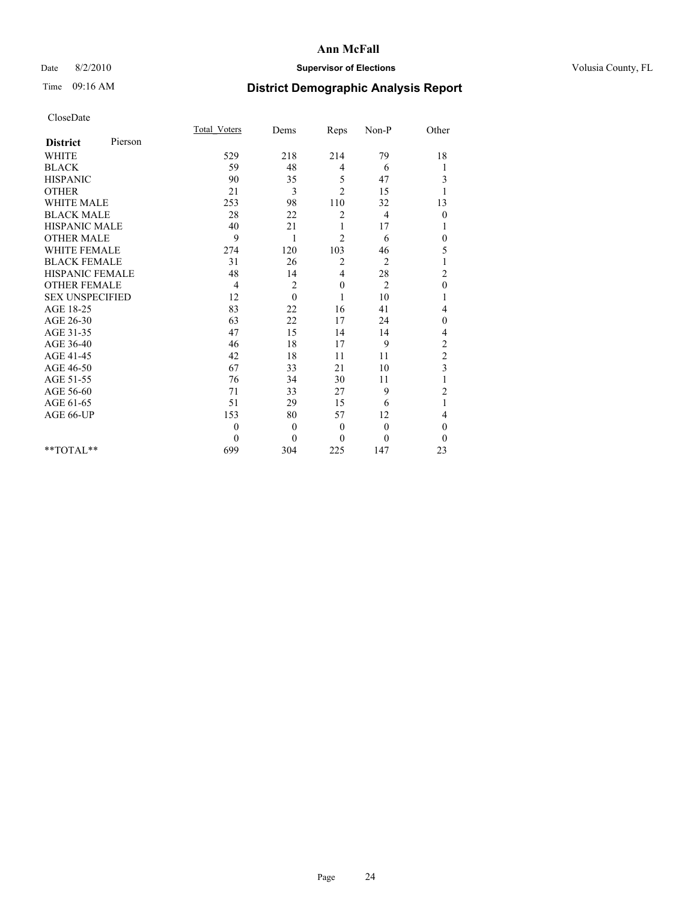# Date 8/2/2010 **Supervisor of Elections Supervisor of Elections** Volusia County, FL

# Time 09:16 AM **District Demographic Analysis Report**

|                        |         | Total Voters | Dems     | Reps           | Non-P          | Other                   |  |
|------------------------|---------|--------------|----------|----------------|----------------|-------------------------|--|
| <b>District</b>        | Pierson |              |          |                |                |                         |  |
| <b>WHITE</b>           |         | 529          | 218      | 214            | 79             | 18                      |  |
| <b>BLACK</b>           |         | 59           | 48       | 4              | 6              | 1                       |  |
| <b>HISPANIC</b>        |         | 90           | 35       | 5              | 47             | 3                       |  |
| <b>OTHER</b>           |         | 21           | 3        | $\overline{c}$ | 15             | 1                       |  |
| <b>WHITE MALE</b>      |         | 253          | 98       | 110            | 32             | 13                      |  |
| <b>BLACK MALE</b>      |         | 28           | 22       | $\overline{c}$ | $\overline{4}$ | $\mathbf{0}$            |  |
| <b>HISPANIC MALE</b>   |         | 40           | 21       |                | 17             | 1                       |  |
| <b>OTHER MALE</b>      |         | 9            | 1        | $\overline{c}$ | 6              | $\theta$                |  |
| WHITE FEMALE           |         | 274          | 120      | 103            | 46             | 5                       |  |
| <b>BLACK FEMALE</b>    |         | 31           | 26       | 2              | $\overline{2}$ | 1                       |  |
| HISPANIC FEMALE        |         | 48           | 14       | 4              | 28             | $\overline{c}$          |  |
| <b>OTHER FEMALE</b>    |         | 4            | 2        | $\mathbf{0}$   | $\overline{2}$ | $\mathbf{0}$            |  |
| <b>SEX UNSPECIFIED</b> |         | 12           | $\theta$ |                | 10             | 1                       |  |
| AGE 18-25              |         | 83           | 22       | 16             | 41             | 4                       |  |
| AGE 26-30              |         | 63           | 22       | 17             | 24             | $\mathbf{0}$            |  |
| AGE 31-35              |         | 47           | 15       | 14             | 14             | 4                       |  |
| AGE 36-40              |         | 46           | 18       | 17             | 9              | $\overline{c}$          |  |
| AGE 41-45              |         | 42           | 18       | 11             | 11             | $\overline{c}$          |  |
| AGE 46-50              |         | 67           | 33       | 21             | 10             | $\overline{\mathbf{3}}$ |  |
| AGE 51-55              |         | 76           | 34       | 30             | 11             |                         |  |
| AGE 56-60              |         | 71           | 33       | 27             | 9              | $\overline{c}$          |  |
| AGE 61-65              |         | 51           | 29       | 15             | 6              | 1                       |  |
| AGE 66-UP              |         | 153          | 80       | 57             | 12             | 4                       |  |
|                        |         | $\theta$     | $\theta$ | $\overline{0}$ | $\mathbf{0}$   | $\theta$                |  |
|                        |         | $\Omega$     | $\theta$ | $\theta$       | $\theta$       | $\theta$                |  |
| $*$ $TOTAI.**$         |         | 699          | 304      | 225            | 147            | 23                      |  |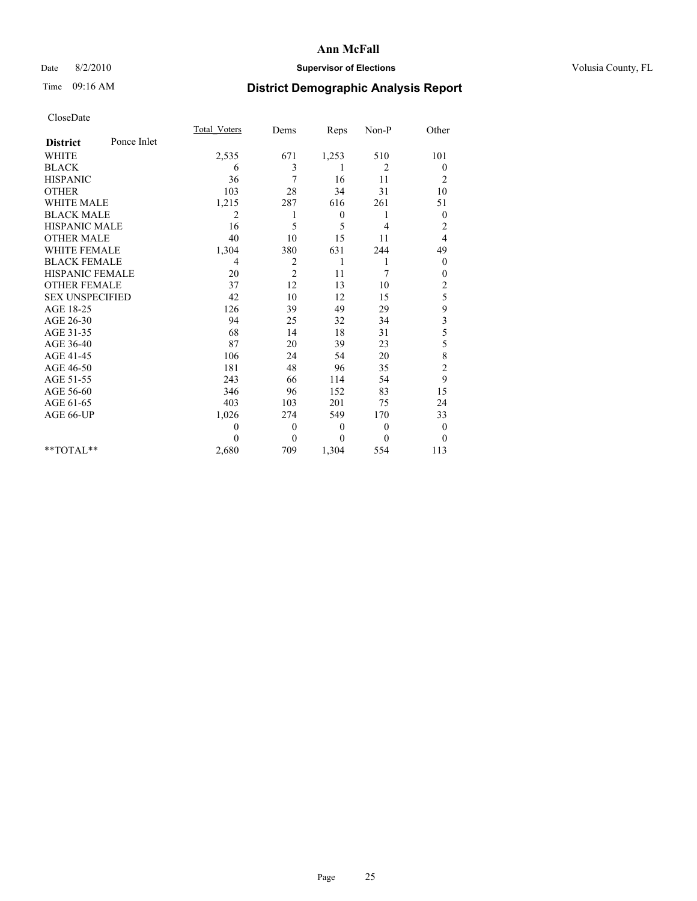# Date 8/2/2010 **Supervisor of Elections Supervisor of Elections** Volusia County, FL

# Time 09:16 AM **District Demographic Analysis Report**

|                        |             | <b>Total Voters</b> | Dems           | Reps         | Non-P          | Other            |
|------------------------|-------------|---------------------|----------------|--------------|----------------|------------------|
| <b>District</b>        | Ponce Inlet |                     |                |              |                |                  |
| <b>WHITE</b>           |             | 2,535               | 671            | 1,253        | 510            | 101              |
| <b>BLACK</b>           |             | 6                   | 3              |              | 2              | $\boldsymbol{0}$ |
| <b>HISPANIC</b>        |             | 36                  | 7              | 16           | 11             | $\overline{c}$   |
| <b>OTHER</b>           |             | 103                 | 28             | 34           | 31             | 10               |
| <b>WHITE MALE</b>      |             | 1,215               | 287            | 616          | 261            | 51               |
| <b>BLACK MALE</b>      |             | 2                   |                | $\mathbf{0}$ | 1              | $\boldsymbol{0}$ |
| <b>HISPANIC MALE</b>   |             | 16                  | 5              | 5            | 4              | $\overline{c}$   |
| <b>OTHER MALE</b>      |             | 40                  | 10             | 15           | 11             | 4                |
| <b>WHITE FEMALE</b>    |             | 1,304               | 380            | 631          | 244            | 49               |
| <b>BLACK FEMALE</b>    |             | 4                   | $\overline{2}$ | 1            | 1              | $\theta$         |
| HISPANIC FEMALE        |             | 20                  | 2              | 11           | 7              | 0                |
| <b>OTHER FEMALE</b>    |             | 37                  | 12             | 13           | 10             | $\overline{c}$   |
| <b>SEX UNSPECIFIED</b> |             | 42                  | 10             | 12           | 15             | 5                |
| AGE 18-25              |             | 126                 | 39             | 49           | 29             | 9                |
| AGE 26-30              |             | 94                  | 25             | 32           | 34             | 3                |
| AGE 31-35              |             | 68                  | 14             | 18           | 31             | 5                |
| AGE 36-40              |             | 87                  | 20             | 39           | 23             | 5                |
| AGE 41-45              |             | 106                 | 24             | 54           | 20             | 8                |
| AGE 46-50              |             | 181                 | 48             | 96           | 35             | $\overline{c}$   |
| AGE 51-55              |             | 243                 | 66             | 114          | 54             | 9                |
| AGE 56-60              |             | 346                 | 96             | 152          | 83             | 15               |
| AGE 61-65              |             | 403                 | 103            | 201          | 75             | 24               |
| AGE 66-UP              |             | 1,026               | 274            | 549          | 170            | 33               |
|                        |             | $\theta$            | $\mathbf{0}$   | $\theta$     | $\overline{0}$ | $\boldsymbol{0}$ |
|                        |             | $\Omega$            | $\mathbf{0}$   | $\theta$     | $\mathbf{0}$   | $\theta$         |
| $*$ TOTAL $*$          |             | 2,680               | 709            | 1,304        | 554            | 113              |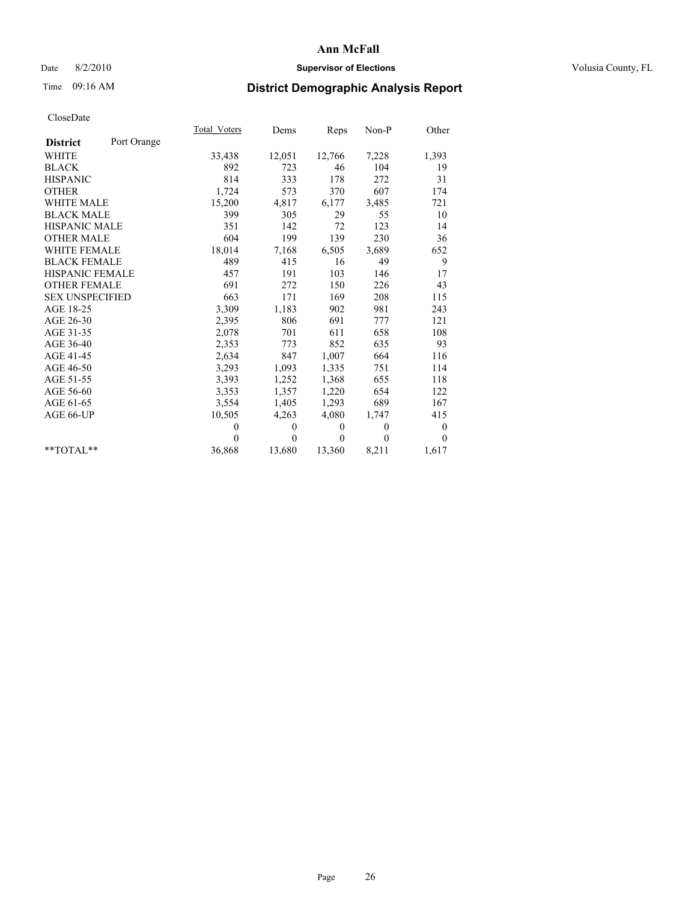# Date 8/2/2010 **Supervisor of Elections Supervisor of Elections** Volusia County, FL

# Time 09:16 AM **District Demographic Analysis Report**

|                        |             | Total Voters | Dems         | Reps     | $Non-P$      | Other            |
|------------------------|-------------|--------------|--------------|----------|--------------|------------------|
| <b>District</b>        | Port Orange |              |              |          |              |                  |
| <b>WHITE</b>           |             | 33,438       | 12,051       | 12,766   | 7,228        | 1,393            |
| <b>BLACK</b>           |             | 892          | 723          | 46       | 104          | 19               |
| <b>HISPANIC</b>        |             | 814          | 333          | 178      | 272          | 31               |
| <b>OTHER</b>           |             | 1,724        | 573          | 370      | 607          | 174              |
| <b>WHITE MALE</b>      |             | 15,200       | 4,817        | 6,177    | 3,485        | 721              |
| <b>BLACK MALE</b>      |             | 399          | 305          | 29       | 55           | 10               |
| <b>HISPANIC MALE</b>   |             | 351          | 142          | 72       | 123          | 14               |
| <b>OTHER MALE</b>      |             | 604          | 199          | 139      | 230          | 36               |
| <b>WHITE FEMALE</b>    |             | 18,014       | 7,168        | 6,505    | 3,689        | 652              |
| <b>BLACK FEMALE</b>    |             | 489          | 415          | 16       | 49           | 9                |
| HISPANIC FEMALE        |             | 457          | 191          | 103      | 146          | 17               |
| <b>OTHER FEMALE</b>    |             | 691          | 272          | 150      | 226          | 43               |
| <b>SEX UNSPECIFIED</b> |             | 663          | 171          | 169      | 208          | 115              |
| AGE 18-25              |             | 3,309        | 1,183        | 902      | 981          | 243              |
| AGE 26-30              |             | 2,395        | 806          | 691      | 777          | 121              |
| AGE 31-35              |             | 2,078        | 701          | 611      | 658          | 108              |
| AGE 36-40              |             | 2,353        | 773          | 852      | 635          | 93               |
| AGE 41-45              |             | 2,634        | 847          | 1,007    | 664          | 116              |
| AGE 46-50              |             | 3,293        | 1,093        | 1,335    | 751          | 114              |
| AGE 51-55              |             | 3,393        | 1,252        | 1,368    | 655          | 118              |
| AGE 56-60              |             | 3,353        | 1,357        | 1,220    | 654          | 122              |
| AGE 61-65              |             | 3,554        | 1,405        | 1,293    | 689          | 167              |
| AGE 66-UP              |             | 10,505       | 4,263        | 4,080    | 1,747        | 415              |
|                        |             | $\theta$     | $\mathbf{0}$ | $\theta$ | $\mathbf{0}$ | $\boldsymbol{0}$ |
|                        |             | $\Omega$     | $\theta$     | $\theta$ | $\mathbf{0}$ | $\theta$         |
| $*$ $TOTAI.**$         |             | 36,868       | 13,680       | 13,360   | 8,211        | 1,617            |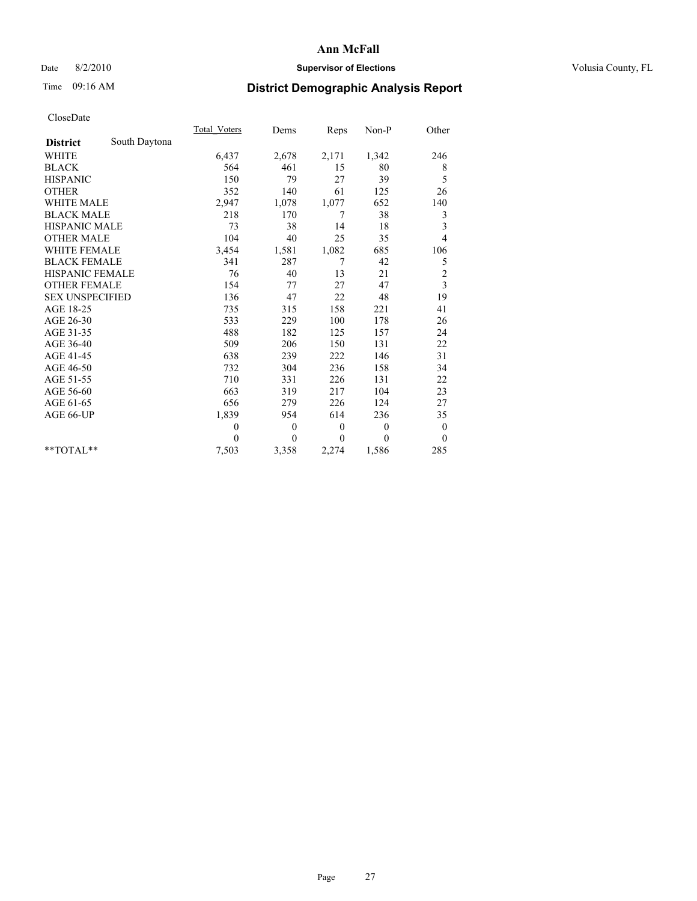# Date 8/2/2010 **Supervisor of Elections Supervisor of Elections** Volusia County, FL

# Time 09:16 AM **District Demographic Analysis Report**

|                        |               | <b>Total Voters</b> | Dems         | Reps         | $Non-P$      | Other            |
|------------------------|---------------|---------------------|--------------|--------------|--------------|------------------|
| <b>District</b>        | South Daytona |                     |              |              |              |                  |
| <b>WHITE</b>           |               | 6,437               | 2,678        | 2,171        | 1,342        | 246              |
| <b>BLACK</b>           |               | 564                 | 461          | 15           | 80           | 8                |
| <b>HISPANIC</b>        |               | 150                 | 79           | 27           | 39           | 5                |
| <b>OTHER</b>           |               | 352                 | 140          | 61           | 125          | 26               |
| <b>WHITE MALE</b>      |               | 2,947               | 1,078        | 1,077        | 652          | 140              |
| <b>BLACK MALE</b>      |               | 218                 | 170          | 7            | 38           | 3                |
| <b>HISPANIC MALE</b>   |               | 73                  | 38           | 14           | 18           | 3                |
| <b>OTHER MALE</b>      |               | 104                 | 40           | 25           | 35           | $\overline{4}$   |
| <b>WHITE FEMALE</b>    |               | 3,454               | 1,581        | 1,082        | 685          | 106              |
| <b>BLACK FEMALE</b>    |               | 341                 | 287          | 7            | 42           | 5                |
| HISPANIC FEMALE        |               | 76                  | 40           | 13           | 21           | $\overline{c}$   |
| <b>OTHER FEMALE</b>    |               | 154                 | 77           | 27           | 47           | 3                |
| <b>SEX UNSPECIFIED</b> |               | 136                 | 47           | 22           | 48           | 19               |
| AGE 18-25              |               | 735                 | 315          | 158          | 221          | 41               |
| AGE 26-30              |               | 533                 | 229          | 100          | 178          | 26               |
| AGE 31-35              |               | 488                 | 182          | 125          | 157          | 24               |
| AGE 36-40              |               | 509                 | 206          | 150          | 131          | 22               |
| AGE 41-45              |               | 638                 | 239          | 222          | 146          | 31               |
| AGE 46-50              |               | 732                 | 304          | 236          | 158          | 34               |
| AGE 51-55              |               | 710                 | 331          | 226          | 131          | 22               |
| AGE 56-60              |               | 663                 | 319          | 217          | 104          | 23               |
| AGE 61-65              |               | 656                 | 279          | 226          | 124          | 27               |
| AGE 66-UP              |               | 1,839               | 954          | 614          | 236          | 35               |
|                        |               | $\mathbf{0}$        | $\mathbf{0}$ | $\mathbf{0}$ | $\mathbf{0}$ | $\boldsymbol{0}$ |
|                        |               | $\theta$            | $\theta$     | $\theta$     | $\theta$     | $\mathbf{0}$     |
| $*$ TOTAL $*$          |               | 7,503               | 3,358        | 2,274        | 1,586        | 285              |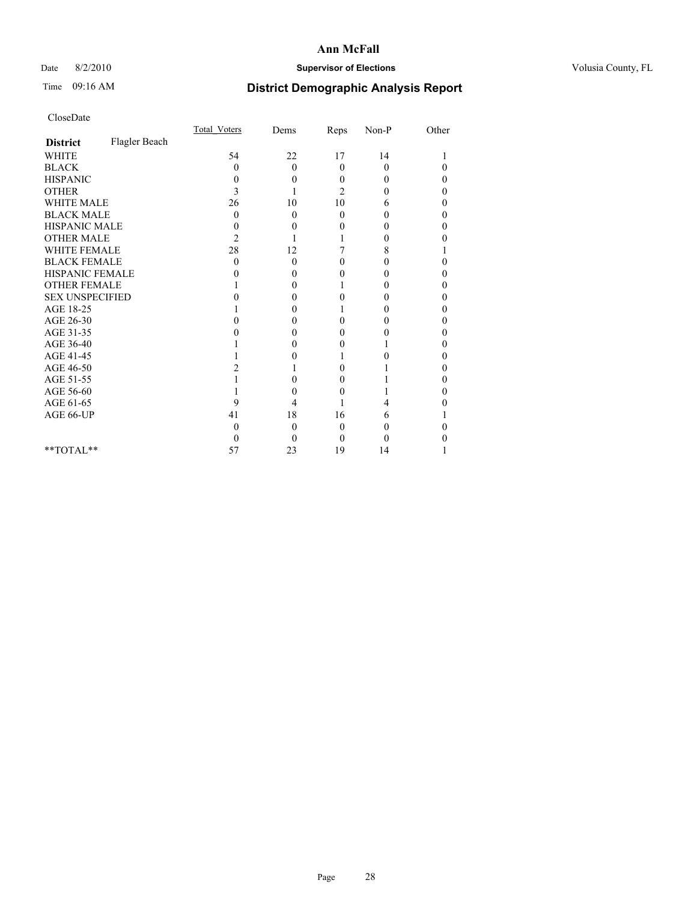# Date 8/2/2010 **Supervisor of Elections Supervisor of Elections** Volusia County, FL

# Time 09:16 AM **District Demographic Analysis Report**

|                        |               | Total Voters | Dems     | Reps           | $Non-P$  | Other    |  |
|------------------------|---------------|--------------|----------|----------------|----------|----------|--|
| <b>District</b>        | Flagler Beach |              |          |                |          |          |  |
| <b>WHITE</b>           |               | 54           | 22       | 17             | 14       |          |  |
| <b>BLACK</b>           |               | 0            | $\theta$ | $\theta$       | $\theta$ | $\theta$ |  |
| <b>HISPANIC</b>        |               | 0            | 0        | $\Omega$       | 0        | 0        |  |
| <b>OTHER</b>           |               | 3            |          | $\overline{c}$ | 0        | 0        |  |
| <b>WHITE MALE</b>      |               | 26           | 10       | 10             | 6        | 0        |  |
| <b>BLACK MALE</b>      |               | 0            | $\theta$ | $\Omega$       | 0        | 0        |  |
| HISPANIC MALE          |               | 0            | 0        | 0              | 0        | 0        |  |
| <b>OTHER MALE</b>      |               | 2            |          |                | 0        | 0        |  |
| WHITE FEMALE           |               | 28           | 12       |                | 8        |          |  |
| <b>BLACK FEMALE</b>    |               | 0            | 0        | 0              | 0        | 0        |  |
| HISPANIC FEMALE        |               |              | 0        | 0              | 0        | 0        |  |
| <b>OTHER FEMALE</b>    |               |              | 0        |                | 0        | 0        |  |
| <b>SEX UNSPECIFIED</b> |               |              | 0        | 0              | 0        | 0        |  |
| AGE 18-25              |               |              | 0        |                | 0        | 0        |  |
| AGE 26-30              |               |              | 0        | 0              | 0        | 0        |  |
| AGE 31-35              |               |              | 0        | 0              | 0        | 0        |  |
| AGE 36-40              |               |              | 0        | 0              |          | 0        |  |
| AGE 41-45              |               |              |          |                | 0        | 0        |  |
| AGE 46-50              |               |              |          | 0              |          | 0        |  |
| AGE 51-55              |               |              | 0        | 0              |          | 0        |  |
| AGE 56-60              |               |              | 0        | $\theta$       |          | 0        |  |
| AGE 61-65              |               | 9            | 4        |                | 4        |          |  |
| AGE 66-UP              |               | 41           | 18       | 16             | 6        |          |  |
|                        |               | 0            | 0        | 0              | 0        |          |  |
|                        |               | $_{0}$       | 0        | $\Omega$       | 0        |          |  |
| $*$ $TOTAI.**$         |               | 57           | 23       | 19             | 14       |          |  |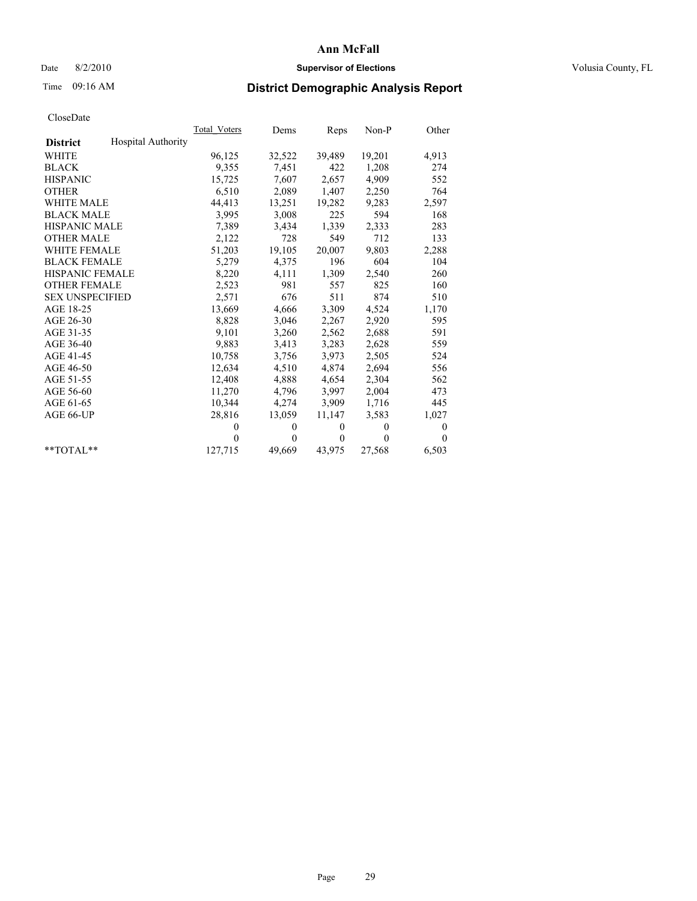# Date 8/2/2010 **Supervisor of Elections Supervisor of Elections** Volusia County, FL

# Time 09:16 AM **District Demographic Analysis Report**

|                                              | <b>Total Voters</b> | Dems         | Reps         | Non-P        | Other        |
|----------------------------------------------|---------------------|--------------|--------------|--------------|--------------|
| <b>Hospital Authority</b><br><b>District</b> |                     |              |              |              |              |
| <b>WHITE</b>                                 | 96,125              | 32,522       | 39,489       | 19,201       | 4,913        |
| <b>BLACK</b>                                 | 9,355               | 7,451        | 422          | 1,208        | 274          |
| <b>HISPANIC</b>                              | 15,725              | 7,607        | 2,657        | 4,909        | 552          |
| <b>OTHER</b>                                 | 6,510               | 2,089        | 1,407        | 2,250        | 764          |
| <b>WHITE MALE</b>                            | 44,413              | 13,251       | 19,282       | 9,283        | 2,597        |
| <b>BLACK MALE</b>                            | 3,995               | 3,008        | 225          | 594          | 168          |
| <b>HISPANIC MALE</b>                         | 7,389               | 3,434        | 1,339        | 2,333        | 283          |
| <b>OTHER MALE</b>                            | 2,122               | 728          | 549          | 712          | 133          |
| <b>WHITE FEMALE</b>                          | 51,203              | 19,105       | 20,007       | 9,803        | 2,288        |
| <b>BLACK FEMALE</b>                          | 5,279               | 4,375        | 196          | 604          | 104          |
| <b>HISPANIC FEMALE</b>                       | 8,220               | 4,111        | 1,309        | 2,540        | 260          |
| <b>OTHER FEMALE</b>                          | 2,523               | 981          | 557          | 825          | 160          |
| <b>SEX UNSPECIFIED</b>                       | 2,571               | 676          | 511          | 874          | 510          |
| AGE 18-25                                    | 13,669              | 4,666        | 3,309        | 4,524        | 1,170        |
| AGE 26-30                                    | 8,828               | 3,046        | 2,267        | 2,920        | 595          |
| AGE 31-35                                    | 9,101               | 3,260        | 2,562        | 2,688        | 591          |
| AGE 36-40                                    | 9,883               | 3,413        | 3,283        | 2,628        | 559          |
| AGE 41-45                                    | 10,758              | 3,756        | 3,973        | 2,505        | 524          |
| AGE 46-50                                    | 12,634              | 4,510        | 4,874        | 2,694        | 556          |
| AGE 51-55                                    | 12,408              | 4,888        | 4,654        | 2,304        | 562          |
| AGE 56-60                                    | 11,270              | 4,796        | 3,997        | 2,004        | 473          |
| AGE 61-65                                    | 10,344              | 4,274        | 3,909        | 1,716        | 445          |
| AGE 66-UP                                    | 28,816              | 13,059       | 11,147       | 3,583        | 1,027        |
|                                              | $\theta$            | $\mathbf{0}$ | $\mathbf{0}$ | $\mathbf{0}$ | $\mathbf{0}$ |
|                                              | $\Omega$            | $\theta$     | $\mathbf{0}$ | $\theta$     | $\Omega$     |
| $*$ $TOTAI.**$                               | 127,715             | 49,669       | 43,975       | 27,568       | 6,503        |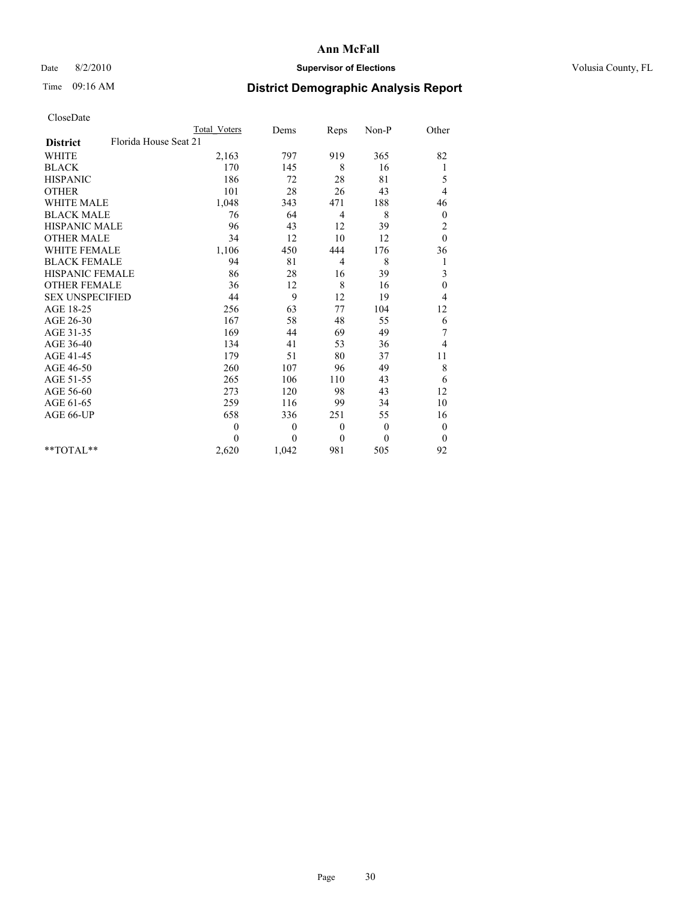## Date 8/2/2010 **Supervisor of Elections Supervisor of Elections** Volusia County, FL

# Time 09:16 AM **District Demographic Analysis Report**

|                                          | <b>Total Voters</b> | Dems             | Reps         | Non-P    | Other            |  |
|------------------------------------------|---------------------|------------------|--------------|----------|------------------|--|
| Florida House Seat 21<br><b>District</b> |                     |                  |              |          |                  |  |
| <b>WHITE</b>                             | 2,163               | 797              | 919          | 365      | 82               |  |
| <b>BLACK</b>                             | 170                 | 145              | 8            | 16       | 1                |  |
| <b>HISPANIC</b>                          | 186                 | 72               | 28           | 81       | 5                |  |
| <b>OTHER</b>                             | 101                 | 28               | 26           | 43       | 4                |  |
| <b>WHITE MALE</b>                        | 1,048               | 343              | 471          | 188      | 46               |  |
| <b>BLACK MALE</b>                        | 76                  | 64               | 4            | 8        | $\boldsymbol{0}$ |  |
| HISPANIC MALE                            | 96                  | 43               | 12           | 39       | $\overline{c}$   |  |
| <b>OTHER MALE</b>                        | 34                  | 12               | 10           | 12       | $\mathbf{0}$     |  |
| <b>WHITE FEMALE</b>                      | 1,106               | 450              | 444          | 176      | 36               |  |
| <b>BLACK FEMALE</b>                      | 94                  | 81               | 4            | 8        | 1                |  |
| HISPANIC FEMALE                          | 86                  | 28               | 16           | 39       | 3                |  |
| <b>OTHER FEMALE</b>                      | 36                  | 12               | 8            | 16       | $\boldsymbol{0}$ |  |
| <b>SEX UNSPECIFIED</b>                   | 44                  | 9                | 12           | 19       | 4                |  |
| AGE 18-25                                | 256                 | 63               | 77           | 104      | 12               |  |
| AGE 26-30                                | 167                 | 58               | 48           | 55       | 6                |  |
| AGE 31-35                                | 169                 | 44               | 69           | 49       | $\sqrt{ }$       |  |
| AGE 36-40                                | 134                 | 41               | 53           | 36       | 4                |  |
| AGE 41-45                                | 179                 | 51               | 80           | 37       | 11               |  |
| AGE 46-50                                | 260                 | 107              | 96           | 49       | 8                |  |
| AGE 51-55                                | 265                 | 106              | 110          | 43       | 6                |  |
| AGE 56-60                                | 273                 | 120              | 98           | 43       | 12               |  |
| AGE 61-65                                | 259                 | 116              | 99           | 34       | 10               |  |
| AGE 66-UP                                | 658                 | 336              | 251          | 55       | 16               |  |
|                                          | $\mathbf{0}$        | $\boldsymbol{0}$ | $\mathbf{0}$ | $\theta$ | $\boldsymbol{0}$ |  |
|                                          | $\Omega$            | $\theta$         | $\theta$     | $\theta$ | $\theta$         |  |
| $*$ $TOTAI.**$                           | 2,620               | 1,042            | 981          | 505      | 92               |  |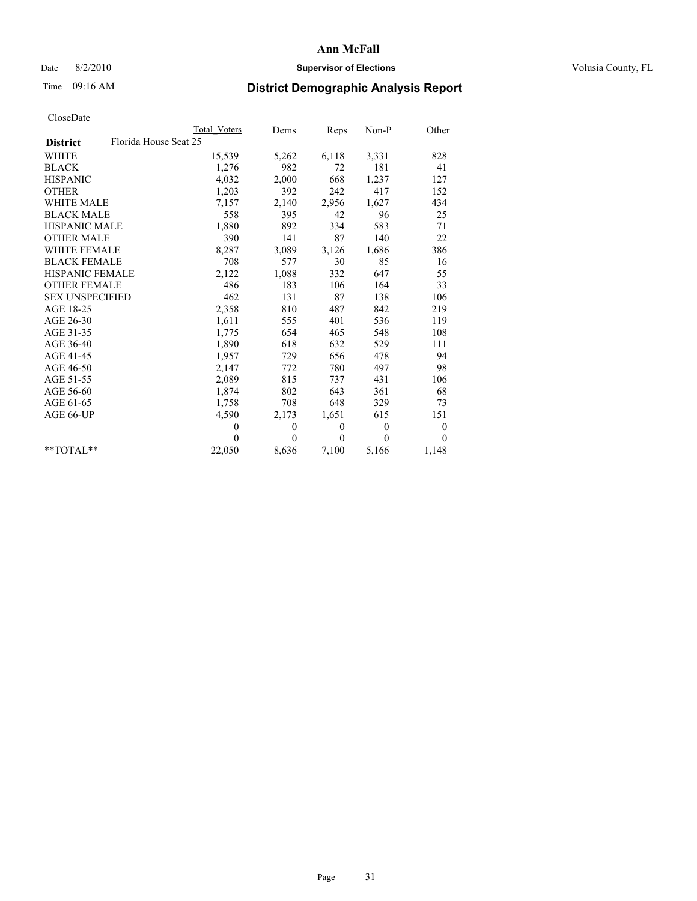# Date 8/2/2010 **Supervisor of Elections Supervisor of Elections** Volusia County, FL

# Time 09:16 AM **District Demographic Analysis Report**

|                                          | <b>Total Voters</b> | Dems         | Reps         | $Non-P$      | Other    |
|------------------------------------------|---------------------|--------------|--------------|--------------|----------|
| Florida House Seat 25<br><b>District</b> |                     |              |              |              |          |
| <b>WHITE</b>                             | 15,539              | 5,262        | 6,118        | 3,331        | 828      |
| <b>BLACK</b>                             | 1,276               | 982          | 72           | 181          | 41       |
| <b>HISPANIC</b>                          | 4,032               | 2,000        | 668          | 1,237        | 127      |
| <b>OTHER</b>                             | 1,203               | 392          | 242          | 417          | 152      |
| <b>WHITE MALE</b>                        | 7,157               | 2,140        | 2,956        | 1,627        | 434      |
| <b>BLACK MALE</b>                        | 558                 | 395          | 42           | 96           | 25       |
| <b>HISPANIC MALE</b>                     | 1,880               | 892          | 334          | 583          | 71       |
| <b>OTHER MALE</b>                        | 390                 | 141          | 87           | 140          | 22       |
| WHITE FEMALE                             | 8,287               | 3,089        | 3,126        | 1,686        | 386      |
| <b>BLACK FEMALE</b>                      | 708                 | 577          | 30           | 85           | 16       |
| HISPANIC FEMALE                          | 2,122               | 1,088        | 332          | 647          | 55       |
| <b>OTHER FEMALE</b>                      | 486                 | 183          | 106          | 164          | 33       |
| <b>SEX UNSPECIFIED</b>                   | 462                 | 131          | 87           | 138          | 106      |
| AGE 18-25                                | 2,358               | 810          | 487          | 842          | 219      |
| AGE 26-30                                | 1,611               | 555          | 401          | 536          | 119      |
| AGE 31-35                                | 1,775               | 654          | 465          | 548          | 108      |
| AGE 36-40                                | 1,890               | 618          | 632          | 529          | 111      |
| AGE 41-45                                | 1,957               | 729          | 656          | 478          | 94       |
| AGE 46-50                                | 2,147               | 772          | 780          | 497          | 98       |
| AGE 51-55                                | 2,089               | 815          | 737          | 431          | 106      |
| AGE 56-60                                | 1,874               | 802          | 643          | 361          | 68       |
| AGE 61-65                                | 1,758               | 708          | 648          | 329          | 73       |
| AGE 66-UP                                | 4,590               | 2,173        | 1,651        | 615          | 151      |
|                                          | $\theta$            | $\mathbf{0}$ | $\mathbf{0}$ | $\mathbf{0}$ | $\bf{0}$ |
|                                          | $\theta$            | $\theta$     | $\theta$     | $\theta$     | $\theta$ |
| $*$ $TOTAI.**$                           | 22,050              | 8,636        | 7,100        | 5,166        | 1,148    |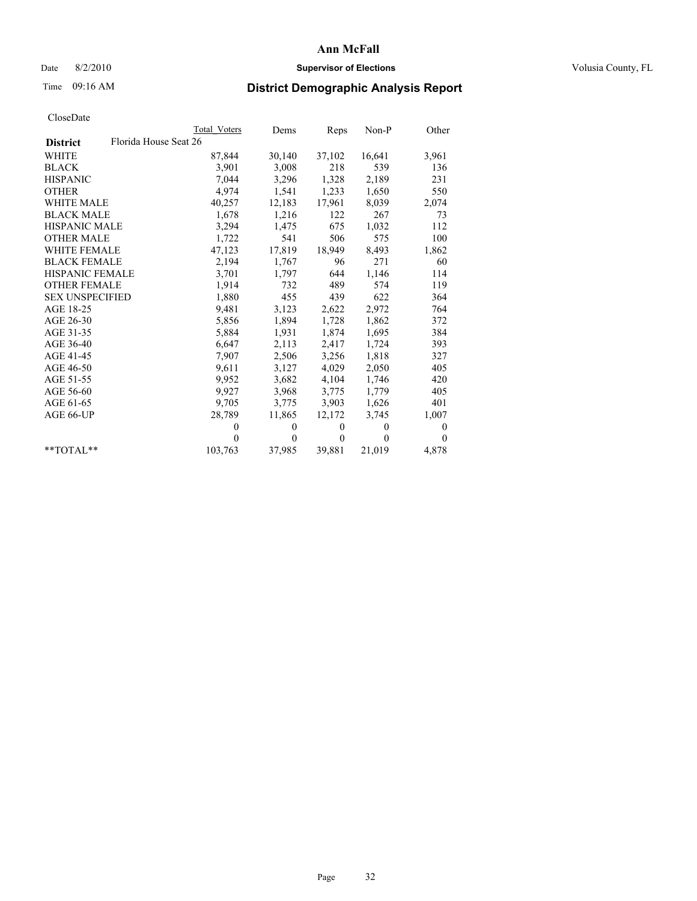# Date 8/2/2010 **Supervisor of Elections Supervisor of Elections** Volusia County, FL

# Time 09:16 AM **District Demographic Analysis Report**

|                                          | Total Voters | Dems     | Reps         | Non-P    | Other        |
|------------------------------------------|--------------|----------|--------------|----------|--------------|
| Florida House Seat 26<br><b>District</b> |              |          |              |          |              |
| <b>WHITE</b>                             | 87,844       | 30,140   | 37,102       | 16,641   | 3,961        |
| <b>BLACK</b>                             | 3,901        | 3,008    | 218          | 539      | 136          |
| <b>HISPANIC</b>                          | 7,044        | 3,296    | 1,328        | 2,189    | 231          |
| <b>OTHER</b>                             | 4,974        | 1,541    | 1,233        | 1,650    | 550          |
| <b>WHITE MALE</b>                        | 40,257       | 12,183   | 17,961       | 8,039    | 2,074        |
| <b>BLACK MALE</b>                        | 1,678        | 1,216    | 122          | 267      | 73           |
| <b>HISPANIC MALE</b>                     | 3,294        | 1,475    | 675          | 1,032    | 112          |
| <b>OTHER MALE</b>                        | 1,722        | 541      | 506          | 575      | 100          |
| <b>WHITE FEMALE</b>                      | 47,123       | 17,819   | 18,949       | 8,493    | 1,862        |
| <b>BLACK FEMALE</b>                      | 2,194        | 1,767    | 96           | 271      | 60           |
| <b>HISPANIC FEMALE</b>                   | 3,701        | 1,797    | 644          | 1,146    | 114          |
| <b>OTHER FEMALE</b>                      | 1,914        | 732      | 489          | 574      | 119          |
| <b>SEX UNSPECIFIED</b>                   | 1,880        | 455      | 439          | 622      | 364          |
| AGE 18-25                                | 9,481        | 3,123    | 2,622        | 2,972    | 764          |
| AGE 26-30                                | 5,856        | 1,894    | 1,728        | 1,862    | 372          |
| AGE 31-35                                | 5,884        | 1,931    | 1,874        | 1,695    | 384          |
| AGE 36-40                                | 6,647        | 2,113    | 2,417        | 1,724    | 393          |
| AGE 41-45                                | 7,907        | 2,506    | 3,256        | 1,818    | 327          |
| AGE 46-50                                | 9,611        | 3,127    | 4,029        | 2,050    | 405          |
| AGE 51-55                                | 9,952        | 3,682    | 4,104        | 1,746    | 420          |
| AGE 56-60                                | 9,927        | 3,968    | 3,775        | 1,779    | 405          |
| AGE 61-65                                | 9,705        | 3,775    | 3,903        | 1,626    | 401          |
| AGE 66-UP                                | 28,789       | 11,865   | 12,172       | 3,745    | 1,007        |
|                                          | $\theta$     | $\theta$ | $\mathbf{0}$ | $\theta$ | $\mathbf{0}$ |
|                                          | $\theta$     | $\theta$ | $\mathbf{0}$ | $\theta$ | $\mathbf{0}$ |
| $*$ $TOTAI.**$                           | 103,763      | 37,985   | 39,881       | 21,019   | 4,878        |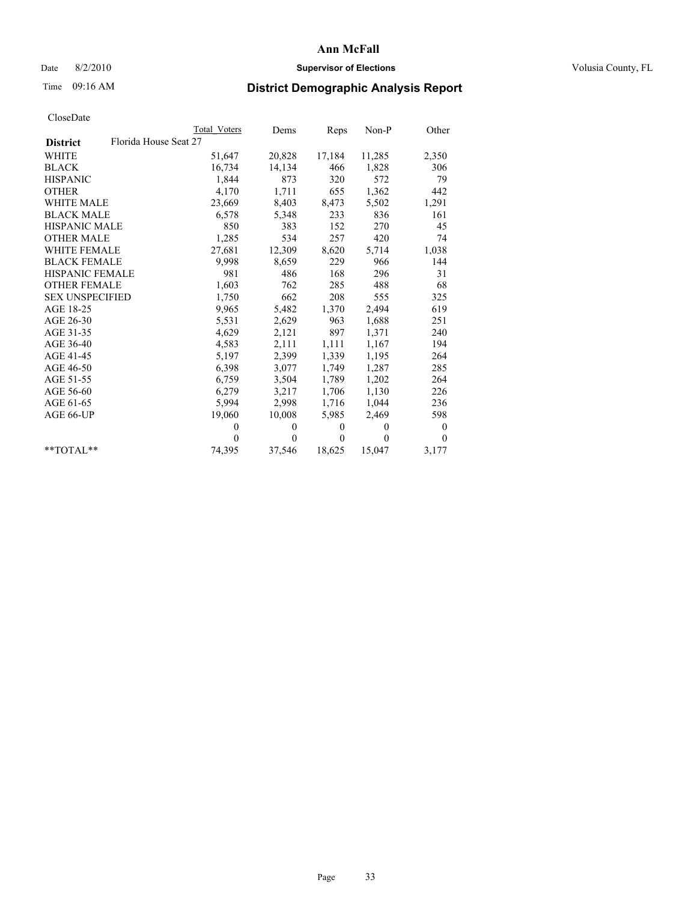# Date 8/2/2010 **Supervisor of Elections Supervisor of Elections** Volusia County, FL

# Time 09:16 AM **District Demographic Analysis Report**

|                                          | Total Voters | Dems         | Reps         | $Non-P$  | Other        |
|------------------------------------------|--------------|--------------|--------------|----------|--------------|
| Florida House Seat 27<br><b>District</b> |              |              |              |          |              |
| WHITE                                    | 51,647       | 20,828       | 17,184       | 11,285   | 2,350        |
| <b>BLACK</b>                             | 16,734       | 14,134       | 466          | 1,828    | 306          |
| <b>HISPANIC</b>                          | 1,844        | 873          | 320          | 572      | 79           |
| <b>OTHER</b>                             | 4,170        | 1,711        | 655          | 1,362    | 442          |
| <b>WHITE MALE</b>                        | 23,669       | 8,403        | 8,473        | 5,502    | 1,291        |
| <b>BLACK MALE</b>                        | 6,578        | 5,348        | 233          | 836      | 161          |
| <b>HISPANIC MALE</b>                     | 850          | 383          | 152          | 270      | 45           |
| <b>OTHER MALE</b>                        | 1,285        | 534          | 257          | 420      | 74           |
| WHITE FEMALE                             | 27,681       | 12,309       | 8,620        | 5,714    | 1,038        |
| <b>BLACK FEMALE</b>                      | 9,998        | 8,659        | 229          | 966      | 144          |
| <b>HISPANIC FEMALE</b>                   | 981          | 486          | 168          | 296      | 31           |
| <b>OTHER FEMALE</b>                      | 1,603        | 762          | 285          | 488      | 68           |
| <b>SEX UNSPECIFIED</b>                   | 1,750        | 662          | 208          | 555      | 325          |
| AGE 18-25                                | 9,965        | 5,482        | 1,370        | 2,494    | 619          |
| AGE 26-30                                | 5,531        | 2,629        | 963          | 1,688    | 251          |
| AGE 31-35                                | 4,629        | 2,121        | 897          | 1,371    | 240          |
| AGE 36-40                                | 4,583        | 2,111        | 1,111        | 1,167    | 194          |
| AGE 41-45                                | 5,197        | 2,399        | 1,339        | 1,195    | 264          |
| AGE 46-50                                | 6,398        | 3,077        | 1,749        | 1,287    | 285          |
| AGE 51-55                                | 6,759        | 3,504        | 1,789        | 1,202    | 264          |
| AGE 56-60                                | 6,279        | 3,217        | 1,706        | 1,130    | 226          |
| AGE 61-65                                | 5,994        | 2,998        | 1,716        | 1,044    | 236          |
| AGE 66-UP                                | 19,060       | 10,008       | 5,985        | 2,469    | 598          |
|                                          | $\mathbf{0}$ | $\mathbf{0}$ | $\mathbf{0}$ | $\theta$ | $\mathbf{0}$ |
|                                          | $\Omega$     | $\theta$     | $\theta$     | $\theta$ | $\theta$     |
| $*$ $TOTAI.**$                           | 74,395       | 37,546       | 18,625       | 15,047   | 3,177        |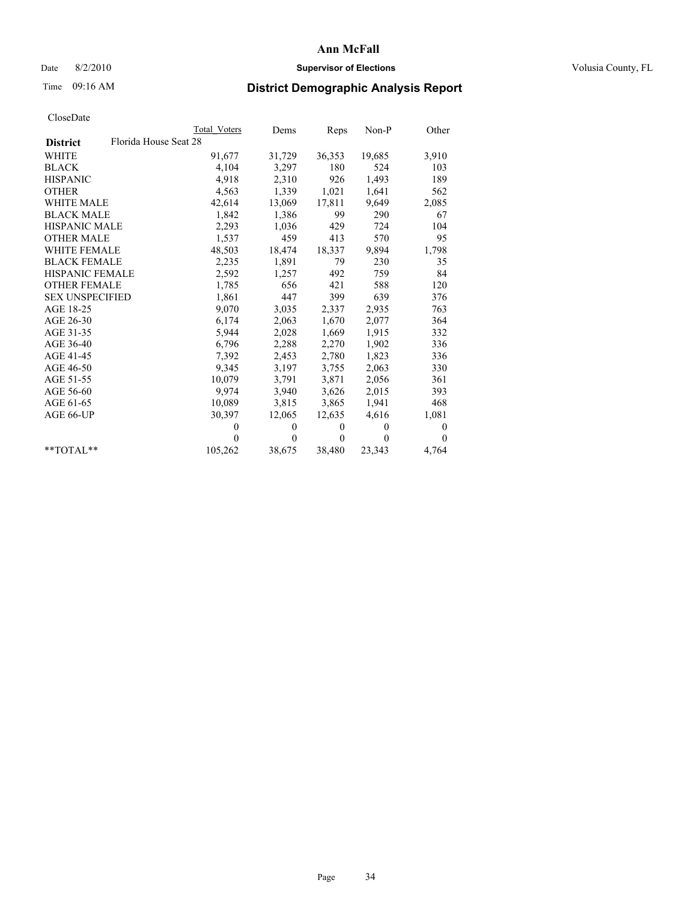# Date 8/2/2010 **Supervisor of Elections Supervisor of Elections** Volusia County, FL

# Time 09:16 AM **District Demographic Analysis Report**

|                                          | Total Voters | Dems     | Reps         | $Non-P$  | Other    |
|------------------------------------------|--------------|----------|--------------|----------|----------|
| Florida House Seat 28<br><b>District</b> |              |          |              |          |          |
| WHITE                                    | 91,677       | 31,729   | 36,353       | 19,685   | 3,910    |
| <b>BLACK</b>                             | 4,104        | 3,297    | 180          | 524      | 103      |
| <b>HISPANIC</b>                          | 4,918        | 2,310    | 926          | 1,493    | 189      |
| <b>OTHER</b>                             | 4,563        | 1,339    | 1,021        | 1,641    | 562      |
| WHITE MALE                               | 42,614       | 13,069   | 17,811       | 9,649    | 2,085    |
| <b>BLACK MALE</b>                        | 1,842        | 1,386    | 99           | 290      | 67       |
| HISPANIC MALE                            | 2,293        | 1,036    | 429          | 724      | 104      |
| <b>OTHER MALE</b>                        | 1,537        | 459      | 413          | 570      | 95       |
| <b>WHITE FEMALE</b>                      | 48,503       | 18,474   | 18,337       | 9,894    | 1,798    |
| <b>BLACK FEMALE</b>                      | 2,235        | 1,891    | 79           | 230      | 35       |
| HISPANIC FEMALE                          | 2,592        | 1,257    | 492          | 759      | 84       |
| <b>OTHER FEMALE</b>                      | 1,785        | 656      | 421          | 588      | 120      |
| <b>SEX UNSPECIFIED</b>                   | 1,861        | 447      | 399          | 639      | 376      |
| AGE 18-25                                | 9,070        | 3,035    | 2,337        | 2,935    | 763      |
| AGE 26-30                                | 6,174        | 2,063    | 1,670        | 2,077    | 364      |
| AGE 31-35                                | 5,944        | 2,028    | 1,669        | 1,915    | 332      |
| AGE 36-40                                | 6,796        | 2,288    | 2,270        | 1,902    | 336      |
| AGE 41-45                                | 7,392        | 2,453    | 2,780        | 1,823    | 336      |
| AGE 46-50                                | 9,345        | 3,197    | 3,755        | 2,063    | 330      |
| AGE 51-55                                | 10,079       | 3,791    | 3,871        | 2,056    | 361      |
| AGE 56-60                                | 9,974        | 3,940    | 3,626        | 2,015    | 393      |
| AGE 61-65                                | 10,089       | 3,815    | 3,865        | 1,941    | 468      |
| AGE 66-UP                                | 30,397       | 12,065   | 12,635       | 4,616    | 1,081    |
|                                          | $\theta$     | $\theta$ | $\mathbf{0}$ | $\theta$ | 0        |
|                                          | $\theta$     | $\theta$ | $\mathbf{0}$ | $\theta$ | $\Omega$ |
| $*$ $TOTAI.**$                           | 105,262      | 38,675   | 38,480       | 23,343   | 4,764    |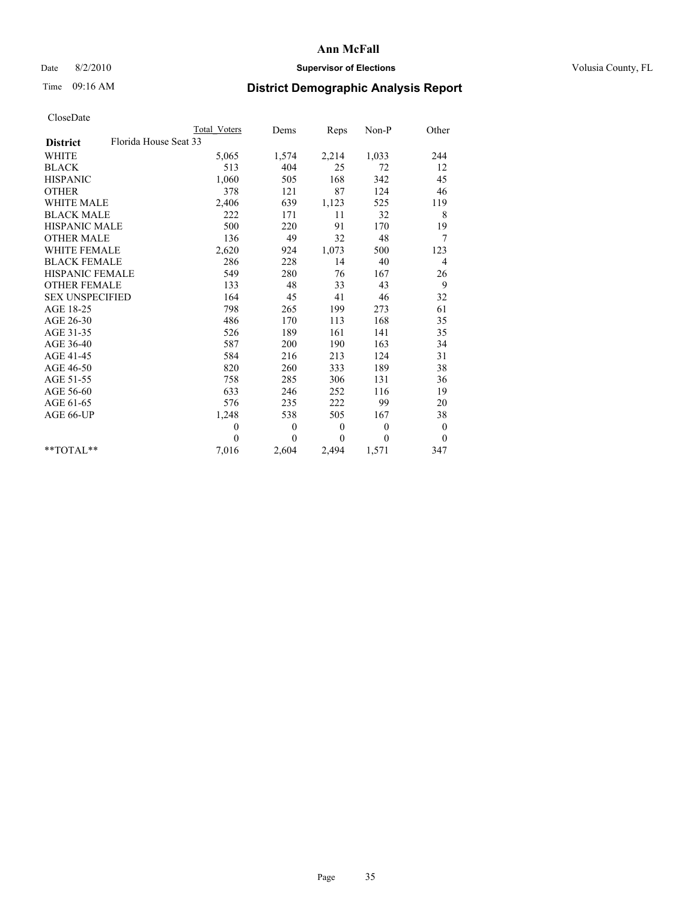# Date 8/2/2010 **Supervisor of Elections Supervisor of Elections** Volusia County, FL

# Time 09:16 AM **District Demographic Analysis Report**

|                                          | <b>Total Voters</b> | Dems             | <b>Reps</b>  | Non-P    | Other            |  |
|------------------------------------------|---------------------|------------------|--------------|----------|------------------|--|
| Florida House Seat 33<br><b>District</b> |                     |                  |              |          |                  |  |
| <b>WHITE</b>                             | 5,065               | 1,574            | 2,214        | 1,033    | 244              |  |
| <b>BLACK</b>                             | 513                 | 404              | 25           | 72       | 12               |  |
| <b>HISPANIC</b>                          | 1,060               | 505              | 168          | 342      | 45               |  |
| <b>OTHER</b>                             | 378                 | 121              | 87           | 124      | 46               |  |
| WHITE MALE                               | 2,406               | 639              | 1,123        | 525      | 119              |  |
| <b>BLACK MALE</b>                        | 222                 | 171              | 11           | 32       | 8                |  |
| <b>HISPANIC MALE</b>                     | 500                 | 220              | 91           | 170      | 19               |  |
| <b>OTHER MALE</b>                        | 136                 | 49               | 32           | 48       | 7                |  |
| <b>WHITE FEMALE</b>                      | 2,620               | 924              | 1,073        | 500      | 123              |  |
| <b>BLACK FEMALE</b>                      | 286                 | 228              | 14           | 40       | $\overline{4}$   |  |
| <b>HISPANIC FEMALE</b>                   | 549                 | 280              | 76           | 167      | 26               |  |
| <b>OTHER FEMALE</b>                      | 133                 | 48               | 33           | 43       | 9                |  |
| <b>SEX UNSPECIFIED</b>                   | 164                 | 45               | 41           | 46       | 32               |  |
| AGE 18-25                                | 798                 | 265              | 199          | 273      | 61               |  |
| AGE 26-30                                | 486                 | 170              | 113          | 168      | 35               |  |
| AGE 31-35                                | 526                 | 189              | 161          | 141      | 35               |  |
| AGE 36-40                                | 587                 | 200              | 190          | 163      | 34               |  |
| AGE 41-45                                | 584                 | 216              | 213          | 124      | 31               |  |
| AGE 46-50                                | 820                 | 260              | 333          | 189      | 38               |  |
| AGE 51-55                                | 758                 | 285              | 306          | 131      | 36               |  |
| AGE 56-60                                | 633                 | 246              | 252          | 116      | 19               |  |
| AGE 61-65                                | 576                 | 235              | 222          | 99       | 20               |  |
| AGE 66-UP                                | 1,248               | 538              | 505          | 167      | 38               |  |
|                                          | $\mathbf{0}$        | $\boldsymbol{0}$ | $\mathbf{0}$ | $\theta$ | $\boldsymbol{0}$ |  |
|                                          | $\theta$            | $\theta$         | $\theta$     | $\theta$ | $\theta$         |  |
| $*$ $TOTAI.**$                           | 7,016               | 2,604            | 2,494        | 1,571    | 347              |  |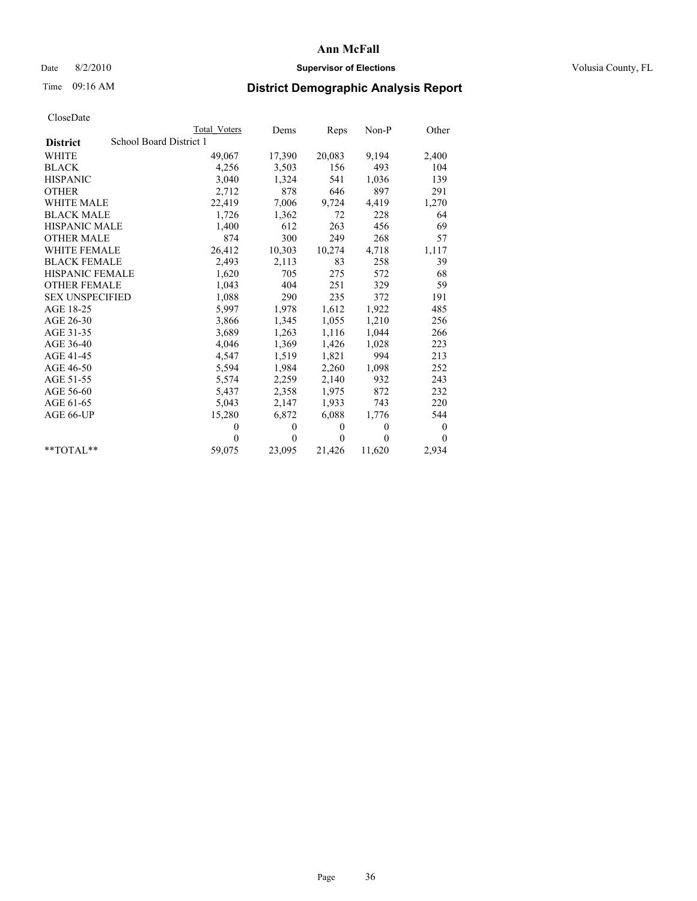# Date 8/2/2010 **Supervisor of Elections Supervisor of Elections** Volusia County, FL

# Time 09:16 AM **District Demographic Analysis Report**

|                                            | Total Voters | Dems     | Reps         | $Non-P$  | Other            |  |
|--------------------------------------------|--------------|----------|--------------|----------|------------------|--|
| School Board District 1<br><b>District</b> |              |          |              |          |                  |  |
| <b>WHITE</b>                               | 49,067       | 17,390   | 20,083       | 9,194    | 2,400            |  |
| <b>BLACK</b>                               | 4,256        | 3,503    | 156          | 493      | 104              |  |
| <b>HISPANIC</b>                            | 3,040        | 1,324    | 541          | 1,036    | 139              |  |
| <b>OTHER</b>                               | 2,712        | 878      | 646          | 897      | 291              |  |
| <b>WHITE MALE</b>                          | 22,419       | 7,006    | 9,724        | 4,419    | 1,270            |  |
| <b>BLACK MALE</b>                          | 1,726        | 1,362    | 72           | 228      | 64               |  |
| <b>HISPANIC MALE</b>                       | 1,400        | 612      | 263          | 456      | 69               |  |
| <b>OTHER MALE</b>                          | 874          | 300      | 249          | 268      | 57               |  |
| <b>WHITE FEMALE</b>                        | 26,412       | 10,303   | 10,274       | 4,718    | 1,117            |  |
| <b>BLACK FEMALE</b>                        | 2,493        | 2,113    | 83           | 258      | 39               |  |
| HISPANIC FEMALE                            | 1,620        | 705      | 275          | 572      | 68               |  |
| <b>OTHER FEMALE</b>                        | 1,043        | 404      | 251          | 329      | 59               |  |
| <b>SEX UNSPECIFIED</b>                     | 1,088        | 290      | 235          | 372      | 191              |  |
| AGE 18-25                                  | 5,997        | 1,978    | 1,612        | 1,922    | 485              |  |
| AGE 26-30                                  | 3,866        | 1,345    | 1,055        | 1,210    | 256              |  |
| AGE 31-35                                  | 3,689        | 1,263    | 1,116        | 1,044    | 266              |  |
| AGE 36-40                                  | 4,046        | 1,369    | 1,426        | 1,028    | 223              |  |
| AGE 41-45                                  | 4,547        | 1,519    | 1,821        | 994      | 213              |  |
| AGE 46-50                                  | 5,594        | 1,984    | 2,260        | 1,098    | 252              |  |
| AGE 51-55                                  | 5,574        | 2,259    | 2,140        | 932      | 243              |  |
| AGE 56-60                                  | 5,437        | 2,358    | 1,975        | 872      | 232              |  |
| AGE 61-65                                  | 5,043        | 2,147    | 1,933        | 743      | 220              |  |
| AGE 66-UP                                  | 15,280       | 6,872    | 6,088        | 1,776    | 544              |  |
|                                            | $\Omega$     | $\theta$ | $\mathbf{0}$ | $\theta$ | $\boldsymbol{0}$ |  |
|                                            | $\Omega$     | $\theta$ | $\theta$     | $\theta$ | $\theta$         |  |
| $*$ $TOTAI.**$                             | 59,075       | 23,095   | 21,426       | 11,620   | 2,934            |  |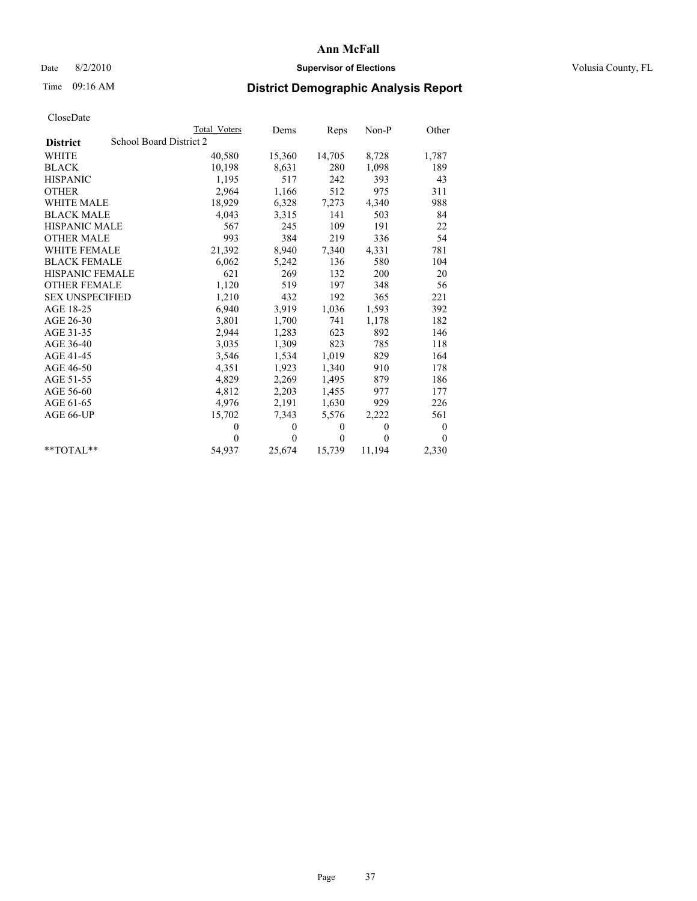## Date 8/2/2010 **Supervisor of Elections Supervisor of Elections** Volusia County, FL

# Time 09:16 AM **District Demographic Analysis Report**

|                                            | Total Voters | Dems     | Reps         | $Non-P$  | Other            |  |  |
|--------------------------------------------|--------------|----------|--------------|----------|------------------|--|--|
| School Board District 2<br><b>District</b> |              |          |              |          |                  |  |  |
| <b>WHITE</b>                               | 40,580       | 15,360   | 14,705       | 8,728    | 1,787            |  |  |
| <b>BLACK</b>                               | 10,198       | 8,631    | 280          | 1,098    | 189              |  |  |
| <b>HISPANIC</b>                            | 1,195        | 517      | 242          | 393      | 43               |  |  |
| <b>OTHER</b>                               | 2,964        | 1,166    | 512          | 975      | 311              |  |  |
| <b>WHITE MALE</b>                          | 18,929       | 6,328    | 7,273        | 4,340    | 988              |  |  |
| <b>BLACK MALE</b>                          | 4,043        | 3,315    | 141          | 503      | 84               |  |  |
| <b>HISPANIC MALE</b>                       | 567          | 245      | 109          | 191      | 22               |  |  |
| <b>OTHER MALE</b>                          | 993          | 384      | 219          | 336      | 54               |  |  |
| <b>WHITE FEMALE</b>                        | 21,392       | 8,940    | 7,340        | 4,331    | 781              |  |  |
| <b>BLACK FEMALE</b>                        | 6,062        | 5,242    | 136          | 580      | 104              |  |  |
| HISPANIC FEMALE                            | 621          | 269      | 132          | 200      | 20               |  |  |
| <b>OTHER FEMALE</b>                        | 1,120        | 519      | 197          | 348      | 56               |  |  |
| <b>SEX UNSPECIFIED</b>                     | 1,210        | 432      | 192          | 365      | 221              |  |  |
| AGE 18-25                                  | 6,940        | 3,919    | 1,036        | 1,593    | 392              |  |  |
| AGE 26-30                                  | 3,801        | 1,700    | 741          | 1,178    | 182              |  |  |
| AGE 31-35                                  | 2,944        | 1,283    | 623          | 892      | 146              |  |  |
| AGE 36-40                                  | 3,035        | 1,309    | 823          | 785      | 118              |  |  |
| AGE 41-45                                  | 3,546        | 1,534    | 1,019        | 829      | 164              |  |  |
| AGE 46-50                                  | 4,351        | 1,923    | 1,340        | 910      | 178              |  |  |
| AGE 51-55                                  | 4,829        | 2,269    | 1,495        | 879      | 186              |  |  |
| AGE 56-60                                  | 4,812        | 2,203    | 1,455        | 977      | 177              |  |  |
| AGE 61-65                                  | 4,976        | 2,191    | 1,630        | 929      | 226              |  |  |
| AGE 66-UP                                  | 15,702       | 7,343    | 5,576        | 2,222    | 561              |  |  |
|                                            | $\theta$     | $\theta$ | $\mathbf{0}$ | $\theta$ | $\boldsymbol{0}$ |  |  |
|                                            | $\Omega$     | $\theta$ | $\mathbf{0}$ | $\theta$ | $\theta$         |  |  |
| $*$ $TOTAI.**$                             | 54,937       | 25,674   | 15,739       | 11,194   | 2,330            |  |  |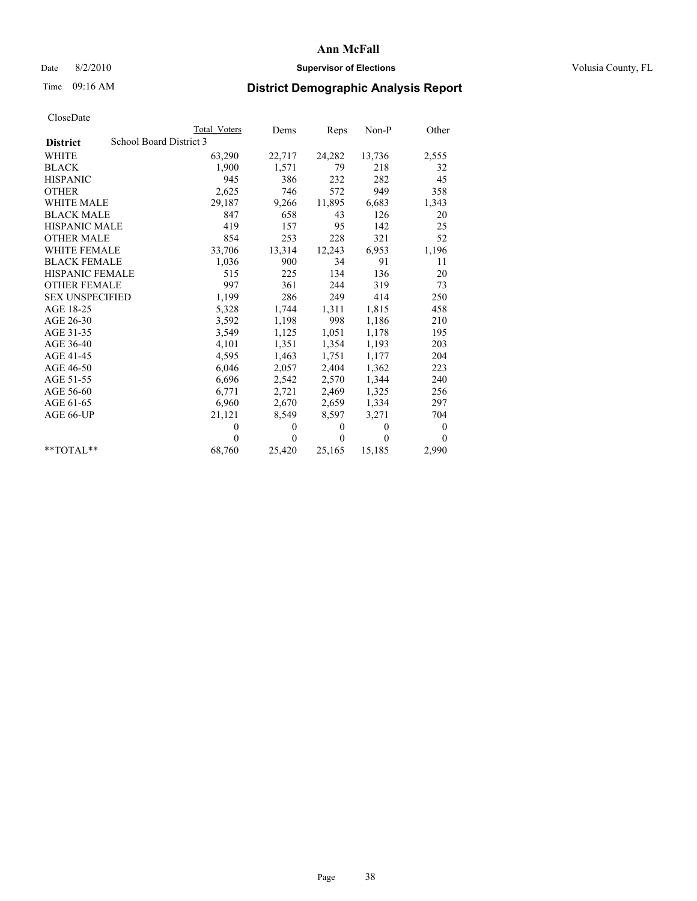## Date 8/2/2010 **Supervisor of Elections Supervisor of Elections** Volusia County, FL

# Time 09:16 AM **District Demographic Analysis Report**

|                        |                         | Total Voters | Dems     | Reps         | $Non-P$  | Other            |
|------------------------|-------------------------|--------------|----------|--------------|----------|------------------|
| <b>District</b>        | School Board District 3 |              |          |              |          |                  |
| <b>WHITE</b>           |                         | 63,290       | 22,717   | 24,282       | 13,736   | 2,555            |
| <b>BLACK</b>           |                         | 1,900        | 1,571    | 79           | 218      | 32               |
| <b>HISPANIC</b>        |                         | 945          | 386      | 232          | 282      | 45               |
| <b>OTHER</b>           |                         | 2,625        | 746      | 572          | 949      | 358              |
| <b>WHITE MALE</b>      |                         | 29,187       | 9,266    | 11,895       | 6,683    | 1,343            |
| <b>BLACK MALE</b>      |                         | 847          | 658      | 43           | 126      | 20               |
| <b>HISPANIC MALE</b>   |                         | 419          | 157      | 95           | 142      | 25               |
| <b>OTHER MALE</b>      |                         | 854          | 253      | 228          | 321      | 52               |
| WHITE FEMALE           |                         | 33,706       | 13,314   | 12,243       | 6,953    | 1,196            |
| <b>BLACK FEMALE</b>    |                         | 1,036        | 900      | 34           | 91       | 11               |
| HISPANIC FEMALE        |                         | 515          | 225      | 134          | 136      | 20               |
| <b>OTHER FEMALE</b>    |                         | 997          | 361      | 244          | 319      | 73               |
| <b>SEX UNSPECIFIED</b> |                         | 1,199        | 286      | 249          | 414      | 250              |
| AGE 18-25              |                         | 5,328        | 1,744    | 1,311        | 1,815    | 458              |
| AGE 26-30              |                         | 3,592        | 1,198    | 998          | 1,186    | 210              |
| AGE 31-35              |                         | 3,549        | 1,125    | 1,051        | 1,178    | 195              |
| AGE 36-40              |                         | 4,101        | 1,351    | 1,354        | 1,193    | 203              |
| AGE 41-45              |                         | 4,595        | 1,463    | 1,751        | 1,177    | 204              |
| AGE 46-50              |                         | 6,046        | 2,057    | 2,404        | 1,362    | 223              |
| AGE 51-55              |                         | 6,696        | 2,542    | 2,570        | 1,344    | 240              |
| AGE 56-60              |                         | 6,771        | 2,721    | 2,469        | 1,325    | 256              |
| AGE 61-65              |                         | 6,960        | 2,670    | 2,659        | 1,334    | 297              |
| AGE 66-UP              |                         | 21,121       | 8,549    | 8,597        | 3,271    | 704              |
|                        |                         | $\theta$     | $\theta$ | $\mathbf{0}$ | $\theta$ | $\boldsymbol{0}$ |
|                        |                         | $\Omega$     | $\theta$ | $\theta$     | $\theta$ | $\Omega$         |
| $*$ $TOTAI.**$         |                         | 68,760       | 25,420   | 25,165       | 15,185   | 2,990            |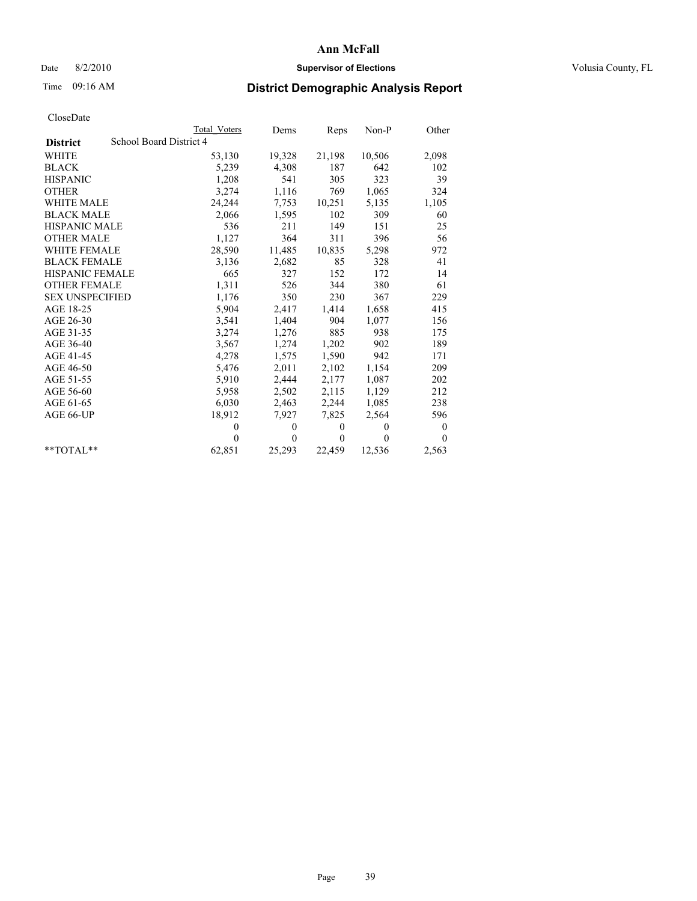## Date 8/2/2010 **Supervisor of Elections Supervisor of Elections** Volusia County, FL

# Time 09:16 AM **District Demographic Analysis Report**

|                        | Total Voters            | Dems     | Reps         | $Non-P$  | Other        |  |  |  |
|------------------------|-------------------------|----------|--------------|----------|--------------|--|--|--|
| <b>District</b>        | School Board District 4 |          |              |          |              |  |  |  |
| WHITE                  | 53,130                  | 19,328   | 21,198       | 10,506   | 2,098        |  |  |  |
| <b>BLACK</b>           | 5,239                   | 4,308    | 187          | 642      | 102          |  |  |  |
| <b>HISPANIC</b>        | 1,208                   | 541      | 305          | 323      | 39           |  |  |  |
| <b>OTHER</b>           | 3,274                   | 1,116    | 769          | 1,065    | 324          |  |  |  |
| <b>WHITE MALE</b>      | 24,244                  | 7,753    | 10,251       | 5,135    | 1,105        |  |  |  |
| <b>BLACK MALE</b>      | 2,066                   | 1,595    | 102          | 309      | 60           |  |  |  |
| HISPANIC MALE          | 536                     | 211      | 149          | 151      | 25           |  |  |  |
| <b>OTHER MALE</b>      | 1,127                   | 364      | 311          | 396      | 56           |  |  |  |
| WHITE FEMALE           | 28,590                  | 11,485   | 10,835       | 5,298    | 972          |  |  |  |
| <b>BLACK FEMALE</b>    | 3,136                   | 2,682    | 85           | 328      | 41           |  |  |  |
| HISPANIC FEMALE        | 665                     | 327      | 152          | 172      | 14           |  |  |  |
| <b>OTHER FEMALE</b>    | 1,311                   | 526      | 344          | 380      | 61           |  |  |  |
| <b>SEX UNSPECIFIED</b> | 1,176                   | 350      | 230          | 367      | 229          |  |  |  |
| AGE 18-25              | 5,904                   | 2,417    | 1,414        | 1,658    | 415          |  |  |  |
| AGE 26-30              | 3,541                   | 1,404    | 904          | 1,077    | 156          |  |  |  |
| AGE 31-35              | 3,274                   | 1,276    | 885          | 938      | 175          |  |  |  |
| AGE 36-40              | 3,567                   | 1,274    | 1,202        | 902      | 189          |  |  |  |
| AGE 41-45              | 4,278                   | 1,575    | 1,590        | 942      | 171          |  |  |  |
| AGE 46-50              | 5,476                   | 2,011    | 2,102        | 1,154    | 209          |  |  |  |
| AGE 51-55              | 5,910                   | 2,444    | 2,177        | 1,087    | 202          |  |  |  |
| AGE 56-60              | 5,958                   | 2,502    | 2,115        | 1,129    | 212          |  |  |  |
| AGE 61-65              | 6,030                   | 2,463    | 2,244        | 1,085    | 238          |  |  |  |
| AGE 66-UP              | 18,912                  | 7,927    | 7,825        | 2,564    | 596          |  |  |  |
|                        | $\mathbf{0}$            | $\theta$ | $\theta$     | $\theta$ | $\mathbf{0}$ |  |  |  |
|                        | $\Omega$                | $\theta$ | $\mathbf{0}$ | $\theta$ | $\theta$     |  |  |  |
| $*$ $TOTAI.**$         | 62,851                  | 25,293   | 22,459       | 12,536   | 2,563        |  |  |  |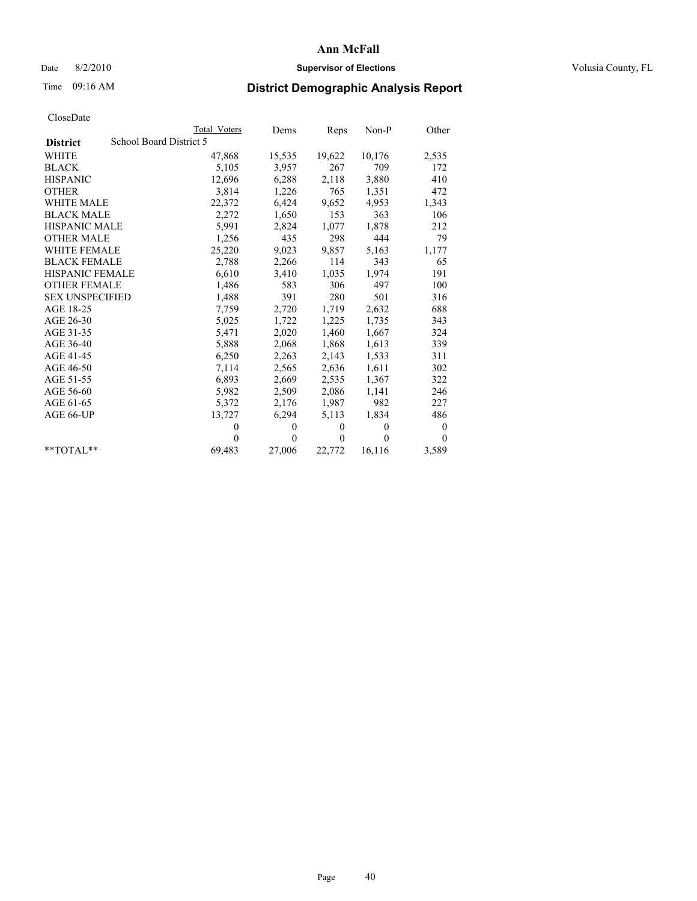## Date 8/2/2010 **Supervisor of Elections Supervisor of Elections** Volusia County, FL

# Time 09:16 AM **District Demographic Analysis Report**

|                        | Total Voters            | Dems     | Reps     | $Non-P$  | Other    |  |  |  |
|------------------------|-------------------------|----------|----------|----------|----------|--|--|--|
| <b>District</b>        | School Board District 5 |          |          |          |          |  |  |  |
| <b>WHITE</b>           | 47,868                  | 15,535   | 19,622   | 10,176   | 2,535    |  |  |  |
| <b>BLACK</b>           | 5,105                   | 3,957    | 267      | 709      | 172      |  |  |  |
| <b>HISPANIC</b>        | 12,696                  | 6,288    | 2,118    | 3,880    | 410      |  |  |  |
| <b>OTHER</b>           | 3,814                   | 1,226    | 765      | 1,351    | 472      |  |  |  |
| <b>WHITE MALE</b>      | 22,372                  | 6,424    | 9,652    | 4,953    | 1,343    |  |  |  |
| <b>BLACK MALE</b>      | 2,272                   | 1,650    | 153      | 363      | 106      |  |  |  |
| <b>HISPANIC MALE</b>   | 5,991                   | 2,824    | 1,077    | 1,878    | 212      |  |  |  |
| <b>OTHER MALE</b>      | 1,256                   | 435      | 298      | 444      | 79       |  |  |  |
| <b>WHITE FEMALE</b>    | 25,220                  | 9,023    | 9,857    | 5,163    | 1,177    |  |  |  |
| <b>BLACK FEMALE</b>    | 2,788                   | 2,266    | 114      | 343      | 65       |  |  |  |
| HISPANIC FEMALE        | 6,610                   | 3,410    | 1,035    | 1,974    | 191      |  |  |  |
| <b>OTHER FEMALE</b>    | 1,486                   | 583      | 306      | 497      | 100      |  |  |  |
| <b>SEX UNSPECIFIED</b> | 1,488                   | 391      | 280      | 501      | 316      |  |  |  |
| AGE 18-25              | 7,759                   | 2,720    | 1,719    | 2,632    | 688      |  |  |  |
| AGE 26-30              | 5,025                   | 1,722    | 1,225    | 1,735    | 343      |  |  |  |
| AGE 31-35              | 5,471                   | 2,020    | 1,460    | 1,667    | 324      |  |  |  |
| AGE 36-40              | 5,888                   | 2,068    | 1,868    | 1,613    | 339      |  |  |  |
| AGE 41-45              | 6,250                   | 2,263    | 2,143    | 1,533    | 311      |  |  |  |
| AGE 46-50              | 7,114                   | 2,565    | 2,636    | 1,611    | 302      |  |  |  |
| AGE 51-55              | 6,893                   | 2,669    | 2,535    | 1,367    | 322      |  |  |  |
| AGE 56-60              | 5,982                   | 2,509    | 2,086    | 1,141    | 246      |  |  |  |
| AGE 61-65              | 5,372                   | 2,176    | 1,987    | 982      | 227      |  |  |  |
| AGE 66-UP              | 13,727                  | 6,294    | 5,113    | 1,834    | 486      |  |  |  |
|                        | $\theta$                | $\theta$ | $\theta$ | $\theta$ | $\theta$ |  |  |  |
|                        | $\Omega$                | $\theta$ | $\theta$ | $\theta$ | $\theta$ |  |  |  |
| $*$ $TOTAI.**$         | 69,483                  | 27,006   | 22,772   | 16,116   | 3,589    |  |  |  |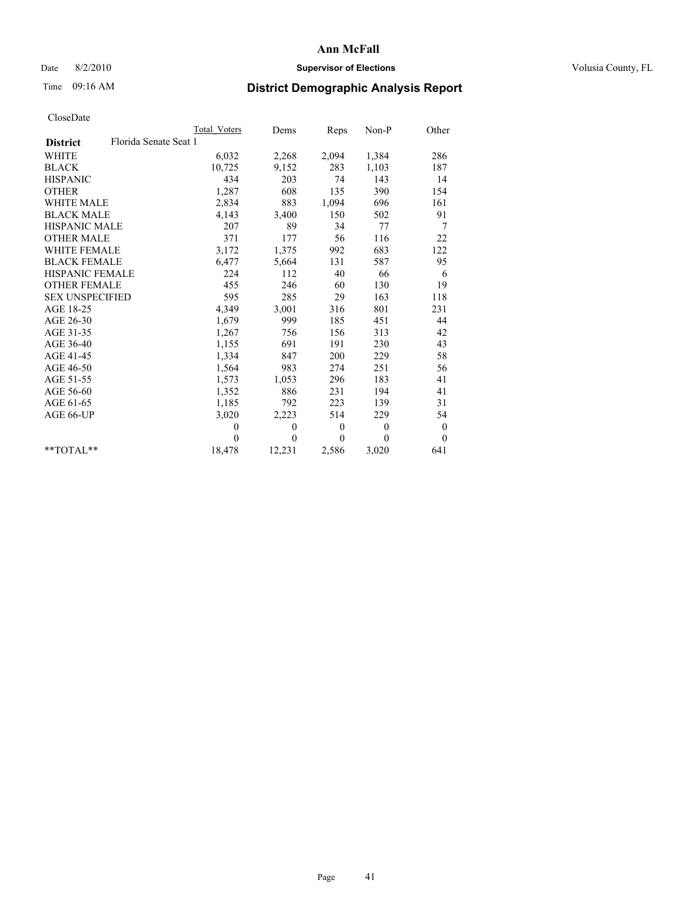## Date 8/2/2010 **Supervisor of Elections Supervisor of Elections** Volusia County, FL

# Time 09:16 AM **District Demographic Analysis Report**

|                                          | Total Voters | Dems           | Reps             | $Non-P$      | Other        |  |
|------------------------------------------|--------------|----------------|------------------|--------------|--------------|--|
| Florida Senate Seat 1<br><b>District</b> |              |                |                  |              |              |  |
| <b>WHITE</b>                             | 6,032        | 2,268          | 2,094            | 1,384        | 286          |  |
| <b>BLACK</b>                             | 10,725       | 9,152          | 283              | 1,103        | 187          |  |
| <b>HISPANIC</b>                          | 434          | 203            | 74               | 143          | 14           |  |
| <b>OTHER</b>                             | 1,287        | 608            | 135              | 390          | 154          |  |
| <b>WHITE MALE</b>                        | 2,834        | 883            | 1,094            | 696          | 161          |  |
| <b>BLACK MALE</b>                        | 4,143        | 3,400          | 150              | 502          | 91           |  |
| <b>HISPANIC MALE</b>                     | 207          | 89             | 34               | 77           | 7            |  |
| <b>OTHER MALE</b>                        | 371          | 177            | 56               | 116          | 22           |  |
| <b>WHITE FEMALE</b>                      | 3,172        | 1,375          | 992              | 683          | 122          |  |
| <b>BLACK FEMALE</b>                      | 6,477        | 5,664          | 131              | 587          | 95           |  |
| HISPANIC FEMALE                          | 224          | 112            | 40               | 66           | 6            |  |
| <b>OTHER FEMALE</b>                      | 455          | 246            | 60               | 130          | 19           |  |
| <b>SEX UNSPECIFIED</b>                   | 595          | 285            | 29               | 163          | 118          |  |
| AGE 18-25                                | 4,349        | 3,001          | 316              | 801          | 231          |  |
| AGE 26-30                                | 1,679        | 999            | 185              | 451          | 44           |  |
| AGE 31-35                                | 1,267        | 756            | 156              | 313          | 42           |  |
| AGE 36-40                                | 1,155        | 691            | 191              | 230          | 43           |  |
| AGE 41-45                                | 1,334        | 847            | 200              | 229          | 58           |  |
| AGE 46-50                                | 1,564        | 983            | 274              | 251          | 56           |  |
| AGE 51-55                                | 1,573        | 1,053          | 296              | 183          | 41           |  |
| AGE 56-60                                | 1,352        | 886            | 231              | 194          | 41           |  |
| AGE 61-65                                | 1,185        | 792            | 223              | 139          | 31           |  |
| AGE 66-UP                                | 3,020        | 2,223          | 514              | 229          | 54           |  |
|                                          | $\theta$     | $\theta$       | $\boldsymbol{0}$ | $\mathbf{0}$ | $\bf{0}$     |  |
|                                          | $\theta$     | $\overline{0}$ | $\Omega$         | $\theta$     | $\mathbf{0}$ |  |
| $*$ $TOTAI.**$                           | 18,478       | 12,231         | 2,586            | 3,020        | 641          |  |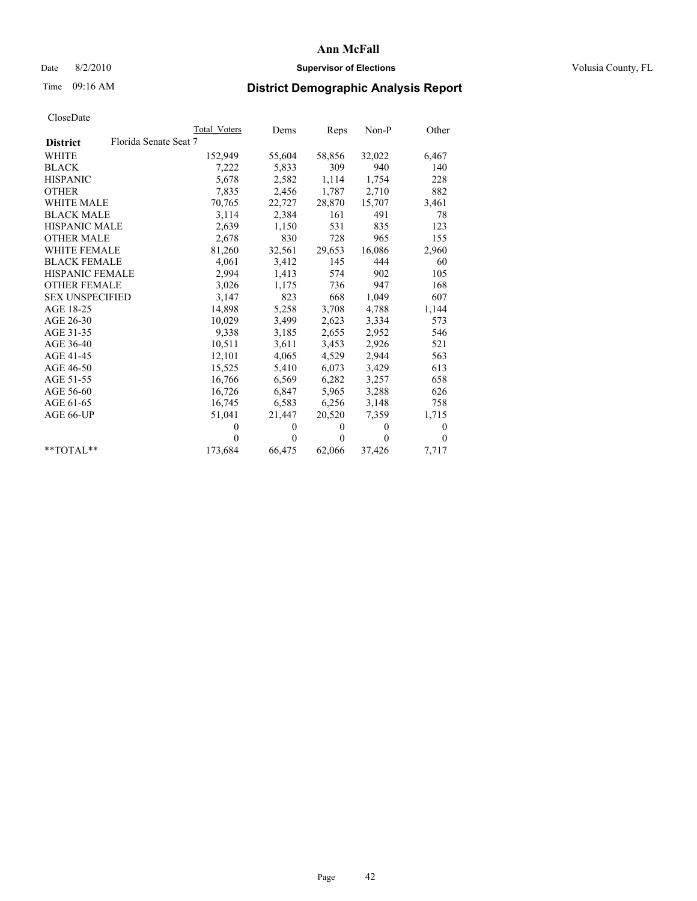## Date 8/2/2010 **Supervisor of Elections Supervisor of Elections** Volusia County, FL

# Time 09:16 AM **District Demographic Analysis Report**

|                                          | Total Voters | Dems     | Reps         | $Non-P$  | Other    |
|------------------------------------------|--------------|----------|--------------|----------|----------|
| Florida Senate Seat 7<br><b>District</b> |              |          |              |          |          |
| WHITE                                    | 152,949      | 55,604   | 58,856       | 32,022   | 6,467    |
| <b>BLACK</b>                             | 7,222        | 5,833    | 309          | 940      | 140      |
| <b>HISPANIC</b>                          | 5,678        | 2,582    | 1,114        | 1,754    | 228      |
| <b>OTHER</b>                             | 7,835        | 2,456    | 1,787        | 2,710    | 882      |
| WHITE MALE                               | 70,765       | 22,727   | 28,870       | 15,707   | 3,461    |
| <b>BLACK MALE</b>                        | 3,114        | 2,384    | 161          | 491      | 78       |
| <b>HISPANIC MALE</b>                     | 2,639        | 1,150    | 531          | 835      | 123      |
| <b>OTHER MALE</b>                        | 2,678        | 830      | 728          | 965      | 155      |
| <b>WHITE FEMALE</b>                      | 81,260       | 32,561   | 29,653       | 16,086   | 2,960    |
| <b>BLACK FEMALE</b>                      | 4,061        | 3,412    | 145          | 444      | 60       |
| HISPANIC FEMALE                          | 2,994        | 1,413    | 574          | 902      | 105      |
| <b>OTHER FEMALE</b>                      | 3,026        | 1,175    | 736          | 947      | 168      |
| <b>SEX UNSPECIFIED</b>                   | 3,147        | 823      | 668          | 1,049    | 607      |
| AGE 18-25                                | 14,898       | 5,258    | 3,708        | 4,788    | 1,144    |
| AGE 26-30                                | 10,029       | 3,499    | 2,623        | 3,334    | 573      |
| AGE 31-35                                | 9,338        | 3,185    | 2,655        | 2,952    | 546      |
| AGE 36-40                                | 10,511       | 3,611    | 3,453        | 2,926    | 521      |
| AGE 41-45                                | 12,101       | 4,065    | 4,529        | 2,944    | 563      |
| AGE 46-50                                | 15,525       | 5,410    | 6,073        | 3,429    | 613      |
| AGE 51-55                                | 16,766       | 6,569    | 6,282        | 3,257    | 658      |
| AGE 56-60                                | 16,726       | 6,847    | 5,965        | 3,288    | 626      |
| AGE 61-65                                | 16,745       | 6,583    | 6,256        | 3,148    | 758      |
| AGE 66-UP                                | 51,041       | 21,447   | 20,520       | 7.359    | 1,715    |
|                                          | $\mathbf{0}$ | $\theta$ | $\mathbf{0}$ | $\theta$ | 0        |
|                                          | $\theta$     | $\theta$ | $\theta$     | $\theta$ | $\Omega$ |
| $*$ $TOTAI.**$                           | 173,684      | 66,475   | 62,066       | 37,426   | 7,717    |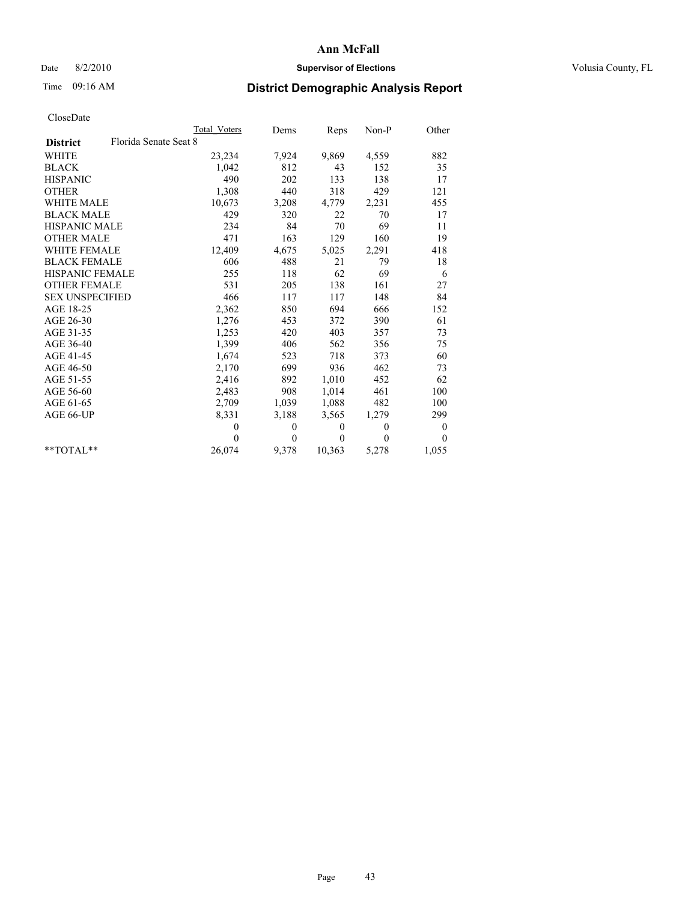## Date 8/2/2010 **Supervisor of Elections Supervisor of Elections** Volusia County, FL

# Time 09:16 AM **District Demographic Analysis Report**

|                                          | Total Voters | Dems     | Reps         | $Non-P$  | Other            |
|------------------------------------------|--------------|----------|--------------|----------|------------------|
| Florida Senate Seat 8<br><b>District</b> |              |          |              |          |                  |
| <b>WHITE</b>                             | 23,234       | 7,924    | 9,869        | 4,559    | 882              |
| <b>BLACK</b>                             | 1,042        | 812      | 43           | 152      | 35               |
| <b>HISPANIC</b>                          | 490          | 202      | 133          | 138      | 17               |
| <b>OTHER</b>                             | 1,308        | 440      | 318          | 429      | 121              |
| <b>WHITE MALE</b>                        | 10,673       | 3,208    | 4,779        | 2,231    | 455              |
| <b>BLACK MALE</b>                        | 429          | 320      | 22           | 70       | 17               |
| <b>HISPANIC MALE</b>                     | 234          | 84       | 70           | 69       | 11               |
| <b>OTHER MALE</b>                        | 471          | 163      | 129          | 160      | 19               |
| <b>WHITE FEMALE</b>                      | 12,409       | 4,675    | 5,025        | 2,291    | 418              |
| <b>BLACK FEMALE</b>                      | 606          | 488      | 21           | 79       | 18               |
| HISPANIC FEMALE                          | 255          | 118      | 62           | 69       | 6                |
| <b>OTHER FEMALE</b>                      | 531          | 205      | 138          | 161      | 27               |
| <b>SEX UNSPECIFIED</b>                   | 466          | 117      | 117          | 148      | 84               |
| AGE 18-25                                | 2,362        | 850      | 694          | 666      | 152              |
| AGE 26-30                                | 1,276        | 453      | 372          | 390      | 61               |
| AGE 31-35                                | 1,253        | 420      | 403          | 357      | 73               |
| AGE 36-40                                | 1,399        | 406      | 562          | 356      | 75               |
| AGE 41-45                                | 1,674        | 523      | 718          | 373      | 60               |
| AGE 46-50                                | 2,170        | 699      | 936          | 462      | 73               |
| AGE 51-55                                | 2,416        | 892      | 1,010        | 452      | 62               |
| AGE 56-60                                | 2,483        | 908      | 1,014        | 461      | 100              |
| AGE 61-65                                | 2,709        | 1,039    | 1,088        | 482      | 100              |
| AGE 66-UP                                | 8,331        | 3,188    | 3,565        | 1,279    | 299              |
|                                          | $\theta$     | 0        | $\mathbf{0}$ | $\theta$ | $\boldsymbol{0}$ |
|                                          | $\theta$     | $\theta$ | $\Omega$     | $\theta$ | $\Omega$         |
| $*$ $TOTAI.**$                           | 26,074       | 9,378    | 10,363       | 5,278    | 1,055            |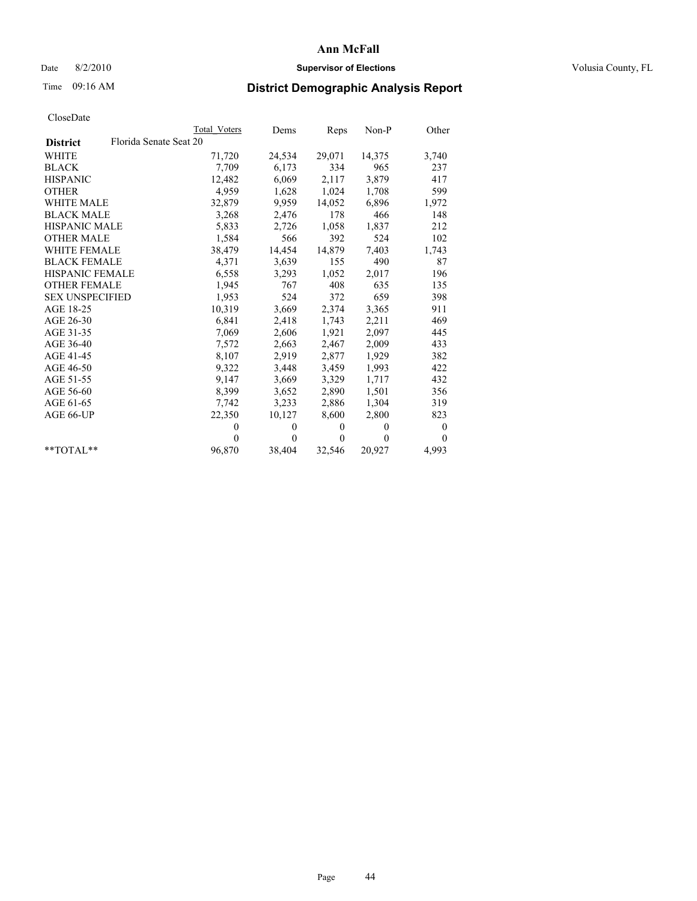## Date 8/2/2010 **Supervisor of Elections Supervisor of Elections** Volusia County, FL

# Time 09:16 AM **District Demographic Analysis Report**

|                                           | <b>Total Voters</b> | Dems         | Reps         | $Non-P$  | Other    |
|-------------------------------------------|---------------------|--------------|--------------|----------|----------|
| Florida Senate Seat 20<br><b>District</b> |                     |              |              |          |          |
| <b>WHITE</b>                              | 71,720              | 24,534       | 29,071       | 14,375   | 3,740    |
| <b>BLACK</b>                              | 7,709               | 6,173        | 334          | 965      | 237      |
| <b>HISPANIC</b>                           | 12,482              | 6,069        | 2,117        | 3,879    | 417      |
| <b>OTHER</b>                              | 4,959               | 1,628        | 1,024        | 1,708    | 599      |
| <b>WHITE MALE</b>                         | 32,879              | 9,959        | 14,052       | 6,896    | 1,972    |
| <b>BLACK MALE</b>                         | 3,268               | 2,476        | 178          | 466      | 148      |
| <b>HISPANIC MALE</b>                      | 5,833               | 2,726        | 1,058        | 1,837    | 212      |
| <b>OTHER MALE</b>                         | 1,584               | 566          | 392          | 524      | 102      |
| <b>WHITE FEMALE</b>                       | 38,479              | 14,454       | 14,879       | 7,403    | 1,743    |
| <b>BLACK FEMALE</b>                       | 4,371               | 3,639        | 155          | 490      | 87       |
| HISPANIC FEMALE                           | 6,558               | 3,293        | 1,052        | 2,017    | 196      |
| <b>OTHER FEMALE</b>                       | 1,945               | 767          | 408          | 635      | 135      |
| <b>SEX UNSPECIFIED</b>                    | 1,953               | 524          | 372          | 659      | 398      |
| AGE 18-25                                 | 10,319              | 3,669        | 2,374        | 3,365    | 911      |
| AGE 26-30                                 | 6,841               | 2,418        | 1,743        | 2,211    | 469      |
| AGE 31-35                                 | 7,069               | 2,606        | 1,921        | 2,097    | 445      |
| AGE 36-40                                 | 7,572               | 2,663        | 2,467        | 2,009    | 433      |
| AGE 41-45                                 | 8,107               | 2,919        | 2,877        | 1,929    | 382      |
| AGE 46-50                                 | 9,322               | 3,448        | 3,459        | 1,993    | 422      |
| AGE 51-55                                 | 9,147               | 3,669        | 3,329        | 1,717    | 432      |
| AGE 56-60                                 | 8,399               | 3,652        | 2,890        | 1,501    | 356      |
| AGE 61-65                                 | 7,742               | 3,233        | 2,886        | 1,304    | 319      |
| AGE 66-UP                                 | 22,350              | 10,127       | 8,600        | 2,800    | 823      |
|                                           | $\theta$            | $\mathbf{0}$ | $\mathbf{0}$ | $\Omega$ | $\bf{0}$ |
|                                           | $\theta$            | $\mathbf{0}$ | $\mathbf{0}$ | $\theta$ | $\Omega$ |
| $*$ $TOTAI.**$                            | 96,870              | 38,404       | 32,546       | 20,927   | 4,993    |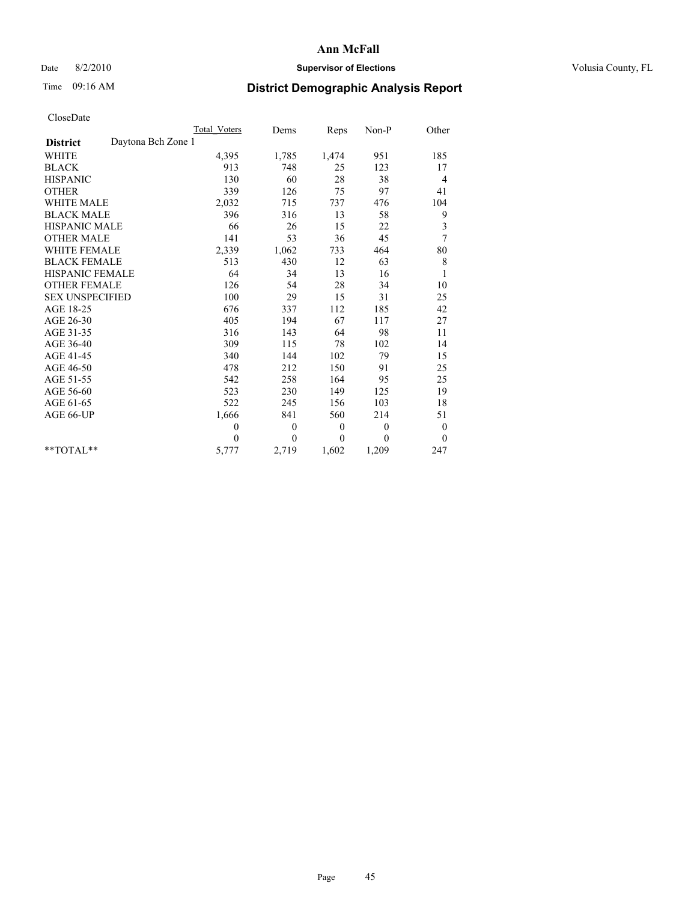## Date 8/2/2010 **Supervisor of Elections Supervisor of Elections** Volusia County, FL

# Time 09:16 AM **District Demographic Analysis Report**

|                                       | Total Voters | Dems     | Reps         | $Non-P$      | Other            |
|---------------------------------------|--------------|----------|--------------|--------------|------------------|
| Daytona Bch Zone 1<br><b>District</b> |              |          |              |              |                  |
| <b>WHITE</b>                          | 4,395        | 1,785    | 1,474        | 951          | 185              |
| <b>BLACK</b>                          | 913          | 748      | 25           | 123          | 17               |
| <b>HISPANIC</b>                       | 130          | 60       | 28           | 38           | 4                |
| <b>OTHER</b>                          | 339          | 126      | 75           | 97           | 41               |
| <b>WHITE MALE</b>                     | 2,032        | 715      | 737          | 476          | 104              |
| <b>BLACK MALE</b>                     | 396          | 316      | 13           | 58           | 9                |
| <b>HISPANIC MALE</b>                  | 66           | 26       | 15           | 22           | 3                |
| <b>OTHER MALE</b>                     | 141          | 53       | 36           | 45           | 7                |
| <b>WHITE FEMALE</b>                   | 2,339        | 1,062    | 733          | 464          | 80               |
| <b>BLACK FEMALE</b>                   | 513          | 430      | 12           | 63           | $\,$ 8 $\,$      |
| HISPANIC FEMALE                       | 64           | 34       | 13           | 16           | $\mathbf{1}$     |
| <b>OTHER FEMALE</b>                   | 126          | 54       | 28           | 34           | 10               |
| <b>SEX UNSPECIFIED</b>                | 100          | 29       | 15           | 31           | 25               |
| AGE 18-25                             | 676          | 337      | 112          | 185          | 42               |
| AGE 26-30                             | 405          | 194      | 67           | 117          | 27               |
| AGE 31-35                             | 316          | 143      | 64           | 98           | 11               |
| AGE 36-40                             | 309          | 115      | 78           | 102          | 14               |
| AGE 41-45                             | 340          | 144      | 102          | 79           | 15               |
| AGE 46-50                             | 478          | 212      | 150          | 91           | 25               |
| AGE 51-55                             | 542          | 258      | 164          | 95           | 25               |
| AGE 56-60                             | 523          | 230      | 149          | 125          | 19               |
| AGE 61-65                             | 522          | 245      | 156          | 103          | 18               |
| AGE 66-UP                             | 1,666        | 841      | 560          | 214          | 51               |
|                                       | $\theta$     | $\theta$ | $\mathbf{0}$ | $\mathbf{0}$ | $\boldsymbol{0}$ |
|                                       | $\theta$     | $\theta$ | $\theta$     | $\theta$     | $\mathbf{0}$     |
| $**TOTAI.**$                          | 5,777        | 2,719    | 1,602        | 1,209        | 247              |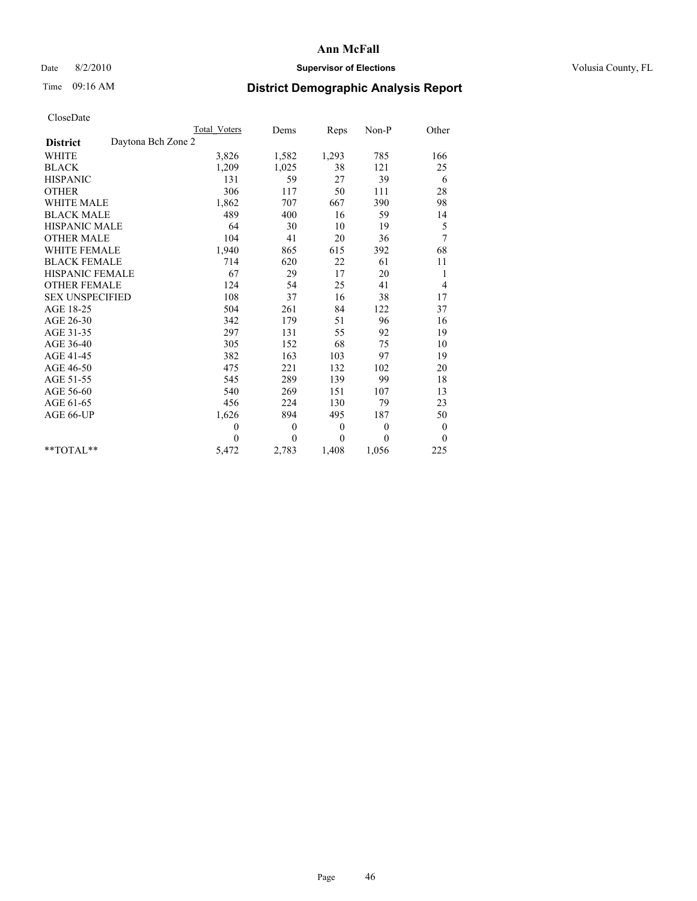## Date 8/2/2010 **Supervisor of Elections Supervisor of Elections** Volusia County, FL

# Time 09:16 AM **District Demographic Analysis Report**

|                                       | Total Voters | Dems         | Reps             | $Non-P$      | Other        |  |
|---------------------------------------|--------------|--------------|------------------|--------------|--------------|--|
| Daytona Bch Zone 2<br><b>District</b> |              |              |                  |              |              |  |
| <b>WHITE</b>                          | 3,826        | 1,582        | 1,293            | 785          | 166          |  |
| <b>BLACK</b>                          | 1,209        | 1,025        | 38               | 121          | 25           |  |
| <b>HISPANIC</b>                       | 131          | 59           | 27               | 39           | 6            |  |
| <b>OTHER</b>                          | 306          | 117          | 50               | 111          | $28\,$       |  |
| <b>WHITE MALE</b>                     | 1,862        | 707          | 667              | 390          | 98           |  |
| <b>BLACK MALE</b>                     | 489          | 400          | 16               | 59           | 14           |  |
| <b>HISPANIC MALE</b>                  | 64           | 30           | 10               | 19           | 5            |  |
| <b>OTHER MALE</b>                     | 104          | 41           | 20               | 36           | 7            |  |
| <b>WHITE FEMALE</b>                   | 1,940        | 865          | 615              | 392          | 68           |  |
| <b>BLACK FEMALE</b>                   | 714          | 620          | $22\,$           | 61           | 11           |  |
| HISPANIC FEMALE                       | 67           | 29           | 17               | 20           | 1            |  |
| <b>OTHER FEMALE</b>                   | 124          | 54           | 25               | 41           | 4            |  |
| <b>SEX UNSPECIFIED</b>                | 108          | 37           | 16               | 38           | 17           |  |
| AGE 18-25                             | 504          | 261          | 84               | 122          | 37           |  |
| AGE 26-30                             | 342          | 179          | 51               | 96           | 16           |  |
| AGE 31-35                             | 297          | 131          | 55               | 92           | 19           |  |
| AGE 36-40                             | 305          | 152          | 68               | 75           | 10           |  |
| AGE 41-45                             | 382          | 163          | 103              | 97           | 19           |  |
| AGE 46-50                             | 475          | 221          | 132              | 102          | 20           |  |
| AGE 51-55                             | 545          | 289          | 139              | 99           | 18           |  |
| AGE 56-60                             | 540          | 269          | 151              | 107          | 13           |  |
| AGE 61-65                             | 456          | 224          | 130              | 79           | 23           |  |
| AGE 66-UP                             | 1,626        | 894          | 495              | 187          | 50           |  |
|                                       | $\theta$     | $\mathbf{0}$ | $\boldsymbol{0}$ | $\mathbf{0}$ | $\bf{0}$     |  |
|                                       | $\theta$     | $\theta$     | $\Omega$         | $\theta$     | $\mathbf{0}$ |  |
| $*$ $TOTAI.**$                        | 5,472        | 2,783        | 1,408            | 1,056        | 225          |  |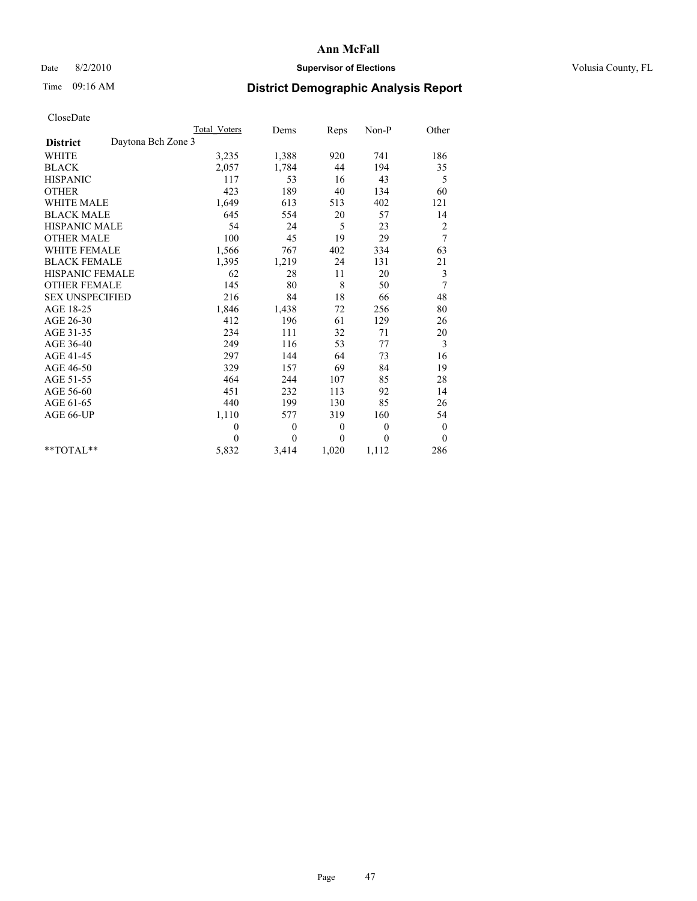## Date 8/2/2010 **Supervisor of Elections Supervisor of Elections** Volusia County, FL

# Time 09:16 AM **District Demographic Analysis Report**

|                                       | Total Voters | Dems     | <b>Reps</b> | Non-P        | Other          |
|---------------------------------------|--------------|----------|-------------|--------------|----------------|
| Daytona Bch Zone 3<br><b>District</b> |              |          |             |              |                |
| WHITE                                 | 3,235        | 1,388    | 920         | 741          | 186            |
| <b>BLACK</b>                          | 2,057        | 1,784    | 44          | 194          | 35             |
| <b>HISPANIC</b>                       | 117          | 53       | 16          | 43           | 5              |
| <b>OTHER</b>                          | 423          | 189      | 40          | 134          | 60             |
| <b>WHITE MALE</b>                     | 1,649        | 613      | 513         | 402          | 121            |
| <b>BLACK MALE</b>                     | 645          | 554      | 20          | 57           | 14             |
| <b>HISPANIC MALE</b>                  | 54           | 24       | 5           | 23           | $\overline{c}$ |
| <b>OTHER MALE</b>                     | 100          | 45       | 19          | 29           | 7              |
| WHITE FEMALE                          | 1,566        | 767      | 402         | 334          | 63             |
| <b>BLACK FEMALE</b>                   | 1,395        | 1,219    | 24          | 131          | 21             |
| HISPANIC FEMALE                       | 62           | 28       | 11          | 20           | 3              |
| <b>OTHER FEMALE</b>                   | 145          | 80       | 8           | 50           | 7              |
| <b>SEX UNSPECIFIED</b>                | 216          | 84       | 18          | 66           | 48             |
| AGE 18-25                             | 1,846        | 1,438    | 72          | 256          | 80             |
| AGE 26-30                             | 412          | 196      | 61          | 129          | 26             |
| AGE 31-35                             | 234          | 111      | 32          | 71           | 20             |
| AGE 36-40                             | 249          | 116      | 53          | 77           | 3              |
| AGE 41-45                             | 297          | 144      | 64          | 73           | 16             |
| AGE 46-50                             | 329          | 157      | 69          | 84           | 19             |
| AGE 51-55                             | 464          | 244      | 107         | 85           | 28             |
| AGE 56-60                             | 451          | 232      | 113         | 92           | 14             |
| AGE 61-65                             | 440          | 199      | 130         | 85           | 26             |
| AGE 66-UP                             | 1,110        | 577      | 319         | 160          | 54             |
|                                       | $\mathbf{0}$ | $\theta$ | $\theta$    | $\mathbf{0}$ | $\mathbf{0}$   |
|                                       | $\Omega$     | $\theta$ | $\theta$    | $\theta$     | $\theta$       |
| $**TOTAI.**$                          | 5,832        | 3,414    | 1,020       | 1,112        | 286            |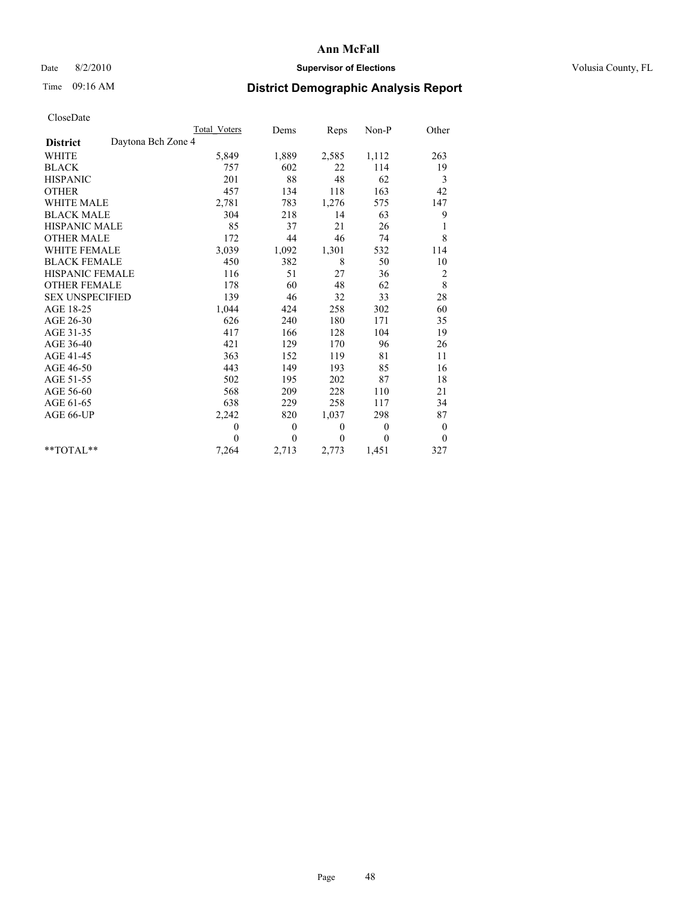## Date 8/2/2010 **Supervisor of Elections Supervisor of Elections** Volusia County, FL

## Time 09:16 AM **District Demographic Analysis Report**

|                                       | <b>Total Voters</b> | Dems         | Reps        | $Non-P$        | Other            |
|---------------------------------------|---------------------|--------------|-------------|----------------|------------------|
| Daytona Bch Zone 4<br><b>District</b> |                     |              |             |                |                  |
| <b>WHITE</b>                          | 5,849               | 1,889        | 2,585       | 1,112          | 263              |
| <b>BLACK</b>                          | 757                 | 602          | 22          | 114            | 19               |
| <b>HISPANIC</b>                       | 201                 | 88           | 48          | 62             | 3                |
| <b>OTHER</b>                          | 457                 | 134          | 118         | 163            | 42               |
| <b>WHITE MALE</b>                     | 2,781               | 783          | 1,276       | 575            | 147              |
| <b>BLACK MALE</b>                     | 304                 | 218          | 14          | 63             | 9                |
| <b>HISPANIC MALE</b>                  | 85                  | 37           | 21          | 26             | 1                |
| <b>OTHER MALE</b>                     | 172                 | 44           | 46          | 74             | 8                |
| <b>WHITE FEMALE</b>                   | 3,039               | 1,092        | 1,301       | 532            | 114              |
| <b>BLACK FEMALE</b>                   | 450                 | 382          | $\,$ 8 $\,$ | 50             | 10               |
| HISPANIC FEMALE                       | 116                 | 51           | 27          | 36             | $\overline{c}$   |
| <b>OTHER FEMALE</b>                   | 178                 | 60           | 48          | 62             | $\,$ 8 $\,$      |
| <b>SEX UNSPECIFIED</b>                | 139                 | 46           | 32          | 33             | 28               |
| AGE 18-25                             | 1,044               | 424          | 258         | 302            | 60               |
| AGE 26-30                             | 626                 | 240          | 180         | 171            | 35               |
| AGE 31-35                             | 417                 | 166          | 128         | 104            | 19               |
| AGE 36-40                             | 421                 | 129          | 170         | 96             | 26               |
| AGE 41-45                             | 363                 | 152          | 119         | 81             | 11               |
| AGE 46-50                             | 443                 | 149          | 193         | 85             | 16               |
| AGE 51-55                             | 502                 | 195          | 202         | 87             | 18               |
| AGE 56-60                             | 568                 | 209          | 228         | 110            | 21               |
| AGE 61-65                             | 638                 | 229          | 258         | 117            | 34               |
| AGE 66-UP                             | 2,242               | 820          | 1,037       | 298            | 87               |
|                                       | $\mathbf{0}$        | $\mathbf{0}$ | $\theta$    | $\overline{0}$ | $\boldsymbol{0}$ |
|                                       | $\theta$            | $\theta$     | $\theta$    | $\theta$       | $\theta$         |
| $*$ TOTAL $*$                         | 7,264               | 2,713        | 2,773       | 1,451          | 327              |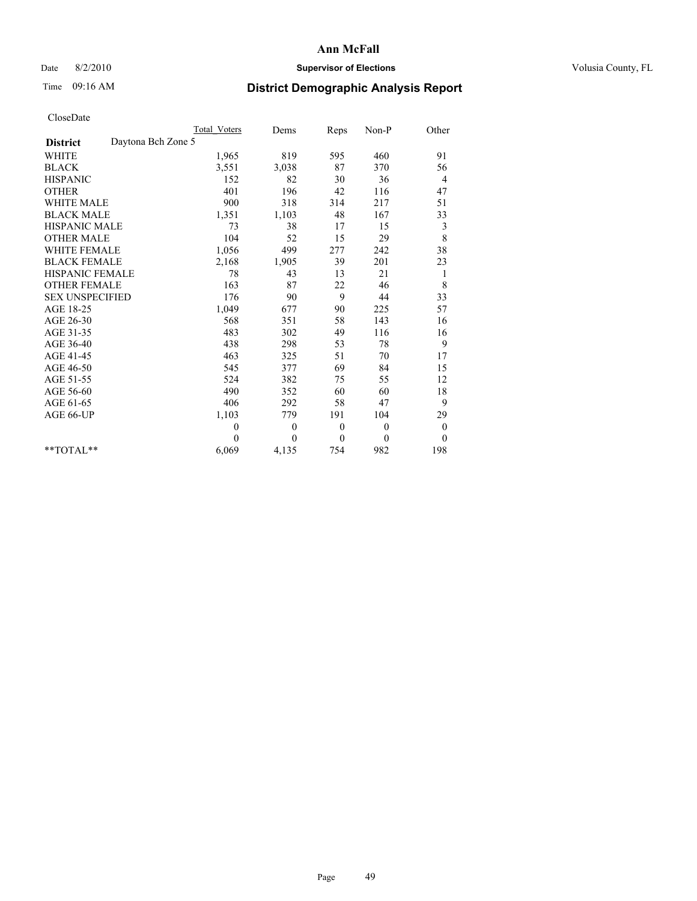## Date 8/2/2010 **Supervisor of Elections Supervisor of Elections** Volusia County, FL

# Time 09:16 AM **District Demographic Analysis Report**

|                                       | Total Voters | Dems             | Reps             | $Non-P$  | Other            |  |
|---------------------------------------|--------------|------------------|------------------|----------|------------------|--|
| Daytona Bch Zone 5<br><b>District</b> |              |                  |                  |          |                  |  |
| WHITE                                 | 1,965        | 819              | 595              | 460      | 91               |  |
| <b>BLACK</b>                          | 3,551        | 3,038            | 87               | 370      | 56               |  |
| <b>HISPANIC</b>                       | 152          | 82               | 30               | 36       | 4                |  |
| <b>OTHER</b>                          | 401          | 196              | 42               | 116      | 47               |  |
| <b>WHITE MALE</b>                     | 900          | 318              | 314              | 217      | 51               |  |
| <b>BLACK MALE</b>                     | 1,351        | 1,103            | 48               | 167      | 33               |  |
| <b>HISPANIC MALE</b>                  | 73           | 38               | 17               | 15       | 3                |  |
| <b>OTHER MALE</b>                     | 104          | 52               | 15               | 29       | 8                |  |
| <b>WHITE FEMALE</b>                   | 1,056        | 499              | 277              | 242      | 38               |  |
| <b>BLACK FEMALE</b>                   | 2,168        | 1,905            | 39               | 201      | 23               |  |
| HISPANIC FEMALE                       | 78           | 43               | 13               | 21       | 1                |  |
| <b>OTHER FEMALE</b>                   | 163          | 87               | 22               | 46       | 8                |  |
| <b>SEX UNSPECIFIED</b>                | 176          | 90               | 9                | 44       | 33               |  |
| AGE 18-25                             | 1,049        | 677              | 90               | 225      | 57               |  |
| AGE 26-30                             | 568          | 351              | 58               | 143      | 16               |  |
| AGE 31-35                             | 483          | 302              | 49               | 116      | 16               |  |
| AGE 36-40                             | 438          | 298              | 53               | 78       | 9                |  |
| AGE 41-45                             | 463          | 325              | 51               | 70       | 17               |  |
| AGE 46-50                             | 545          | 377              | 69               | 84       | 15               |  |
| AGE 51-55                             | 524          | 382              | 75               | 55       | 12               |  |
| AGE 56-60                             | 490          | 352              | 60               | 60       | 18               |  |
| AGE 61-65                             | 406          | 292              | 58               | 47       | 9                |  |
| AGE 66-UP                             | 1,103        | 779              | 191              | 104      | 29               |  |
|                                       | $\mathbf{0}$ | $\boldsymbol{0}$ | $\boldsymbol{0}$ | $\theta$ | $\boldsymbol{0}$ |  |
|                                       | $\Omega$     | $\theta$         | $\mathbf{0}$     | $\theta$ | $\theta$         |  |
| $*$ $TOTAI.**$                        | 6,069        | 4,135            | 754              | 982      | 198              |  |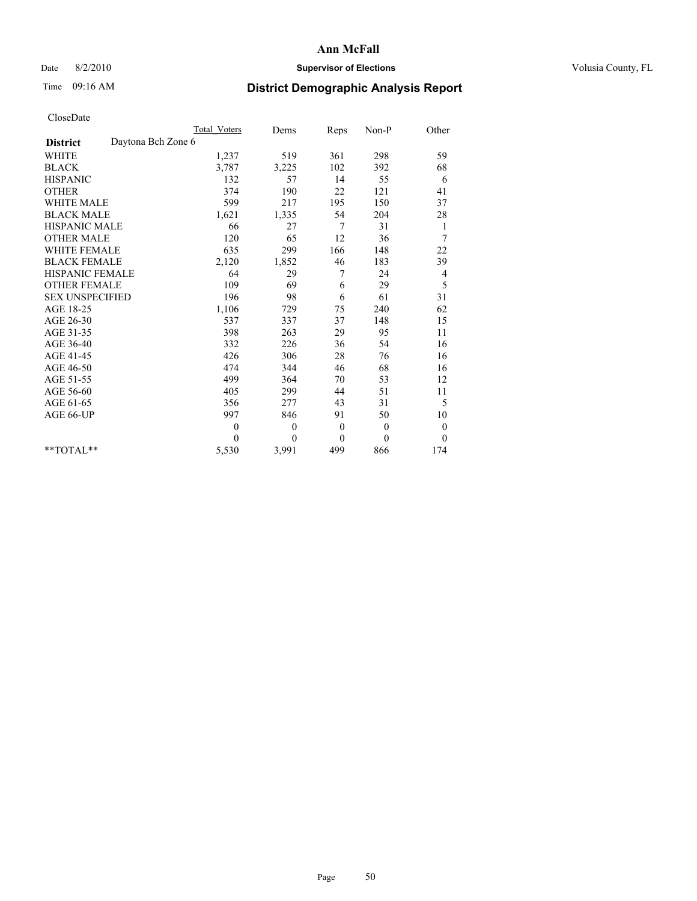## Date 8/2/2010 **Supervisor of Elections Supervisor of Elections** Volusia County, FL

# Time 09:16 AM **District Demographic Analysis Report**

|                                       | Total Voters | Dems         | Reps             | $Non-P$      | Other    |  |
|---------------------------------------|--------------|--------------|------------------|--------------|----------|--|
| Daytona Bch Zone 6<br><b>District</b> |              |              |                  |              |          |  |
| <b>WHITE</b>                          | 1,237        | 519          | 361              | 298          | 59       |  |
| <b>BLACK</b>                          | 3,787        | 3,225        | 102              | 392          | 68       |  |
| <b>HISPANIC</b>                       | 132          | 57           | 14               | 55           | 6        |  |
| <b>OTHER</b>                          | 374          | 190          | 22               | 121          | 41       |  |
| <b>WHITE MALE</b>                     | 599          | 217          | 195              | 150          | 37       |  |
| <b>BLACK MALE</b>                     | 1,621        | 1,335        | 54               | 204          | 28       |  |
| <b>HISPANIC MALE</b>                  | 66           | 27           | 7                | 31           | 1        |  |
| <b>OTHER MALE</b>                     | 120          | 65           | 12               | 36           | 7        |  |
| <b>WHITE FEMALE</b>                   | 635          | 299          | 166              | 148          | 22       |  |
| <b>BLACK FEMALE</b>                   | 2,120        | 1,852        | 46               | 183          | 39       |  |
| HISPANIC FEMALE                       | 64           | 29           | 7                | 24           | 4        |  |
| <b>OTHER FEMALE</b>                   | 109          | 69           | 6                | 29           | 5        |  |
| <b>SEX UNSPECIFIED</b>                | 196          | 98           | 6                | 61           | 31       |  |
| AGE 18-25                             | 1,106        | 729          | 75               | 240          | 62       |  |
| AGE 26-30                             | 537          | 337          | 37               | 148          | 15       |  |
| AGE 31-35                             | 398          | 263          | 29               | 95           | 11       |  |
| AGE 36-40                             | 332          | 226          | 36               | 54           | 16       |  |
| AGE 41-45                             | 426          | 306          | 28               | 76           | 16       |  |
| AGE 46-50                             | 474          | 344          | 46               | 68           | 16       |  |
| AGE 51-55                             | 499          | 364          | 70               | 53           | 12       |  |
| AGE 56-60                             | 405          | 299          | 44               | 51           | 11       |  |
| AGE 61-65                             | 356          | 277          | 43               | 31           | 5        |  |
| AGE 66-UP                             | 997          | 846          | 91               | 50           | 10       |  |
|                                       | $\theta$     | $\mathbf{0}$ | $\boldsymbol{0}$ | $\mathbf{0}$ | $\bf{0}$ |  |
|                                       | $\theta$     | $\theta$     | $\mathbf{0}$     | $\theta$     | $\theta$ |  |
| $*$ TOTAL $*$                         | 5,530        | 3,991        | 499              | 866          | 174      |  |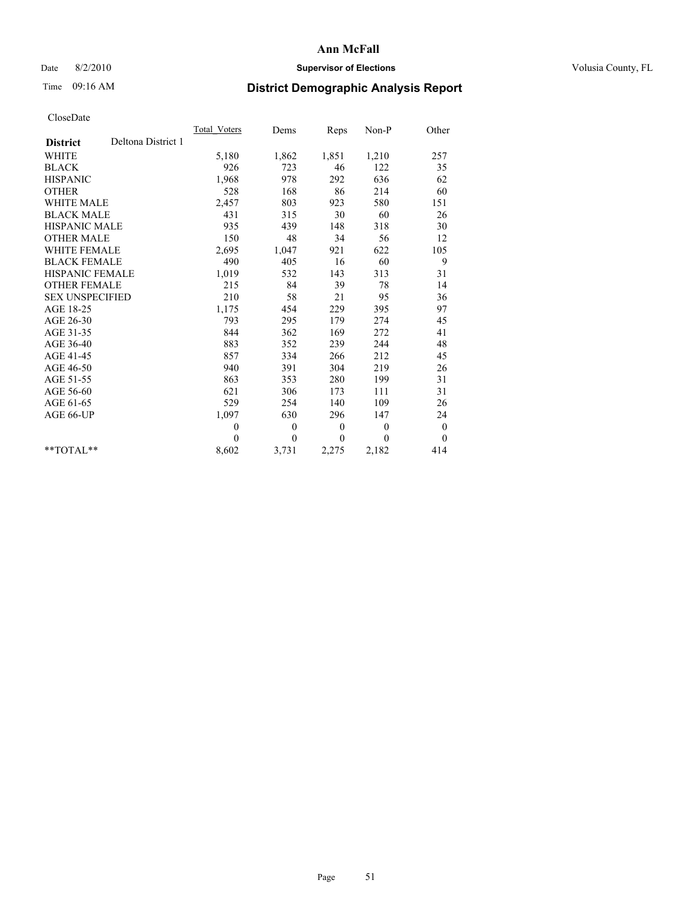## Date 8/2/2010 **Supervisor of Elections Supervisor of Elections** Volusia County, FL

# Time 09:16 AM **District Demographic Analysis Report**

|                                       | Total Voters | Dems     | Reps             | $Non-P$  | Other            |  |
|---------------------------------------|--------------|----------|------------------|----------|------------------|--|
| Deltona District 1<br><b>District</b> |              |          |                  |          |                  |  |
| <b>WHITE</b>                          | 5,180        | 1,862    | 1,851            | 1,210    | 257              |  |
| <b>BLACK</b>                          | 926          | 723      | 46               | 122      | 35               |  |
| <b>HISPANIC</b>                       | 1,968        | 978      | 292              | 636      | 62               |  |
| <b>OTHER</b>                          | 528          | 168      | 86               | 214      | 60               |  |
| <b>WHITE MALE</b>                     | 2,457        | 803      | 923              | 580      | 151              |  |
| <b>BLACK MALE</b>                     | 431          | 315      | 30               | 60       | 26               |  |
| <b>HISPANIC MALE</b>                  | 935          | 439      | 148              | 318      | 30               |  |
| <b>OTHER MALE</b>                     | 150          | 48       | 34               | 56       | 12               |  |
| <b>WHITE FEMALE</b>                   | 2,695        | 1,047    | 921              | 622      | 105              |  |
| <b>BLACK FEMALE</b>                   | 490          | 405      | 16               | 60       | 9                |  |
| HISPANIC FEMALE                       | 1,019        | 532      | 143              | 313      | 31               |  |
| <b>OTHER FEMALE</b>                   | 215          | 84       | 39               | 78       | 14               |  |
| <b>SEX UNSPECIFIED</b>                | 210          | 58       | 21               | 95       | 36               |  |
| AGE 18-25                             | 1,175        | 454      | 229              | 395      | 97               |  |
| AGE 26-30                             | 793          | 295      | 179              | 274      | 45               |  |
| AGE 31-35                             | 844          | 362      | 169              | 272      | 41               |  |
| AGE 36-40                             | 883          | 352      | 239              | 244      | 48               |  |
| AGE 41-45                             | 857          | 334      | 266              | 212      | 45               |  |
| AGE 46-50                             | 940          | 391      | 304              | 219      | 26               |  |
| AGE 51-55                             | 863          | 353      | 280              | 199      | 31               |  |
| AGE 56-60                             | 621          | 306      | 173              | 111      | 31               |  |
| AGE 61-65                             | 529          | 254      | 140              | 109      | 26               |  |
| AGE 66-UP                             | 1,097        | 630      | 296              | 147      | 24               |  |
|                                       | $\theta$     | 0        | $\boldsymbol{0}$ | $\theta$ | $\boldsymbol{0}$ |  |
|                                       | $\Omega$     | $\theta$ | $\mathbf{0}$     | $\Omega$ | $\overline{0}$   |  |
| $*$ $TOTAI.**$                        | 8,602        | 3,731    | 2,275            | 2,182    | 414              |  |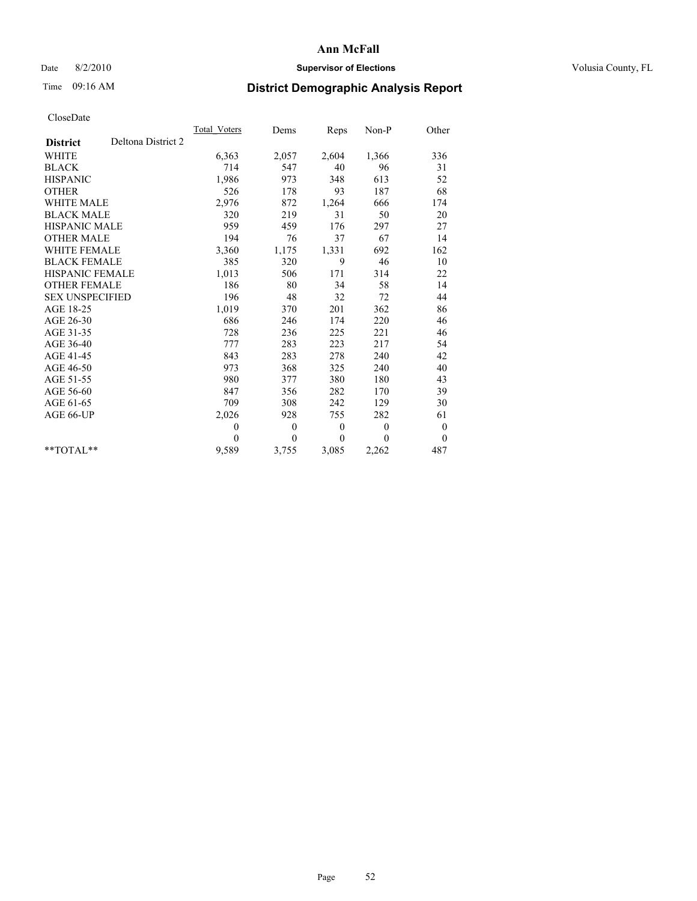## Date 8/2/2010 **Supervisor of Elections Supervisor of Elections** Volusia County, FL

# Time 09:16 AM **District Demographic Analysis Report**

|                                       | <b>Total Voters</b> | Dems     | Reps             | Non-P        | Other            |  |
|---------------------------------------|---------------------|----------|------------------|--------------|------------------|--|
| Deltona District 2<br><b>District</b> |                     |          |                  |              |                  |  |
| <b>WHITE</b>                          | 6,363               | 2,057    | 2,604            | 1,366        | 336              |  |
| <b>BLACK</b>                          | 714                 | 547      | 40               | 96           | 31               |  |
| <b>HISPANIC</b>                       | 1,986               | 973      | 348              | 613          | 52               |  |
| <b>OTHER</b>                          | 526                 | 178      | 93               | 187          | 68               |  |
| WHITE MALE                            | 2,976               | 872      | 1,264            | 666          | 174              |  |
| <b>BLACK MALE</b>                     | 320                 | 219      | 31               | 50           | 20               |  |
| <b>HISPANIC MALE</b>                  | 959                 | 459      | 176              | 297          | 27               |  |
| <b>OTHER MALE</b>                     | 194                 | 76       | 37               | 67           | 14               |  |
| <b>WHITE FEMALE</b>                   | 3,360               | 1,175    | 1,331            | 692          | 162              |  |
| <b>BLACK FEMALE</b>                   | 385                 | 320      | 9                | 46           | 10               |  |
| <b>HISPANIC FEMALE</b>                | 1,013               | 506      | 171              | 314          | 22               |  |
| <b>OTHER FEMALE</b>                   | 186                 | 80       | 34               | 58           | 14               |  |
| <b>SEX UNSPECIFIED</b>                | 196                 | 48       | 32               | 72           | 44               |  |
| AGE 18-25                             | 1,019               | 370      | 201              | 362          | 86               |  |
| AGE 26-30                             | 686                 | 246      | 174              | 220          | 46               |  |
| AGE 31-35                             | 728                 | 236      | 225              | 221          | 46               |  |
| AGE 36-40                             | 777                 | 283      | 223              | 217          | 54               |  |
| AGE 41-45                             | 843                 | 283      | 278              | 240          | 42               |  |
| AGE 46-50                             | 973                 | 368      | 325              | 240          | 40               |  |
| AGE 51-55                             | 980                 | 377      | 380              | 180          | 43               |  |
| AGE 56-60                             | 847                 | 356      | 282              | 170          | 39               |  |
| AGE 61-65                             | 709                 | 308      | 242              | 129          | 30               |  |
| AGE 66-UP                             | 2,026               | 928      | 755              | 282          | 61               |  |
|                                       | $\theta$            | $\theta$ | $\boldsymbol{0}$ | $\mathbf{0}$ | $\boldsymbol{0}$ |  |
|                                       | $\theta$            | $\theta$ | $\theta$         | $\theta$     | $\overline{0}$   |  |
| $*$ $TOTAI.**$                        | 9,589               | 3,755    | 3,085            | 2,262        | 487              |  |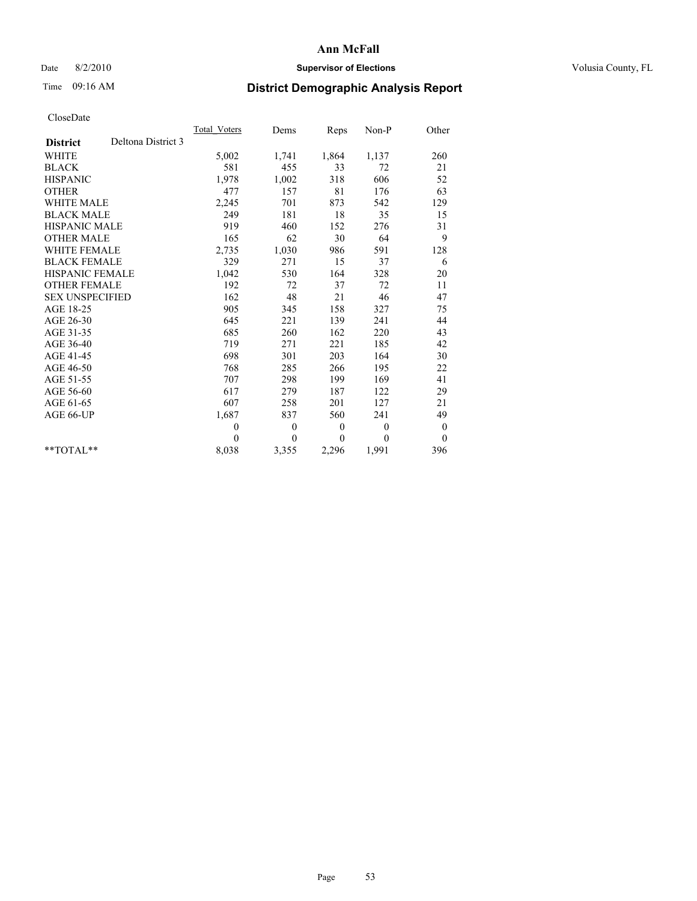## Date 8/2/2010 **Supervisor of Elections Supervisor of Elections** Volusia County, FL

# Time 09:16 AM **District Demographic Analysis Report**

|                                       | Total Voters | Dems     | Reps             | $Non-P$  | Other            |  |
|---------------------------------------|--------------|----------|------------------|----------|------------------|--|
| Deltona District 3<br><b>District</b> |              |          |                  |          |                  |  |
| <b>WHITE</b>                          | 5,002        | 1,741    | 1,864            | 1,137    | 260              |  |
| <b>BLACK</b>                          | 581          | 455      | 33               | 72       | 21               |  |
| <b>HISPANIC</b>                       | 1.978        | 1,002    | 318              | 606      | 52               |  |
| <b>OTHER</b>                          | 477          | 157      | 81               | 176      | 63               |  |
| <b>WHITE MALE</b>                     | 2,245        | 701      | 873              | 542      | 129              |  |
| <b>BLACK MALE</b>                     | 249          | 181      | 18               | 35       | 15               |  |
| <b>HISPANIC MALE</b>                  | 919          | 460      | 152              | 276      | 31               |  |
| <b>OTHER MALE</b>                     | 165          | 62       | 30               | 64       | 9                |  |
| <b>WHITE FEMALE</b>                   | 2,735        | 1,030    | 986              | 591      | 128              |  |
| <b>BLACK FEMALE</b>                   | 329          | 271      | 15               | 37       | 6                |  |
| HISPANIC FEMALE                       | 1,042        | 530      | 164              | 328      | 20               |  |
| <b>OTHER FEMALE</b>                   | 192          | 72       | 37               | 72       | 11               |  |
| <b>SEX UNSPECIFIED</b>                | 162          | 48       | 21               | 46       | 47               |  |
| AGE 18-25                             | 905          | 345      | 158              | 327      | 75               |  |
| AGE 26-30                             | 645          | 221      | 139              | 241      | 44               |  |
| AGE 31-35                             | 685          | 260      | 162              | 220      | 43               |  |
| AGE 36-40                             | 719          | 271      | 221              | 185      | 42               |  |
| AGE 41-45                             | 698          | 301      | 203              | 164      | 30               |  |
| AGE 46-50                             | 768          | 285      | 266              | 195      | 22               |  |
| AGE 51-55                             | 707          | 298      | 199              | 169      | 41               |  |
| AGE 56-60                             | 617          | 279      | 187              | 122      | 29               |  |
| AGE 61-65                             | 607          | 258      | 201              | 127      | 21               |  |
| AGE 66-UP                             | 1,687        | 837      | 560              | 241      | 49               |  |
|                                       | $\theta$     | 0        | $\boldsymbol{0}$ | $\theta$ | $\boldsymbol{0}$ |  |
|                                       | $\Omega$     | $\theta$ | $\theta$         | $\theta$ | $\overline{0}$   |  |
| $*$ $TOTAI.**$                        | 8,038        | 3,355    | 2,296            | 1,991    | 396              |  |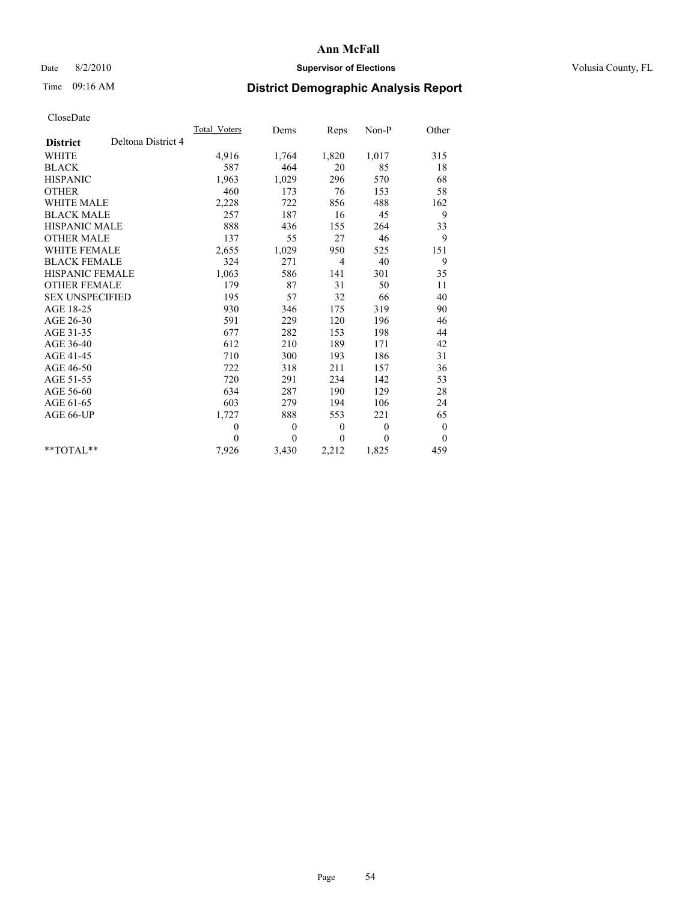## Date 8/2/2010 **Supervisor of Elections Supervisor of Elections** Volusia County, FL

# Time 09:16 AM **District Demographic Analysis Report**

|                                       | <b>Total Voters</b> | Dems         | Reps           | $Non-P$      | Other            |
|---------------------------------------|---------------------|--------------|----------------|--------------|------------------|
| Deltona District 4<br><b>District</b> |                     |              |                |              |                  |
| <b>WHITE</b>                          | 4,916               | 1,764        | 1,820          | 1,017        | 315              |
| <b>BLACK</b>                          | 587                 | 464          | 20             | 85           | 18               |
| <b>HISPANIC</b>                       | 1,963               | 1,029        | 296            | 570          | 68               |
| <b>OTHER</b>                          | 460                 | 173          | 76             | 153          | 58               |
| <b>WHITE MALE</b>                     | 2,228               | 722          | 856            | 488          | 162              |
| <b>BLACK MALE</b>                     | 257                 | 187          | 16             | 45           | 9                |
| <b>HISPANIC MALE</b>                  | 888                 | 436          | 155            | 264          | 33               |
| <b>OTHER MALE</b>                     | 137                 | 55           | 27             | 46           | 9                |
| WHITE FEMALE                          | 2,655               | 1,029        | 950            | 525          | 151              |
| <b>BLACK FEMALE</b>                   | 324                 | 271          | $\overline{4}$ | 40           | 9                |
| HISPANIC FEMALE                       | 1,063               | 586          | 141            | 301          | 35               |
| <b>OTHER FEMALE</b>                   | 179                 | 87           | 31             | 50           | 11               |
| <b>SEX UNSPECIFIED</b>                | 195                 | 57           | 32             | 66           | 40               |
| AGE 18-25                             | 930                 | 346          | 175            | 319          | 90               |
| AGE 26-30                             | 591                 | 229          | 120            | 196          | 46               |
| AGE 31-35                             | 677                 | 282          | 153            | 198          | 44               |
| AGE 36-40                             | 612                 | 210          | 189            | 171          | 42               |
| AGE 41-45                             | 710                 | 300          | 193            | 186          | 31               |
| AGE 46-50                             | 722                 | 318          | 211            | 157          | 36               |
| AGE 51-55                             | 720                 | 291          | 234            | 142          | 53               |
| AGE 56-60                             | 634                 | 287          | 190            | 129          | 28               |
| AGE 61-65                             | 603                 | 279          | 194            | 106          | 24               |
| AGE 66-UP                             | 1,727               | 888          | 553            | 221          | 65               |
|                                       | $\theta$            | $\mathbf{0}$ | $\mathbf{0}$   | $\mathbf{0}$ | $\boldsymbol{0}$ |
|                                       | $\theta$            | $\theta$     | $\theta$       | $\theta$     | $\overline{0}$   |
| $*$ $TOTAI.**$                        | 7,926               | 3,430        | 2,212          | 1,825        | 459              |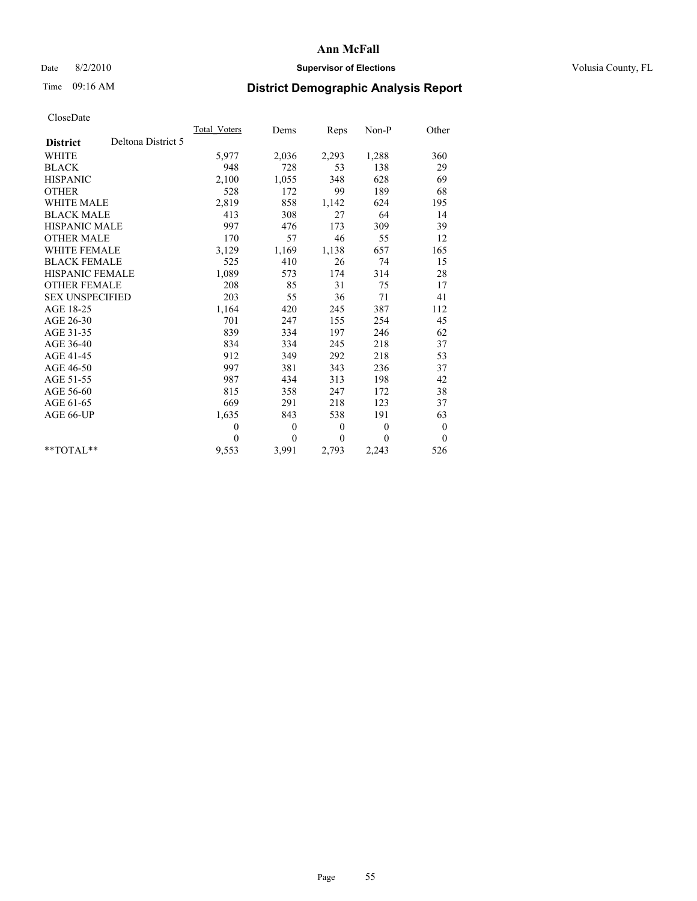## Date 8/2/2010 **Supervisor of Elections Supervisor of Elections** Volusia County, FL

# Time 09:16 AM **District Demographic Analysis Report**

|                                       | <b>Total Voters</b> | Dems     | Reps             | Non-P        | Other            |
|---------------------------------------|---------------------|----------|------------------|--------------|------------------|
| Deltona District 5<br><b>District</b> |                     |          |                  |              |                  |
| <b>WHITE</b>                          | 5,977               | 2,036    | 2,293            | 1,288        | 360              |
| <b>BLACK</b>                          | 948                 | 728      | 53               | 138          | 29               |
| <b>HISPANIC</b>                       | 2,100               | 1,055    | 348              | 628          | 69               |
| <b>OTHER</b>                          | 528                 | 172      | 99               | 189          | 68               |
| <b>WHITE MALE</b>                     | 2,819               | 858      | 1,142            | 624          | 195              |
| <b>BLACK MALE</b>                     | 413                 | 308      | 27               | 64           | 14               |
| <b>HISPANIC MALE</b>                  | 997                 | 476      | 173              | 309          | 39               |
| <b>OTHER MALE</b>                     | 170                 | 57       | 46               | 55           | 12               |
| <b>WHITE FEMALE</b>                   | 3,129               | 1,169    | 1,138            | 657          | 165              |
| <b>BLACK FEMALE</b>                   | 525                 | 410      | 26               | 74           | 15               |
| HISPANIC FEMALE                       | 1,089               | 573      | 174              | 314          | 28               |
| <b>OTHER FEMALE</b>                   | 208                 | 85       | 31               | 75           | 17               |
| <b>SEX UNSPECIFIED</b>                | 203                 | 55       | 36               | 71           | 41               |
| AGE 18-25                             | 1,164               | 420      | 245              | 387          | 112              |
| AGE 26-30                             | 701                 | 247      | 155              | 254          | 45               |
| AGE 31-35                             | 839                 | 334      | 197              | 246          | 62               |
| AGE 36-40                             | 834                 | 334      | 245              | 218          | 37               |
| AGE 41-45                             | 912                 | 349      | 292              | 218          | 53               |
| AGE 46-50                             | 997                 | 381      | 343              | 236          | 37               |
| AGE 51-55                             | 987                 | 434      | 313              | 198          | 42               |
| AGE 56-60                             | 815                 | 358      | 247              | 172          | 38               |
| AGE 61-65                             | 669                 | 291      | 218              | 123          | 37               |
| AGE 66-UP                             | 1,635               | 843      | 538              | 191          | 63               |
|                                       | $\theta$            | $\theta$ | $\boldsymbol{0}$ | $\mathbf{0}$ | $\boldsymbol{0}$ |
|                                       | $\Omega$            | $\theta$ | $\theta$         | 0            | $\overline{0}$   |
| **TOTAL**                             | 9,553               | 3,991    | 2,793            | 2,243        | 526              |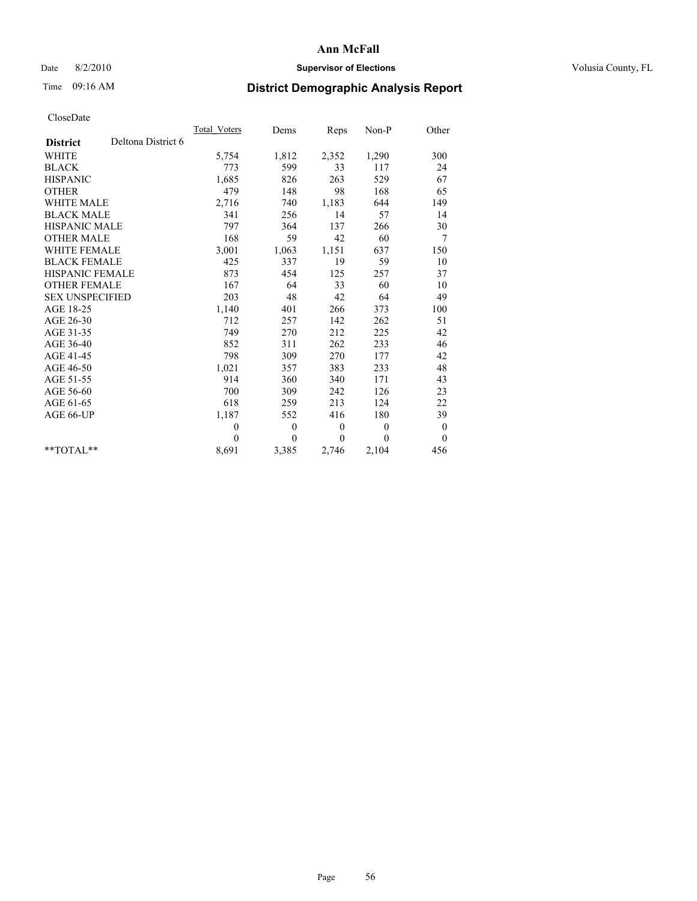## Date 8/2/2010 **Supervisor of Elections Supervisor of Elections** Volusia County, FL

# Time 09:16 AM **District Demographic Analysis Report**

|                                       | <b>Total Voters</b> | Dems             | Reps             | Non-P        | Other            |
|---------------------------------------|---------------------|------------------|------------------|--------------|------------------|
| Deltona District 6<br><b>District</b> |                     |                  |                  |              |                  |
| <b>WHITE</b>                          | 5,754               | 1,812            | 2,352            | 1,290        | 300              |
| <b>BLACK</b>                          | 773                 | 599              | 33               | 117          | 24               |
| <b>HISPANIC</b>                       | 1,685               | 826              | 263              | 529          | 67               |
| <b>OTHER</b>                          | 479                 | 148              | 98               | 168          | 65               |
| WHITE MALE                            | 2,716               | 740              | 1,183            | 644          | 149              |
| <b>BLACK MALE</b>                     | 341                 | 256              | 14               | 57           | 14               |
| <b>HISPANIC MALE</b>                  | 797                 | 364              | 137              | 266          | 30               |
| <b>OTHER MALE</b>                     | 168                 | 59               | 42               | 60           | 7                |
| <b>WHITE FEMALE</b>                   | 3,001               | 1,063            | 1,151            | 637          | 150              |
| <b>BLACK FEMALE</b>                   | 425                 | 337              | 19               | 59           | 10               |
| <b>HISPANIC FEMALE</b>                | 873                 | 454              | 125              | 257          | 37               |
| <b>OTHER FEMALE</b>                   | 167                 | 64               | 33               | 60           | 10               |
| <b>SEX UNSPECIFIED</b>                | 203                 | 48               | 42               | 64           | 49               |
| AGE 18-25                             | 1,140               | 401              | 266              | 373          | 100              |
| AGE 26-30                             | 712                 | 257              | 142              | 262          | 51               |
| AGE 31-35                             | 749                 | 270              | 212              | 225          | 42               |
| AGE 36-40                             | 852                 | 311              | 262              | 233          | 46               |
| AGE 41-45                             | 798                 | 309              | 270              | 177          | 42               |
| AGE 46-50                             | 1,021               | 357              | 383              | 233          | 48               |
| AGE 51-55                             | 914                 | 360              | 340              | 171          | 43               |
| AGE 56-60                             | 700                 | 309              | 242              | 126          | 23               |
| AGE 61-65                             | 618                 | 259              | 213              | 124          | 22               |
| AGE 66-UP                             | 1,187               | 552              | 416              | 180          | 39               |
|                                       | $\theta$            | $\boldsymbol{0}$ | $\boldsymbol{0}$ | $\mathbf{0}$ | $\boldsymbol{0}$ |
|                                       | $\theta$            | $\theta$         | $\theta$         | $\theta$     | $\overline{0}$   |
| $*$ $TOTAI.**$                        | 8,691               | 3,385            | 2,746            | 2,104        | 456              |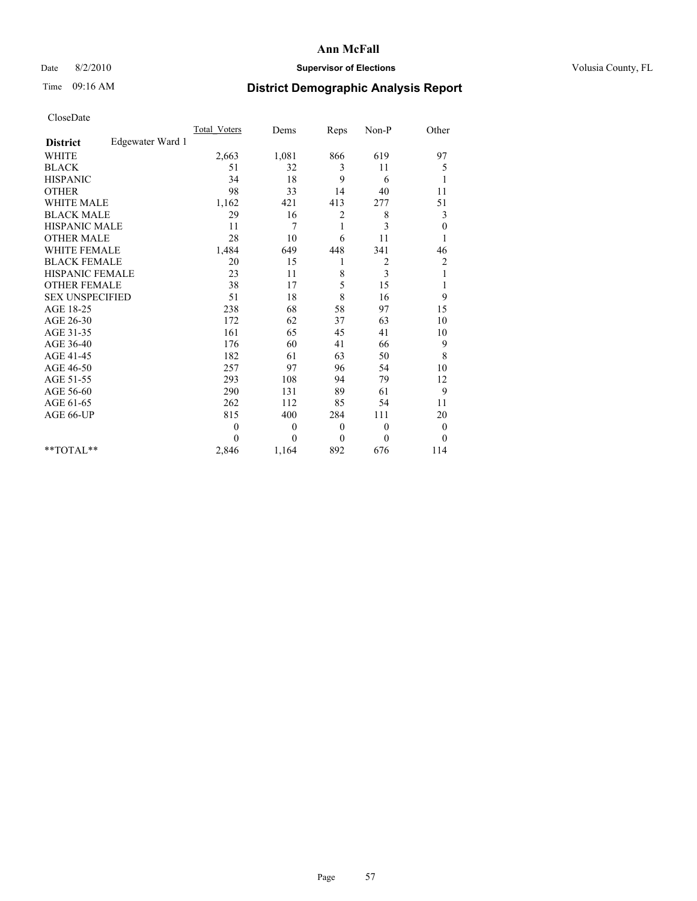## Date 8/2/2010 **Supervisor of Elections Supervisor of Elections** Volusia County, FL

## Time 09:16 AM **District Demographic Analysis Report**

|                                     | <b>Total Voters</b> | Dems         | Reps         | $Non-P$        | Other                   |
|-------------------------------------|---------------------|--------------|--------------|----------------|-------------------------|
| Edgewater Ward 1<br><b>District</b> |                     |              |              |                |                         |
| <b>WHITE</b>                        | 2,663               | 1,081        | 866          | 619            | 97                      |
| <b>BLACK</b>                        | 51                  | 32           | 3            | 11             | 5                       |
| <b>HISPANIC</b>                     | 34                  | 18           | 9            | 6              | 1                       |
| <b>OTHER</b>                        | 98                  | 33           | 14           | 40             | 11                      |
| <b>WHITE MALE</b>                   | 1,162               | 421          | 413          | 277            | 51                      |
| <b>BLACK MALE</b>                   | 29                  | 16           | 2            | 8              | 3                       |
| <b>HISPANIC MALE</b>                | 11                  | 7            | 1            | 3              | $\boldsymbol{0}$        |
| <b>OTHER MALE</b>                   | 28                  | 10           | 6            | 11             |                         |
| <b>WHITE FEMALE</b>                 | 1,484               | 649          | 448          | 341            | 46                      |
| <b>BLACK FEMALE</b>                 | 20                  | 15           | 1            | $\overline{c}$ | $\overline{\mathbf{c}}$ |
| HISPANIC FEMALE                     | 23                  | 11           | 8            | 3              |                         |
| <b>OTHER FEMALE</b>                 | 38                  | 17           | 5            | 15             | 1                       |
| <b>SEX UNSPECIFIED</b>              | 51                  | 18           | 8            | 16             | 9                       |
| AGE 18-25                           | 238                 | 68           | 58           | 97             | 15                      |
| AGE 26-30                           | 172                 | 62           | 37           | 63             | 10                      |
| AGE 31-35                           | 161                 | 65           | 45           | 41             | 10                      |
| AGE 36-40                           | 176                 | 60           | 41           | 66             | 9                       |
| AGE 41-45                           | 182                 | 61           | 63           | 50             | $\,$ 8 $\,$             |
| AGE 46-50                           | 257                 | 97           | 96           | 54             | 10                      |
| AGE 51-55                           | 293                 | 108          | 94           | 79             | 12                      |
| AGE 56-60                           | 290                 | 131          | 89           | 61             | 9                       |
| AGE 61-65                           | 262                 | 112          | 85           | 54             | 11                      |
| AGE 66-UP                           | 815                 | 400          | 284          | 111            | 20                      |
|                                     | $\theta$            | $\mathbf{0}$ | $\theta$     | $\overline{0}$ | $\boldsymbol{0}$        |
|                                     | $\Omega$            | $\theta$     | $\mathbf{0}$ | $\theta$       | $\theta$                |
| $*$ TOTAL $*$                       | 2,846               | 1,164        | 892          | 676            | 114                     |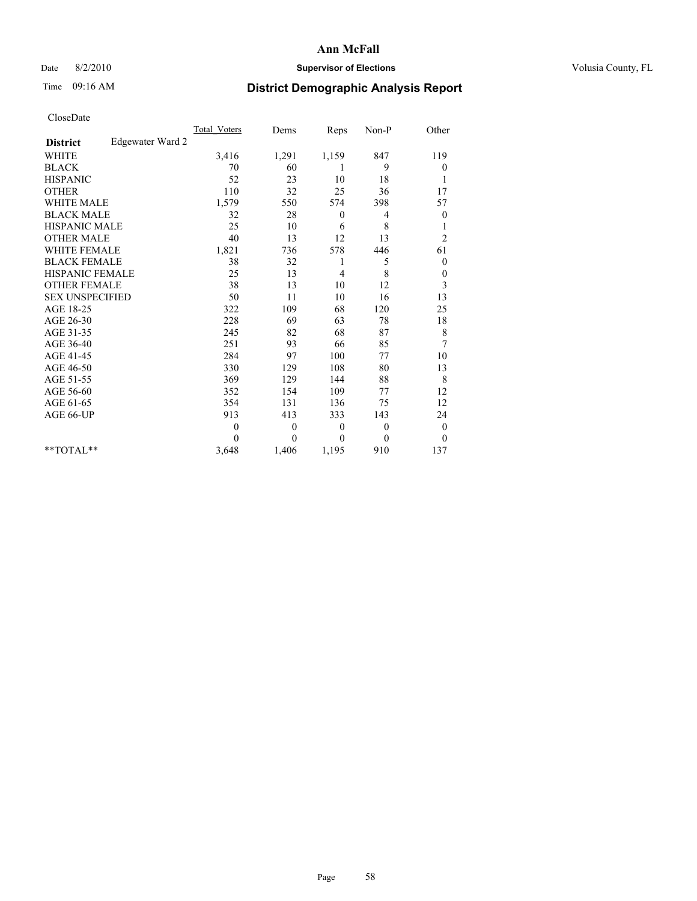## Date 8/2/2010 **Supervisor of Elections Supervisor of Elections** Volusia County, FL

## Time 09:16 AM **District Demographic Analysis Report**

|                                     | <b>Total Voters</b> | Dems         | Reps           | Non-P    | Other            |
|-------------------------------------|---------------------|--------------|----------------|----------|------------------|
| Edgewater Ward 2<br><b>District</b> |                     |              |                |          |                  |
| <b>WHITE</b>                        | 3,416               | 1,291        | 1,159          | 847      | 119              |
| <b>BLACK</b>                        | 70                  | 60           | 1              | 9        | $\boldsymbol{0}$ |
| <b>HISPANIC</b>                     | 52                  | 23           | 10             | 18       | 1                |
| <b>OTHER</b>                        | 110                 | 32           | 25             | 36       | 17               |
| <b>WHITE MALE</b>                   | 1,579               | 550          | 574            | 398      | 57               |
| <b>BLACK MALE</b>                   | 32                  | 28           | $\mathbf{0}$   | 4        | 0                |
| HISPANIC MALE                       | 25                  | 10           | 6              | 8        | 1                |
| <b>OTHER MALE</b>                   | 40                  | 13           | 12             | 13       | $\overline{c}$   |
| <b>WHITE FEMALE</b>                 | 1,821               | 736          | 578            | 446      | 61               |
| <b>BLACK FEMALE</b>                 | 38                  | 32           | 1              | 5        | $\boldsymbol{0}$ |
| HISPANIC FEMALE                     | 25                  | 13           | $\overline{4}$ | 8        | $\boldsymbol{0}$ |
| <b>OTHER FEMALE</b>                 | 38                  | 13           | 10             | 12       | 3                |
| <b>SEX UNSPECIFIED</b>              | 50                  | 11           | 10             | 16       | 13               |
| AGE 18-25                           | 322                 | 109          | 68             | 120      | 25               |
| AGE 26-30                           | 228                 | 69           | 63             | 78       | 18               |
| AGE 31-35                           | 245                 | 82           | 68             | 87       | $\,$ $\,$        |
| AGE 36-40                           | 251                 | 93           | 66             | 85       | 7                |
| AGE 41-45                           | 284                 | 97           | 100            | 77       | 10               |
| AGE 46-50                           | 330                 | 129          | 108            | 80       | 13               |
| AGE 51-55                           | 369                 | 129          | 144            | 88       | 8                |
| AGE 56-60                           | 352                 | 154          | 109            | 77       | 12               |
| AGE 61-65                           | 354                 | 131          | 136            | 75       | 12               |
| AGE 66-UP                           | 913                 | 413          | 333            | 143      | 24               |
|                                     | $\theta$            | $\mathbf{0}$ | $\theta$       | $\theta$ | $\boldsymbol{0}$ |
|                                     | $\Omega$            | $\theta$     | $\Omega$       | $\theta$ | $\theta$         |
| $*$ TOTAL $*$                       | 3,648               | 1,406        | 1,195          | 910      | 137              |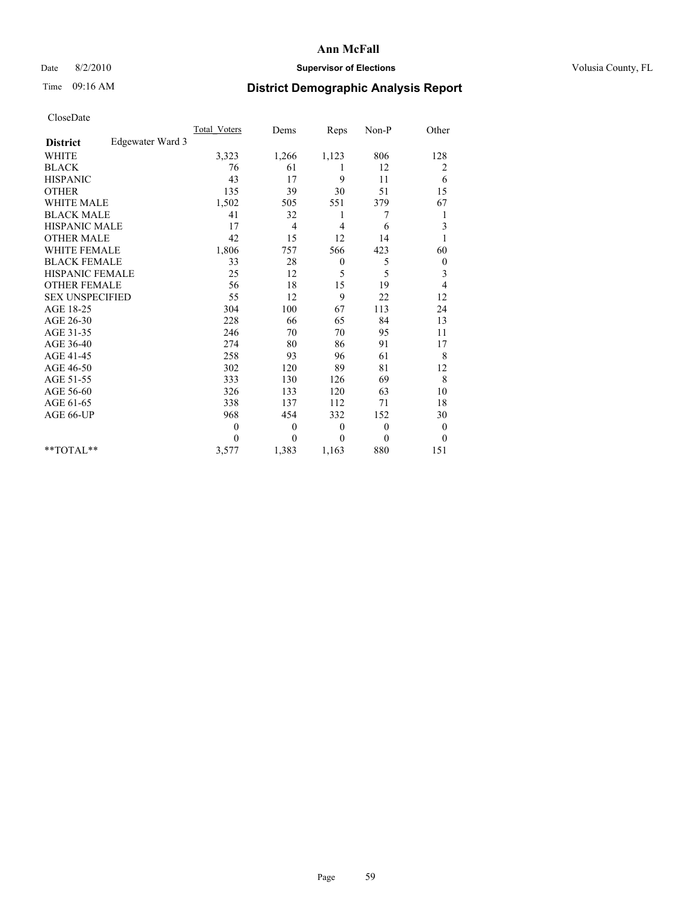## Date 8/2/2010 **Supervisor of Elections Supervisor of Elections** Volusia County, FL

# Time 09:16 AM **District Demographic Analysis Report**

|                                     | <b>Total Voters</b> | Dems         | Reps             | Non-P        | Other            |
|-------------------------------------|---------------------|--------------|------------------|--------------|------------------|
| Edgewater Ward 3<br><b>District</b> |                     |              |                  |              |                  |
| <b>WHITE</b>                        | 3,323               | 1,266        | 1,123            | 806          | 128              |
| <b>BLACK</b>                        | 76                  | 61           | 1                | 12           | 2                |
| <b>HISPANIC</b>                     | 43                  | 17           | 9                | 11           | 6                |
| <b>OTHER</b>                        | 135                 | 39           | 30               | 51           | 15               |
| <b>WHITE MALE</b>                   | 1,502               | 505          | 551              | 379          | 67               |
| <b>BLACK MALE</b>                   | 41                  | 32           | 1                | 7            | 1                |
| <b>HISPANIC MALE</b>                | 17                  | 4            | 4                | 6            | 3                |
| <b>OTHER MALE</b>                   | 42                  | 15           | 12               | 14           |                  |
| <b>WHITE FEMALE</b>                 | 1,806               | 757          | 566              | 423          | 60               |
| <b>BLACK FEMALE</b>                 | 33                  | 28           | $\boldsymbol{0}$ | 5            | $\boldsymbol{0}$ |
| HISPANIC FEMALE                     | 25                  | 12           | 5                | 5            | 3                |
| <b>OTHER FEMALE</b>                 | 56                  | 18           | 15               | 19           | 4                |
| <b>SEX UNSPECIFIED</b>              | 55                  | 12           | 9                | 22           | 12               |
| AGE 18-25                           | 304                 | 100          | 67               | 113          | 24               |
| AGE 26-30                           | 228                 | 66           | 65               | 84           | 13               |
| AGE 31-35                           | 246                 | 70           | 70               | 95           | 11               |
| AGE 36-40                           | 274                 | 80           | 86               | 91           | 17               |
| AGE 41-45                           | 258                 | 93           | 96               | 61           | 8                |
| AGE 46-50                           | 302                 | 120          | 89               | 81           | 12               |
| AGE 51-55                           | 333                 | 130          | 126              | 69           | 8                |
| AGE 56-60                           | 326                 | 133          | 120              | 63           | 10               |
| AGE 61-65                           | 338                 | 137          | 112              | 71           | 18               |
| AGE 66-UP                           | 968                 | 454          | 332              | 152          | 30               |
|                                     | $\theta$            | $\theta$     | $\mathbf{0}$     | $\mathbf{0}$ | $\overline{0}$   |
|                                     | $\Omega$            | $\mathbf{0}$ | $\theta$         | $\mathbf{0}$ | $\overline{0}$   |
| $*$ TOTAL $*$                       | 3,577               | 1,383        | 1,163            | 880          | 151              |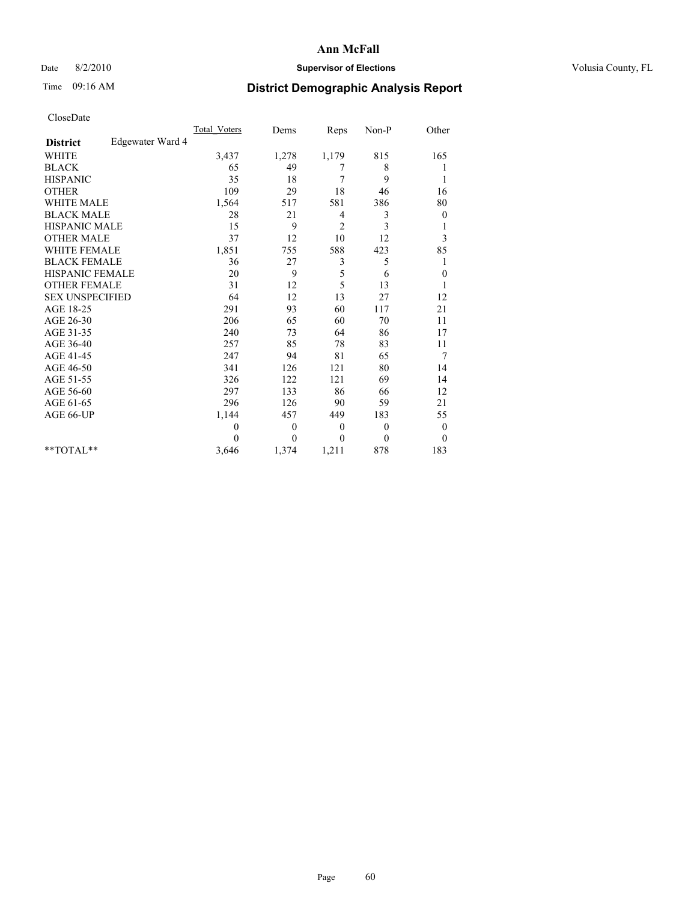#### Date 8/2/2010 **Supervisor of Elections Supervisor of Elections** Volusia County, FL

## Time 09:16 AM **District Demographic Analysis Report**

|                                     | <b>Total Voters</b> | Dems         | Reps           | Non-P    | Other            |
|-------------------------------------|---------------------|--------------|----------------|----------|------------------|
| Edgewater Ward 4<br><b>District</b> |                     |              |                |          |                  |
| <b>WHITE</b>                        | 3,437               | 1,278        | 1,179          | 815      | 165              |
| <b>BLACK</b>                        | 65                  | 49           | 7              | 8        |                  |
| <b>HISPANIC</b>                     | 35                  | 18           | 7              | 9        | 1                |
| <b>OTHER</b>                        | 109                 | 29           | $18\,$         | 46       | 16               |
| <b>WHITE MALE</b>                   | 1,564               | 517          | 581            | 386      | 80               |
| <b>BLACK MALE</b>                   | 28                  | 21           | $\overline{4}$ | 3        | $\boldsymbol{0}$ |
| HISPANIC MALE                       | 15                  | 9            | $\overline{2}$ | 3        | 1                |
| <b>OTHER MALE</b>                   | 37                  | 12           | 10             | 12       | 3                |
| <b>WHITE FEMALE</b>                 | 1,851               | 755          | 588            | 423      | 85               |
| <b>BLACK FEMALE</b>                 | 36                  | 27           | 3              | 5        | 1                |
| <b>HISPANIC FEMALE</b>              | 20                  | 9            | 5              | 6        | $\boldsymbol{0}$ |
| <b>OTHER FEMALE</b>                 | 31                  | 12           | 5              | 13       | 1                |
| <b>SEX UNSPECIFIED</b>              | 64                  | 12           | 13             | 27       | 12               |
| AGE 18-25                           | 291                 | 93           | 60             | 117      | 21               |
| AGE 26-30                           | 206                 | 65           | 60             | 70       | 11               |
| AGE 31-35                           | 240                 | 73           | 64             | 86       | 17               |
| AGE 36-40                           | 257                 | 85           | 78             | 83       | 11               |
| AGE 41-45                           | 247                 | 94           | 81             | 65       | 7                |
| AGE 46-50                           | 341                 | 126          | 121            | 80       | 14               |
| AGE 51-55                           | 326                 | 122          | 121            | 69       | 14               |
| AGE 56-60                           | 297                 | 133          | 86             | 66       | 12               |
| AGE 61-65                           | 296                 | 126          | 90             | 59       | 21               |
| AGE 66-UP                           | 1,144               | 457          | 449            | 183      | 55               |
|                                     | $\theta$            | $\mathbf{0}$ | $\theta$       | $\theta$ | $\boldsymbol{0}$ |
|                                     | $\theta$            | $\theta$     | $\mathbf{0}$   | $\theta$ | $\theta$         |
| $*$ TOTAL $*$                       | 3,646               | 1,374        | 1,211          | 878      | 183              |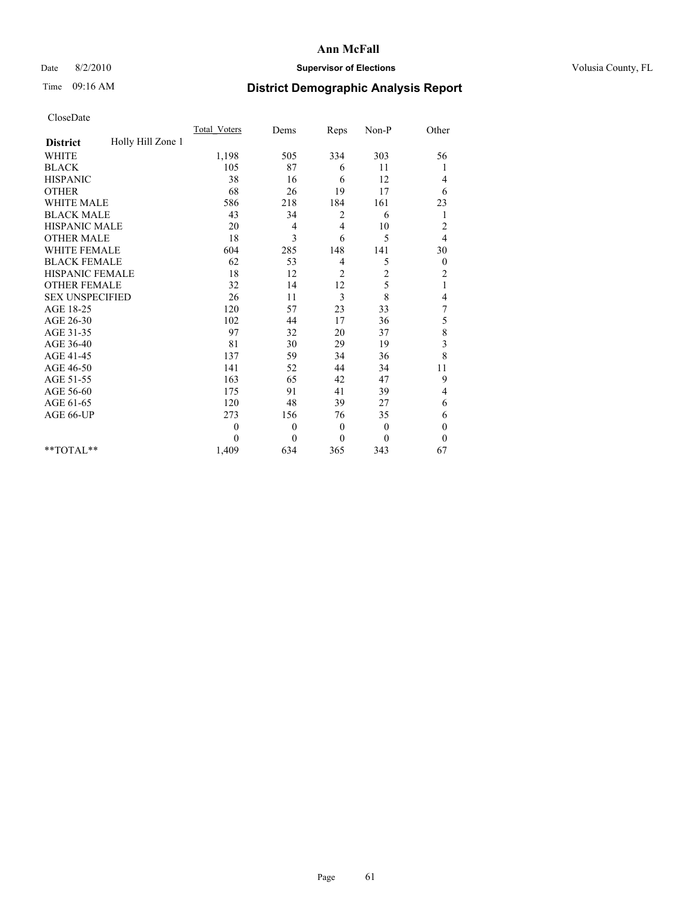## Date 8/2/2010 **Supervisor of Elections Supervisor of Elections** Volusia County, FL

# Time 09:16 AM **District Demographic Analysis Report**

|                                      | <b>Total Voters</b> | Dems           | Reps           | $Non-P$      | Other            |
|--------------------------------------|---------------------|----------------|----------------|--------------|------------------|
| Holly Hill Zone 1<br><b>District</b> |                     |                |                |              |                  |
| <b>WHITE</b>                         | 1,198               | 505            | 334            | 303          | 56               |
| <b>BLACK</b>                         | 105                 | 87             | 6              | 11           |                  |
| <b>HISPANIC</b>                      | 38                  | 16             | 6              | 12           | 4                |
| <b>OTHER</b>                         | 68                  | 26             | 19             | 17           | 6                |
| <b>WHITE MALE</b>                    | 586                 | 218            | 184            | 161          | 23               |
| <b>BLACK MALE</b>                    | 43                  | 34             | 2              | 6            | 1                |
| HISPANIC MALE                        | 20                  | 4              | $\overline{4}$ | 10           | $\overline{c}$   |
| <b>OTHER MALE</b>                    | 18                  | 3              | 6              | 5            | $\overline{4}$   |
| <b>WHITE FEMALE</b>                  | 604                 | 285            | 148            | 141          | 30               |
| <b>BLACK FEMALE</b>                  | 62                  | 53             | 4              | 5            | $\mathbf{0}$     |
| HISPANIC FEMALE                      | 18                  | 12             | 2              | 2            | $\overline{c}$   |
| <b>OTHER FEMALE</b>                  | 32                  | 14             | 12             | 5            | 1                |
| <b>SEX UNSPECIFIED</b>               | 26                  | 11             | 3              | 8            | 4                |
| AGE 18-25                            | 120                 | 57             | 23             | 33           | $\boldsymbol{7}$ |
| AGE 26-30                            | 102                 | 44             | 17             | 36           | 5                |
| AGE 31-35                            | 97                  | 32             | 20             | 37           | 8                |
| AGE 36-40                            | 81                  | 30             | 29             | 19           | 3                |
| AGE 41-45                            | 137                 | 59             | 34             | 36           | 8                |
| AGE 46-50                            | 141                 | 52             | 44             | 34           | 11               |
| AGE 51-55                            | 163                 | 65             | 42             | 47           | 9                |
| AGE 56-60                            | 175                 | 91             | 41             | 39           | 4                |
| AGE 61-65                            | 120                 | 48             | 39             | 27           | 6                |
| AGE 66-UP                            | 273                 | 156            | 76             | 35           | 6                |
|                                      | $\theta$            | $\overline{0}$ | $\mathbf{0}$   | $\mathbf{0}$ | $\mathbf{0}$     |
|                                      | $\Omega$            | $\overline{0}$ | $\mathbf{0}$   | $\theta$     | $\theta$         |
| $*$ $TOTAI.**$                       | 1,409               | 634            | 365            | 343          | 67               |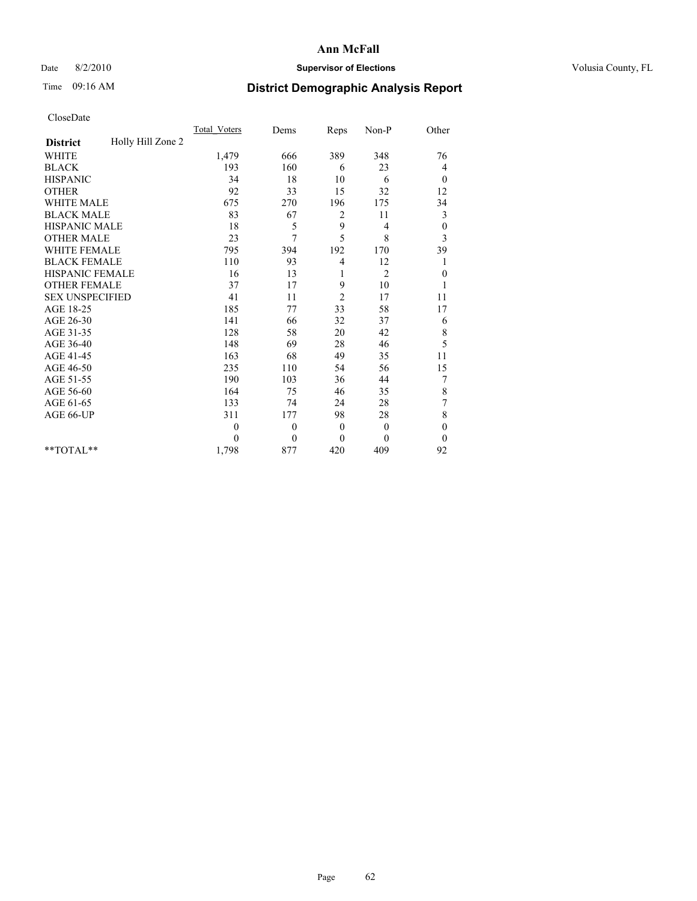## Date 8/2/2010 **Supervisor of Elections Supervisor of Elections** Volusia County, FL

## Time 09:16 AM **District Demographic Analysis Report**

|                        | <b>Total Voters</b> | Dems     | Reps           | Non-P          | Other            |  |
|------------------------|---------------------|----------|----------------|----------------|------------------|--|
| <b>District</b>        | Holly Hill Zone 2   |          |                |                |                  |  |
| <b>WHITE</b>           | 1,479               | 666      | 389            | 348            | 76               |  |
| <b>BLACK</b>           | 193                 | 160      | 6              | 23             | 4                |  |
| <b>HISPANIC</b>        | 34                  | 18       | 10             | 6              | $\mathbf{0}$     |  |
| <b>OTHER</b>           | 92                  | 33       | 15             | 32             | 12               |  |
| <b>WHITE MALE</b>      | 675                 | 270      | 196            | 175            | 34               |  |
| <b>BLACK MALE</b>      | 83                  | 67       | 2              | 11             | 3                |  |
| HISPANIC MALE          | $18\,$              | 5        | 9              | 4              | $\boldsymbol{0}$ |  |
| <b>OTHER MALE</b>      | 23                  | 7        | 5              | 8              | 3                |  |
| <b>WHITE FEMALE</b>    | 795                 | 394      | 192            | 170            | 39               |  |
| <b>BLACK FEMALE</b>    | 110                 | 93       | 4              | 12             | 1                |  |
| HISPANIC FEMALE        | 16                  | 13       | 1              | $\overline{2}$ | $\boldsymbol{0}$ |  |
| <b>OTHER FEMALE</b>    | 37                  | 17       | 9              | 10             | 1                |  |
| <b>SEX UNSPECIFIED</b> | 41                  | 11       | $\overline{c}$ | 17             | 11               |  |
| AGE 18-25              | 185                 | 77       | 33             | 58             | 17               |  |
| AGE 26-30              | 141                 | 66       | 32             | 37             | 6                |  |
| AGE 31-35              | 128                 | 58       | 20             | 42             | 8                |  |
| AGE 36-40              | 148                 | 69       | 28             | 46             | 5                |  |
| AGE 41-45              | 163                 | 68       | 49             | 35             | 11               |  |
| AGE 46-50              | 235                 | 110      | 54             | 56             | 15               |  |
| AGE 51-55              | 190                 | 103      | 36             | 44             | 7                |  |
| AGE 56-60              | 164                 | 75       | 46             | 35             | 8                |  |
| AGE 61-65              | 133                 | 74       | 24             | 28             | 7                |  |
| AGE 66-UP              | 311                 | 177      | 98             | 28             | 8                |  |
|                        | $\theta$            | $\theta$ | $\mathbf{0}$   | $\mathbf{0}$   | $\boldsymbol{0}$ |  |
|                        | $\theta$            | $\theta$ | $\mathbf{0}$   | $\Omega$       | $\boldsymbol{0}$ |  |
| $*$ TOTAL $*$          | 1,798               | 877      | 420            | 409            | 92               |  |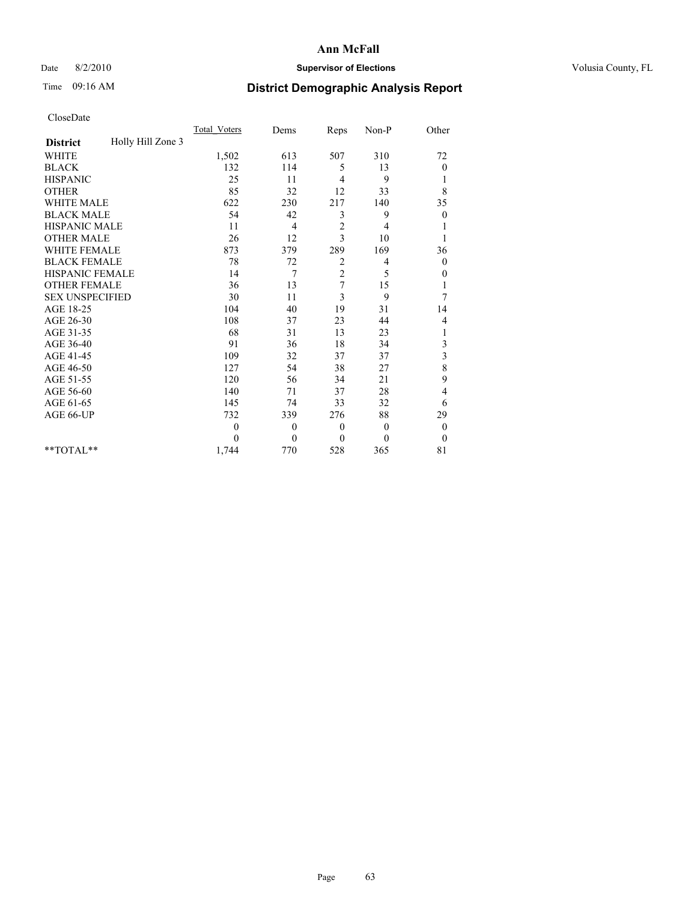## Date 8/2/2010 **Supervisor of Elections Supervisor of Elections** Volusia County, FL

## Time 09:16 AM **District Demographic Analysis Report**

|                                      | <b>Total Voters</b> | Dems         | Reps           | Non-P        | Other            |
|--------------------------------------|---------------------|--------------|----------------|--------------|------------------|
| Holly Hill Zone 3<br><b>District</b> |                     |              |                |              |                  |
| <b>WHITE</b>                         | 1,502               | 613          | 507            | 310          | 72               |
| <b>BLACK</b>                         | 132                 | 114          | 5              | 13           | 0                |
| <b>HISPANIC</b>                      | 25                  | 11           | 4              | 9            | 1                |
| <b>OTHER</b>                         | 85                  | 32           | 12             | 33           | 8                |
| <b>WHITE MALE</b>                    | 622                 | 230          | 217            | 140          | 35               |
| <b>BLACK MALE</b>                    | 54                  | 42           | 3              | 9            | $\boldsymbol{0}$ |
| <b>HISPANIC MALE</b>                 | 11                  | 4            | $\sqrt{2}$     | 4            |                  |
| <b>OTHER MALE</b>                    | 26                  | 12           | 3              | 10           |                  |
| <b>WHITE FEMALE</b>                  | 873                 | 379          | 289            | 169          | 36               |
| <b>BLACK FEMALE</b>                  | 78                  | 72           | 2              | 4            | $\theta$         |
| HISPANIC FEMALE                      | 14                  | 7            | $\overline{c}$ | 5            | 0                |
| <b>OTHER FEMALE</b>                  | 36                  | 13           | 7              | 15           | 1                |
| <b>SEX UNSPECIFIED</b>               | 30                  | 11           | 3              | 9            | 7                |
| AGE 18-25                            | 104                 | 40           | 19             | 31           | 14               |
| AGE 26-30                            | 108                 | 37           | 23             | 44           | 4                |
| AGE 31-35                            | 68                  | 31           | 13             | 23           | 1                |
| AGE 36-40                            | 91                  | 36           | 18             | 34           | 3                |
| AGE 41-45                            | 109                 | 32           | 37             | 37           | 3                |
| AGE 46-50                            | 127                 | 54           | 38             | 27           | 8                |
| AGE 51-55                            | 120                 | 56           | 34             | 21           | 9                |
| AGE 56-60                            | 140                 | 71           | 37             | 28           | 4                |
| AGE 61-65                            | 145                 | 74           | 33             | 32           | 6                |
| AGE 66-UP                            | 732                 | 339          | 276            | 88           | 29               |
|                                      | $\theta$            | $\mathbf{0}$ | $\theta$       | $\mathbf{0}$ | $\boldsymbol{0}$ |
|                                      | $\theta$            | $\mathbf{0}$ | $\mathbf{0}$   | $\theta$     | $\theta$         |
| **TOTAL**                            | 1,744               | 770          | 528            | 365          | 81               |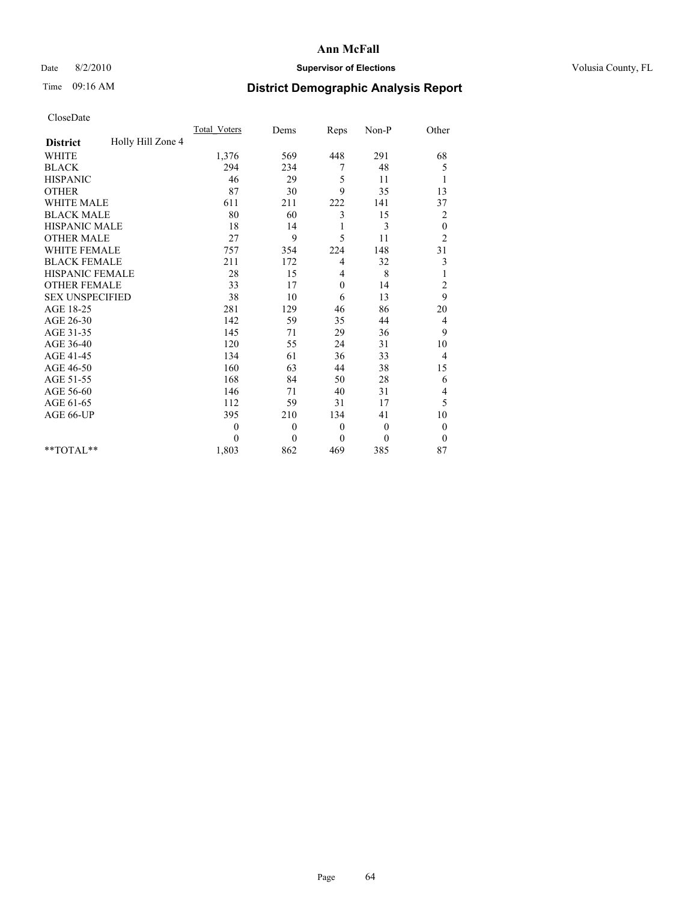## Date 8/2/2010 **Supervisor of Elections Supervisor of Elections** Volusia County, FL

## Time 09:16 AM **District Demographic Analysis Report**

|                                      | Total Voters | Dems         | Reps         | $Non-P$      | Other            |  |
|--------------------------------------|--------------|--------------|--------------|--------------|------------------|--|
| Holly Hill Zone 4<br><b>District</b> |              |              |              |              |                  |  |
| <b>WHITE</b>                         | 1,376        | 569          | 448          | 291          | 68               |  |
| <b>BLACK</b>                         | 294          | 234          | 7            | 48           | 5                |  |
| <b>HISPANIC</b>                      | 46           | 29           | 5            | 11           | 1                |  |
| <b>OTHER</b>                         | 87           | 30           | 9            | 35           | 13               |  |
| <b>WHITE MALE</b>                    | 611          | 211          | 222          | 141          | 37               |  |
| <b>BLACK MALE</b>                    | 80           | 60           | 3            | 15           | $\overline{c}$   |  |
| <b>HISPANIC MALE</b>                 | 18           | 14           | 1            | 3            | $\boldsymbol{0}$ |  |
| <b>OTHER MALE</b>                    | 27           | 9            | 5            | 11           | $\overline{c}$   |  |
| WHITE FEMALE                         | 757          | 354          | 224          | 148          | 31               |  |
| <b>BLACK FEMALE</b>                  | 211          | 172          | 4            | 32           | 3                |  |
| HISPANIC FEMALE                      | 28           | 15           | 4            | 8            | 1                |  |
| <b>OTHER FEMALE</b>                  | 33           | 17           | $\mathbf{0}$ | 14           | 2                |  |
| <b>SEX UNSPECIFIED</b>               | 38           | 10           | 6            | 13           | 9                |  |
| AGE 18-25                            | 281          | 129          | 46           | 86           | 20               |  |
| AGE 26-30                            | 142          | 59           | 35           | 44           | $\overline{4}$   |  |
| AGE 31-35                            | 145          | 71           | 29           | 36           | 9                |  |
| AGE 36-40                            | 120          | 55           | 24           | 31           | 10               |  |
| AGE 41-45                            | 134          | 61           | 36           | 33           | $\overline{4}$   |  |
| AGE 46-50                            | 160          | 63           | 44           | 38           | 15               |  |
| AGE 51-55                            | 168          | 84           | 50           | 28           | 6                |  |
| AGE 56-60                            | 146          | 71           | 40           | 31           | 4                |  |
| AGE 61-65                            | 112          | 59           | 31           | 17           | 5                |  |
| AGE 66-UP                            | 395          | 210          | 134          | 41           | 10               |  |
|                                      | $\mathbf{0}$ | $\mathbf{0}$ | $\theta$     | $\mathbf{0}$ | $\boldsymbol{0}$ |  |
|                                      | $\Omega$     | $\theta$     | $\theta$     | $\theta$     | $\theta$         |  |
| $*$ TOTAL $*$                        | 1,803        | 862          | 469          | 385          | 87               |  |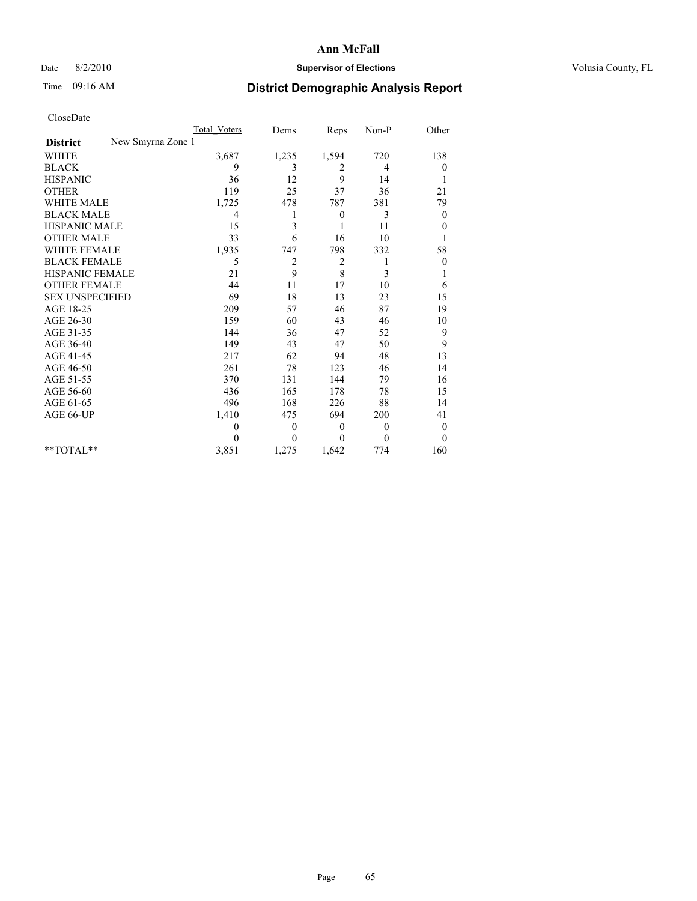## Date 8/2/2010 **Supervisor of Elections Supervisor of Elections** Volusia County, FL

# Time 09:16 AM **District Demographic Analysis Report**

|                                      | Total Voters | Dems           | Reps             | Non-P        | Other            |
|--------------------------------------|--------------|----------------|------------------|--------------|------------------|
| New Smyrna Zone 1<br><b>District</b> |              |                |                  |              |                  |
| <b>WHITE</b>                         | 3,687        | 1,235          | 1,594            | 720          | 138              |
| <b>BLACK</b>                         | 9            | 3              | 2                | 4            | $\boldsymbol{0}$ |
| <b>HISPANIC</b>                      | 36           | 12             | 9                | 14           |                  |
| <b>OTHER</b>                         | 119          | 25             | 37               | 36           | 21               |
| <b>WHITE MALE</b>                    | 1,725        | 478            | 787              | 381          | 79               |
| <b>BLACK MALE</b>                    | 4            | 1              | $\boldsymbol{0}$ | 3            | $\overline{0}$   |
| <b>HISPANIC MALE</b>                 | 15           | 3              |                  | 11           | $\boldsymbol{0}$ |
| <b>OTHER MALE</b>                    | 33           | 6              | 16               | 10           |                  |
| <b>WHITE FEMALE</b>                  | 1,935        | 747            | 798              | 332          | 58               |
| <b>BLACK FEMALE</b>                  | 5            | $\overline{2}$ | $\overline{c}$   |              | $\theta$         |
| HISPANIC FEMALE                      | 21           | 9              | 8                | 3            |                  |
| <b>OTHER FEMALE</b>                  | 44           | 11             | 17               | 10           | 6                |
| <b>SEX UNSPECIFIED</b>               | 69           | 18             | 13               | 23           | 15               |
| AGE 18-25                            | 209          | 57             | 46               | 87           | 19               |
| AGE 26-30                            | 159          | 60             | 43               | 46           | 10               |
| AGE 31-35                            | 144          | 36             | 47               | 52           | 9                |
| AGE 36-40                            | 149          | 43             | 47               | 50           | 9                |
| AGE 41-45                            | 217          | 62             | 94               | 48           | 13               |
| AGE 46-50                            | 261          | 78             | 123              | 46           | 14               |
| AGE 51-55                            | 370          | 131            | 144              | 79           | 16               |
| AGE 56-60                            | 436          | 165            | 178              | 78           | 15               |
| AGE 61-65                            | 496          | 168            | 226              | 88           | 14               |
| AGE 66-UP                            | 1,410        | 475            | 694              | 200          | 41               |
|                                      | $\theta$     | $\theta$       | $\theta$         | $\theta$     | $\theta$         |
|                                      | $\theta$     | $\theta$       | $\theta$         | $\mathbf{0}$ | $\overline{0}$   |
| $*$ TOTAL $*$                        | 3,851        | 1,275          | 1,642            | 774          | 160              |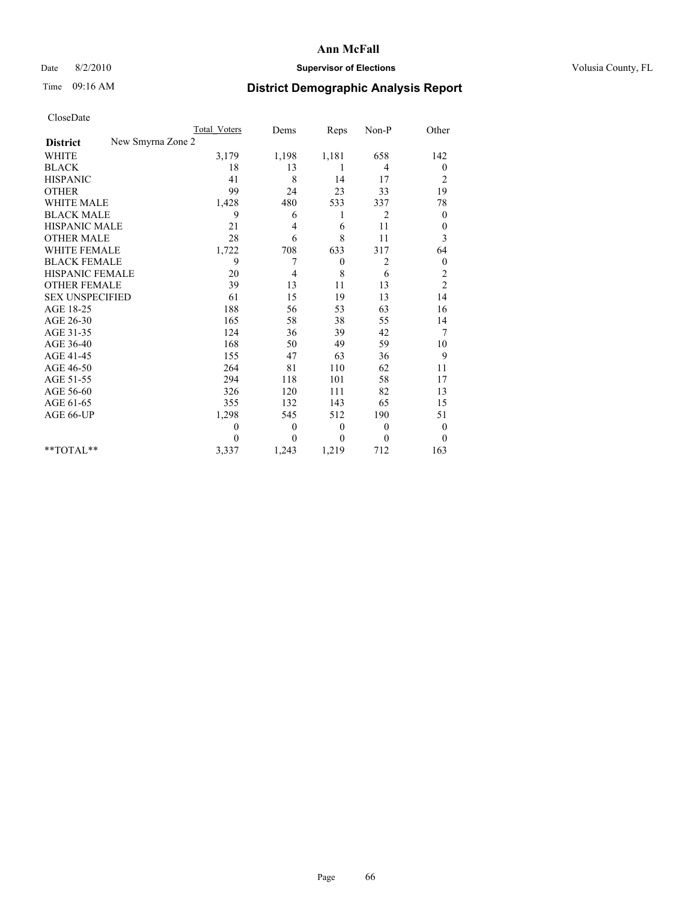## Date 8/2/2010 **Supervisor of Elections Supervisor of Elections** Volusia County, FL

# Time 09:16 AM **District Demographic Analysis Report**

|                                      | Total Voters   | Dems         | Reps             | Non-P          | Other            |
|--------------------------------------|----------------|--------------|------------------|----------------|------------------|
| New Smyrna Zone 2<br><b>District</b> |                |              |                  |                |                  |
| <b>WHITE</b>                         | 3,179          | 1,198        | 1,181            | 658            | 142              |
| <b>BLACK</b>                         | 18             | 13           | 1                | 4              | $\boldsymbol{0}$ |
| <b>HISPANIC</b>                      | 41             | 8            | 14               | 17             | $\overline{c}$   |
| <b>OTHER</b>                         | 99             | 24           | 23               | 33             | 19               |
| <b>WHITE MALE</b>                    | 1,428          | 480          | 533              | 337            | 78               |
| <b>BLACK MALE</b>                    | 9              | 6            | 1                | $\overline{2}$ | $\overline{0}$   |
| HISPANIC MALE                        | 21             | 4            | 6                | 11             | $\theta$         |
| <b>OTHER MALE</b>                    | 28             | 6            | 8                | 11             | 3                |
| <b>WHITE FEMALE</b>                  | 1,722          | 708          | 633              | 317            | 64               |
| <b>BLACK FEMALE</b>                  | 9              | 7            | $\boldsymbol{0}$ | 2              | $\boldsymbol{0}$ |
| <b>HISPANIC FEMALE</b>               | 20             | 4            | 8                | 6              | $\overline{c}$   |
| <b>OTHER FEMALE</b>                  | 39             | 13           | 11               | 13             | $\overline{c}$   |
| <b>SEX UNSPECIFIED</b>               | 61             | 15           | 19               | 13             | 14               |
| AGE 18-25                            | 188            | 56           | 53               | 63             | 16               |
| AGE 26-30                            | 165            | 58           | 38               | 55             | 14               |
| AGE 31-35                            | 124            | 36           | 39               | 42             | 7                |
| AGE 36-40                            | 168            | 50           | 49               | 59             | 10               |
| AGE 41-45                            | 155            | 47           | 63               | 36             | 9                |
| AGE 46-50                            | 264            | 81           | 110              | 62             | 11               |
| AGE 51-55                            | 294            | 118          | 101              | 58             | 17               |
| AGE 56-60                            | 326            | 120          | 111              | 82             | 13               |
| AGE 61-65                            | 355            | 132          | 143              | 65             | 15               |
| AGE 66-UP                            | 1,298          | 545          | 512              | 190            | 51               |
|                                      | $\overline{0}$ | $\mathbf{0}$ | $\theta$         | $\theta$       | $\boldsymbol{0}$ |
|                                      | $\Omega$       | $\theta$     | $\theta$         | $\Omega$       | $\theta$         |
| $*$ $TOTAI.**$                       | 3,337          | 1,243        | 1,219            | 712            | 163              |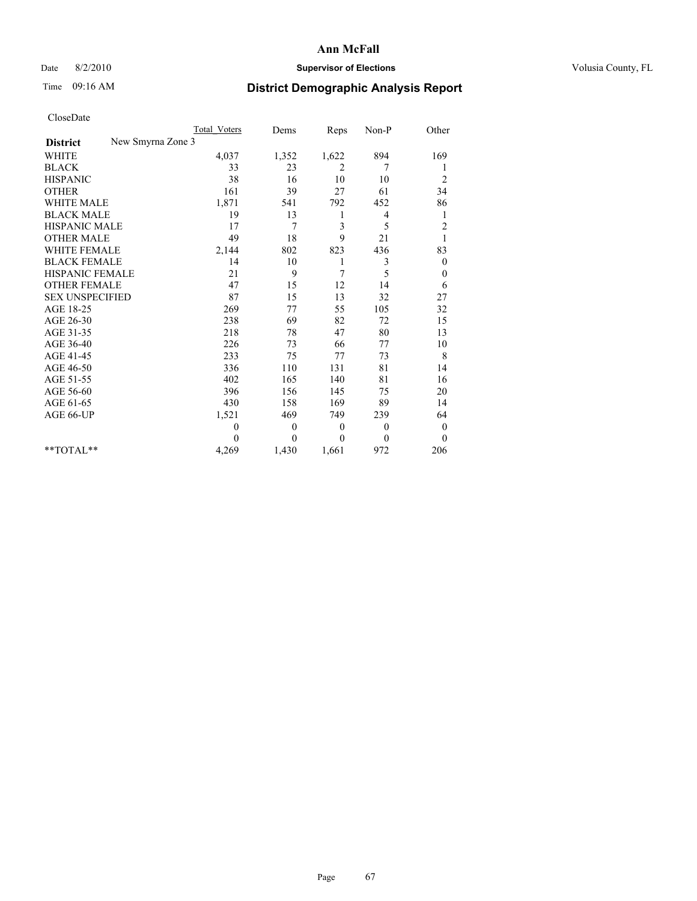## Date 8/2/2010 **Supervisor of Elections Supervisor of Elections** Volusia County, FL

# Time 09:16 AM **District Demographic Analysis Report**

|                                      | Total Voters | Dems           | Reps         | Non-P        | Other            |
|--------------------------------------|--------------|----------------|--------------|--------------|------------------|
| New Smyrna Zone 3<br><b>District</b> |              |                |              |              |                  |
| <b>WHITE</b>                         | 4,037        | 1,352          | 1,622        | 894          | 169              |
| <b>BLACK</b>                         | 33           | 23             | 2            | 7            |                  |
| <b>HISPANIC</b>                      | 38           | 16             | 10           | 10           | $\overline{c}$   |
| <b>OTHER</b>                         | 161          | 39             | 27           | 61           | 34               |
| <b>WHITE MALE</b>                    | 1,871        | 541            | 792          | 452          | 86               |
| <b>BLACK MALE</b>                    | 19           | 13             | 1            | 4            | 1                |
| <b>HISPANIC MALE</b>                 | 17           | $\overline{7}$ | 3            | 5            | $\overline{c}$   |
| <b>OTHER MALE</b>                    | 49           | 18             | 9            | 21           |                  |
| <b>WHITE FEMALE</b>                  | 2,144        | 802            | 823          | 436          | 83               |
| <b>BLACK FEMALE</b>                  | 14           | 10             | 1            | 3            | $\boldsymbol{0}$ |
| HISPANIC FEMALE                      | 21           | 9              | 7            | 5            | $\boldsymbol{0}$ |
| <b>OTHER FEMALE</b>                  | 47           | 15             | 12           | 14           | 6                |
| <b>SEX UNSPECIFIED</b>               | 87           | 15             | 13           | 32           | 27               |
| AGE 18-25                            | 269          | 77             | 55           | 105          | 32               |
| AGE 26-30                            | 238          | 69             | 82           | 72           | 15               |
| AGE 31-35                            | 218          | 78             | 47           | 80           | 13               |
| AGE 36-40                            | 226          | 73             | 66           | 77           | 10               |
| AGE 41-45                            | 233          | 75             | 77           | 73           | 8                |
| AGE 46-50                            | 336          | 110            | 131          | 81           | 14               |
| AGE 51-55                            | 402          | 165            | 140          | 81           | 16               |
| AGE 56-60                            | 396          | 156            | 145          | 75           | 20               |
| AGE 61-65                            | 430          | 158            | 169          | 89           | 14               |
| AGE 66-UP                            | 1,521        | 469            | 749          | 239          | 64               |
|                                      | $\theta$     | $\mathbf{0}$   | $\mathbf{0}$ | $\mathbf{0}$ | $\boldsymbol{0}$ |
|                                      | $\Omega$     | $\theta$       | $\Omega$     | $\theta$     | $\theta$         |
| $*$ $TOTAI.**$                       | 4,269        | 1,430          | 1,661        | 972          | 206              |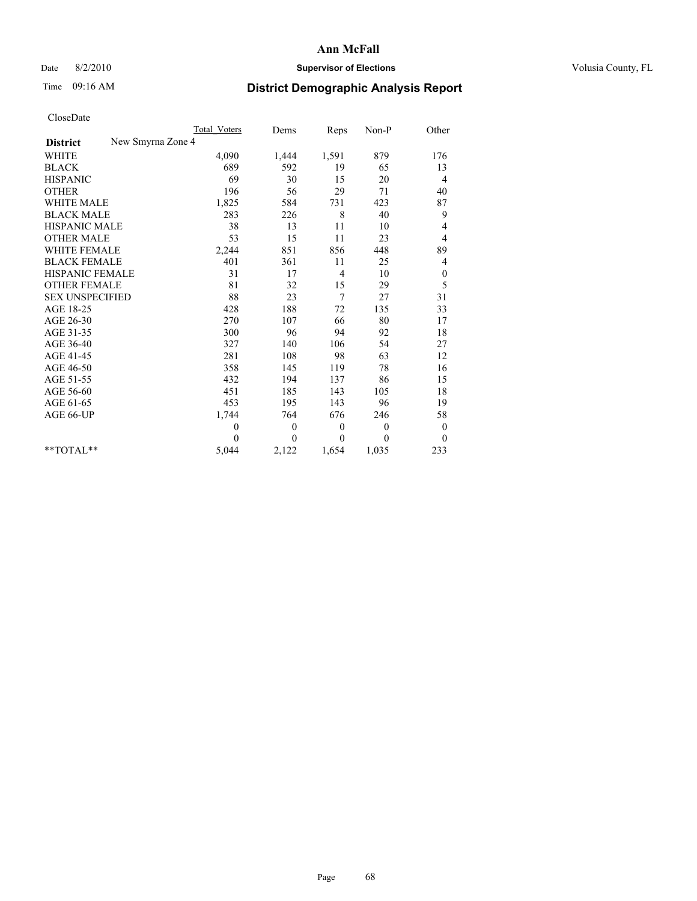#### Date 8/2/2010 **Supervisor of Elections Supervisor of Elections** Volusia County, FL

# Time 09:16 AM **District Demographic Analysis Report**

|                                      | Total Voters | Dems         | Reps           | $Non-P$      | Other            |
|--------------------------------------|--------------|--------------|----------------|--------------|------------------|
| New Smyrna Zone 4<br><b>District</b> |              |              |                |              |                  |
| <b>WHITE</b>                         | 4,090        | 1,444        | 1,591          | 879          | 176              |
| <b>BLACK</b>                         | 689          | 592          | 19             | 65           | 13               |
| <b>HISPANIC</b>                      | 69           | 30           | 15             | 20           | $\overline{4}$   |
| <b>OTHER</b>                         | 196          | 56           | 29             | 71           | 40               |
| <b>WHITE MALE</b>                    | 1,825        | 584          | 731            | 423          | 87               |
| <b>BLACK MALE</b>                    | 283          | 226          | 8              | 40           | 9                |
| HISPANIC MALE                        | 38           | 13           | 11             | 10           | 4                |
| <b>OTHER MALE</b>                    | 53           | 15           | 11             | 23           | $\overline{4}$   |
| WHITE FEMALE                         | 2,244        | 851          | 856            | 448          | 89               |
| <b>BLACK FEMALE</b>                  | 401          | 361          | 11             | 25           | 4                |
| HISPANIC FEMALE                      | 31           | 17           | $\overline{4}$ | 10           | $\boldsymbol{0}$ |
| <b>OTHER FEMALE</b>                  | 81           | 32           | 15             | 29           | 5                |
| <b>SEX UNSPECIFIED</b>               | 88           | 23           | 7              | 27           | 31               |
| AGE 18-25                            | 428          | 188          | 72             | 135          | 33               |
| AGE 26-30                            | 270          | 107          | 66             | 80           | 17               |
| AGE 31-35                            | 300          | 96           | 94             | 92           | 18               |
| AGE 36-40                            | 327          | 140          | 106            | 54           | 27               |
| AGE 41-45                            | 281          | 108          | 98             | 63           | 12               |
| AGE 46-50                            | 358          | 145          | 119            | 78           | 16               |
| AGE 51-55                            | 432          | 194          | 137            | 86           | 15               |
| AGE 56-60                            | 451          | 185          | 143            | 105          | 18               |
| AGE 61-65                            | 453          | 195          | 143            | 96           | 19               |
| AGE 66-UP                            | 1,744        | 764          | 676            | 246          | 58               |
|                                      | $\theta$     | $\theta$     | $\mathbf{0}$   | $\mathbf{0}$ | $\theta$         |
|                                      | $\Omega$     | $\mathbf{0}$ | $\mathbf{0}$   | $\theta$     | $\overline{0}$   |
| $*$ $TOTAI.**$                       | 5,044        | 2,122        | 1,654          | 1,035        | 233              |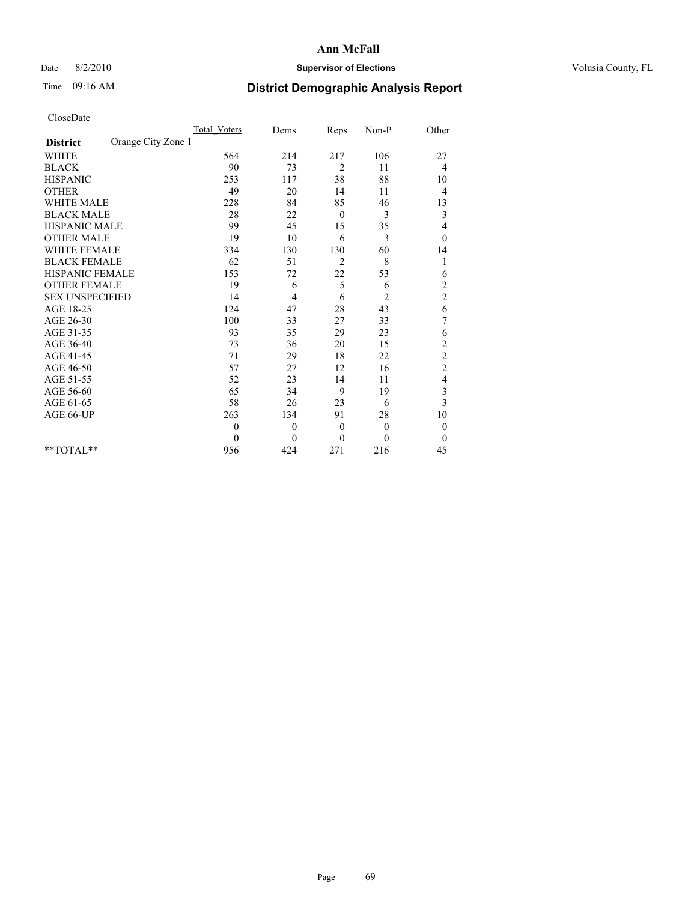#### Date 8/2/2010 **Supervisor of Elections Supervisor of Elections** Volusia County, FL

## Time 09:16 AM **District Demographic Analysis Report**

|                                       | Total Voters | Dems         | Reps           | $Non-P$        | Other            |  |
|---------------------------------------|--------------|--------------|----------------|----------------|------------------|--|
| Orange City Zone 1<br><b>District</b> |              |              |                |                |                  |  |
| <b>WHITE</b>                          | 564          | 214          | 217            | 106            | 27               |  |
| <b>BLACK</b>                          | 90           | 73           | 2              | 11             | 4                |  |
| <b>HISPANIC</b>                       | 253          | 117          | 38             | 88             | 10               |  |
| <b>OTHER</b>                          | 49           | 20           | 14             | 11             | 4                |  |
| <b>WHITE MALE</b>                     | 228          | 84           | 85             | 46             | 13               |  |
| <b>BLACK MALE</b>                     | 28           | 22           | $\theta$       | 3              | 3                |  |
| <b>HISPANIC MALE</b>                  | 99           | 45           | 15             | 35             | 4                |  |
| <b>OTHER MALE</b>                     | 19           | 10           | 6              | 3              | $\boldsymbol{0}$ |  |
| WHITE FEMALE                          | 334          | 130          | 130            | 60             | 14               |  |
| <b>BLACK FEMALE</b>                   | 62           | 51           | $\overline{2}$ | 8              | 1                |  |
| HISPANIC FEMALE                       | 153          | 72           | 22             | 53             | 6                |  |
| <b>OTHER FEMALE</b>                   | 19           | 6            | 5              | 6              | $\overline{c}$   |  |
| <b>SEX UNSPECIFIED</b>                | 14           | 4            | 6              | $\overline{c}$ | $\overline{c}$   |  |
| AGE 18-25                             | 124          | 47           | 28             | 43             | 6                |  |
| AGE 26-30                             | 100          | 33           | 27             | 33             | 7                |  |
| AGE 31-35                             | 93           | 35           | 29             | 23             | 6                |  |
| AGE 36-40                             | 73           | 36           | 20             | 15             | 2                |  |
| AGE 41-45                             | 71           | 29           | 18             | 22             | $\overline{c}$   |  |
| AGE 46-50                             | 57           | 27           | 12             | 16             | $\overline{c}$   |  |
| AGE 51-55                             | 52           | 23           | 14             | 11             | 4                |  |
| AGE 56-60                             | 65           | 34           | 9              | 19             | 3                |  |
| AGE 61-65                             | 58           | 26           | 23             | 6              | 3                |  |
| AGE 66-UP                             | 263          | 134          | 91             | 28             | $10\,$           |  |
|                                       | $\theta$     | $\mathbf{0}$ | $\overline{0}$ | $\theta$       | $\boldsymbol{0}$ |  |
|                                       | $\theta$     | $\theta$     | $\theta$       | $\theta$       | $\theta$         |  |
| $*$ $TOTAI.**$                        | 956          | 424          | 271            | 216            | 45               |  |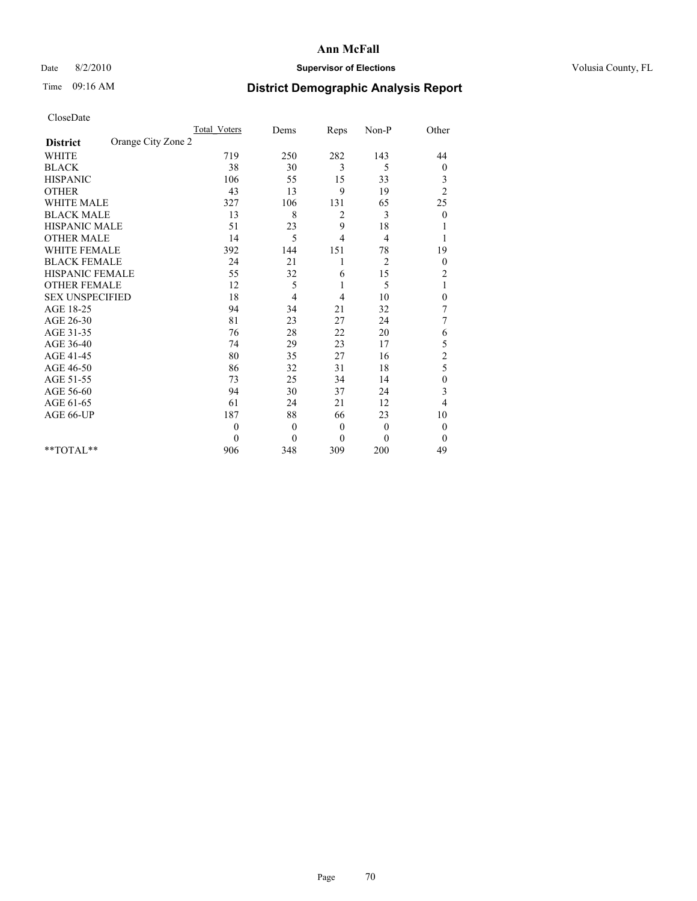#### Date 8/2/2010 **Supervisor of Elections Supervisor of Elections** Volusia County, FL

## Time 09:16 AM **District Demographic Analysis Report**

|                                       | <b>Total Voters</b> | Dems         | Reps           | Non-P          | Other            |  |
|---------------------------------------|---------------------|--------------|----------------|----------------|------------------|--|
| Orange City Zone 2<br><b>District</b> |                     |              |                |                |                  |  |
| <b>WHITE</b>                          | 719                 | 250          | 282            | 143            | 44               |  |
| <b>BLACK</b>                          | 38                  | 30           | 3              | 5              | $\boldsymbol{0}$ |  |
| <b>HISPANIC</b>                       | 106                 | 55           | 15             | 33             | 3                |  |
| <b>OTHER</b>                          | 43                  | 13           | 9              | 19             | $\overline{c}$   |  |
| <b>WHITE MALE</b>                     | 327                 | 106          | 131            | 65             | 25               |  |
| <b>BLACK MALE</b>                     | 13                  | 8            | 2              | 3              | $\mathbf{0}$     |  |
| HISPANIC MALE                         | 51                  | 23           | 9              | 18             |                  |  |
| <b>OTHER MALE</b>                     | 14                  | 5            | $\overline{4}$ | 4              |                  |  |
| <b>WHITE FEMALE</b>                   | 392                 | 144          | 151            | 78             | 19               |  |
| <b>BLACK FEMALE</b>                   | 24                  | 21           |                | $\overline{2}$ | $\boldsymbol{0}$ |  |
| HISPANIC FEMALE                       | 55                  | 32           | 6              | 15             | $\overline{c}$   |  |
| <b>OTHER FEMALE</b>                   | 12                  | 5            | 1              | 5              | 1                |  |
| <b>SEX UNSPECIFIED</b>                | 18                  | 4            | 4              | 10             | $\boldsymbol{0}$ |  |
| AGE 18-25                             | 94                  | 34           | 21             | 32             | 7                |  |
| AGE 26-30                             | 81                  | 23           | 27             | 24             | 7                |  |
| AGE 31-35                             | 76                  | 28           | 22             | 20             | 6                |  |
| AGE 36-40                             | 74                  | 29           | 23             | 17             | 5                |  |
| AGE 41-45                             | 80                  | 35           | 27             | 16             | $\overline{c}$   |  |
| AGE 46-50                             | 86                  | 32           | 31             | 18             | 5                |  |
| AGE 51-55                             | 73                  | 25           | 34             | 14             | 0                |  |
| AGE 56-60                             | 94                  | 30           | 37             | 24             | 3                |  |
| AGE 61-65                             | 61                  | 24           | 21             | 12             | 4                |  |
| AGE 66-UP                             | 187                 | 88           | 66             | 23             | 10               |  |
|                                       | $\theta$            | $\theta$     | $\theta$       | $\mathbf{0}$   | $\mathbf{0}$     |  |
|                                       | $\theta$            | $\mathbf{0}$ | $\mathbf{0}$   | $\mathbf{0}$   | $\mathbf{0}$     |  |
| $*$ TOTAL $*$                         | 906                 | 348          | 309            | 200            | 49               |  |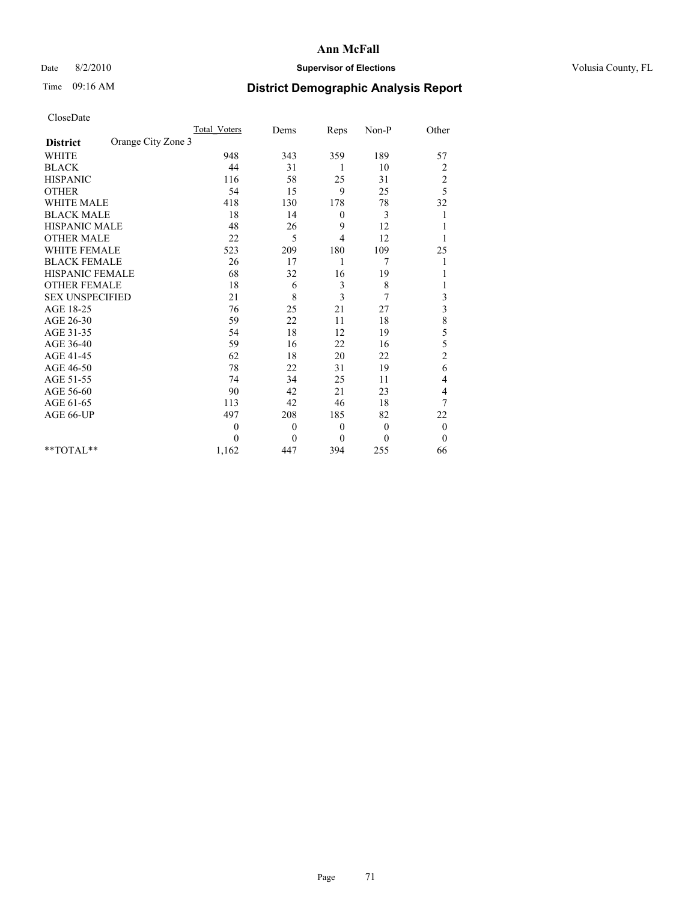## Date 8/2/2010 **Supervisor of Elections Supervisor of Elections** Volusia County, FL

# Time 09:16 AM **District Demographic Analysis Report**

|                                       | Total Voters | Dems     | Reps         | Non-P    | Other                   |  |
|---------------------------------------|--------------|----------|--------------|----------|-------------------------|--|
| Orange City Zone 3<br><b>District</b> |              |          |              |          |                         |  |
| <b>WHITE</b>                          | 948          | 343      | 359          | 189      | 57                      |  |
| <b>BLACK</b>                          | 44           | 31       | 1            | 10       | $\overline{\mathbf{c}}$ |  |
| <b>HISPANIC</b>                       | 116          | 58       | 25           | 31       | $\overline{\mathbf{c}}$ |  |
| <b>OTHER</b>                          | 54           | 15       | 9            | 25       | 5                       |  |
| <b>WHITE MALE</b>                     | 418          | 130      | 178          | 78       | 32                      |  |
| <b>BLACK MALE</b>                     | 18           | 14       | $\mathbf{0}$ | 3        | 1                       |  |
| HISPANIC MALE                         | 48           | 26       | 9            | 12       |                         |  |
| <b>OTHER MALE</b>                     | 22           | 5        | 4            | 12       |                         |  |
| <b>WHITE FEMALE</b>                   | 523          | 209      | 180          | 109      | 25                      |  |
| <b>BLACK FEMALE</b>                   | 26           | 17       | 1            | 7        |                         |  |
| HISPANIC FEMALE                       | 68           | 32       | 16           | 19       |                         |  |
| <b>OTHER FEMALE</b>                   | 18           | 6        | 3            | 8        |                         |  |
| <b>SEX UNSPECIFIED</b>                | 21           | 8        | 3            | 7        | 3                       |  |
| AGE 18-25                             | 76           | 25       | 21           | 27       | $\overline{3}$          |  |
| AGE 26-30                             | 59           | 22       | 11           | 18       | 8                       |  |
| AGE 31-35                             | 54           | 18       | 12           | 19       | 5                       |  |
| AGE 36-40                             | 59           | 16       | 22           | 16       | 5                       |  |
| AGE 41-45                             | 62           | 18       | 20           | 22       | $\overline{c}$          |  |
| AGE 46-50                             | 78           | 22       | 31           | 19       | 6                       |  |
| AGE 51-55                             | 74           | 34       | 25           | 11       | 4                       |  |
| AGE 56-60                             | 90           | 42       | 21           | 23       | 4                       |  |
| AGE 61-65                             | 113          | 42       | 46           | 18       | 7                       |  |
| AGE 66-UP                             | 497          | 208      | 185          | 82       | 22                      |  |
|                                       | $\theta$     | $\theta$ | $\mathbf{0}$ | $\theta$ | $\boldsymbol{0}$        |  |
|                                       | $\theta$     | $\theta$ | $\mathbf{0}$ | $\theta$ | $\overline{0}$          |  |
| **TOTAL**                             | 1,162        | 447      | 394          | 255      | 66                      |  |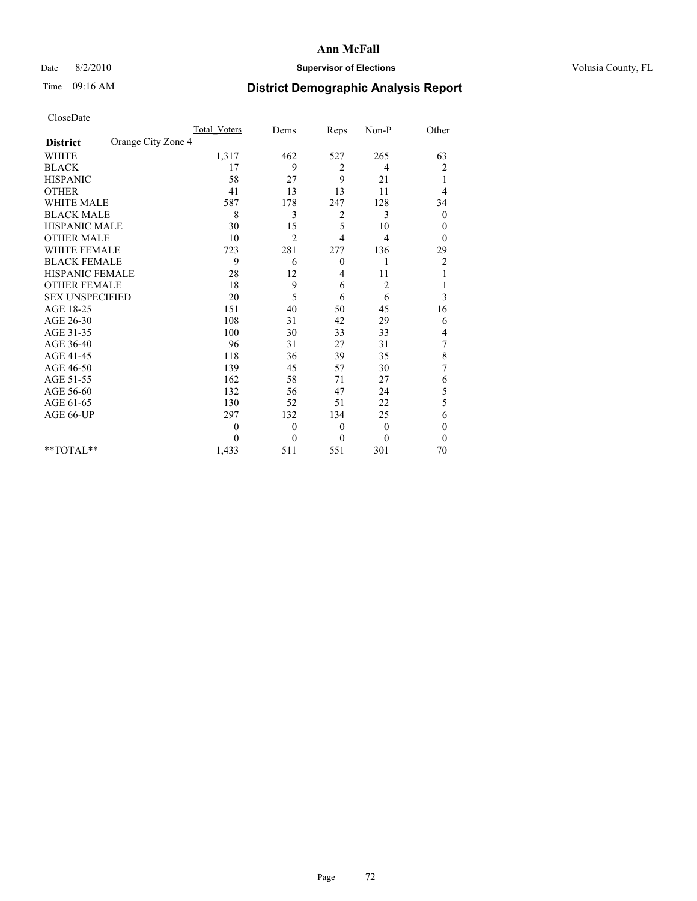## Date 8/2/2010 **Supervisor of Elections Supervisor of Elections** Volusia County, FL

## Time 09:16 AM **District Demographic Analysis Report**

|                                       | <b>Total Voters</b> | Dems           | Reps           | Non-P          | Other            |
|---------------------------------------|---------------------|----------------|----------------|----------------|------------------|
| Orange City Zone 4<br><b>District</b> |                     |                |                |                |                  |
| <b>WHITE</b>                          | 1,317               | 462            | 527            | 265            | 63               |
| <b>BLACK</b>                          | 17                  | 9              | 2              | 4              | 2                |
| <b>HISPANIC</b>                       | 58                  | 27             | 9              | 21             | 1                |
| <b>OTHER</b>                          | 41                  | 13             | 13             | 11             | 4                |
| <b>WHITE MALE</b>                     | 587                 | 178            | 247            | 128            | 34               |
| <b>BLACK MALE</b>                     | 8                   | 3              | $\overline{c}$ | 3              | $\theta$         |
| HISPANIC MALE                         | 30                  | 15             | 5              | 10             | $\theta$         |
| <b>OTHER MALE</b>                     | 10                  | $\overline{c}$ | 4              | 4              | $\theta$         |
| <b>WHITE FEMALE</b>                   | 723                 | 281            | 277            | 136            | 29               |
| <b>BLACK FEMALE</b>                   | 9                   | 6              | $\theta$       | 1              | 2                |
| <b>HISPANIC FEMALE</b>                | 28                  | 12             | 4              | 11             |                  |
| <b>OTHER FEMALE</b>                   | 18                  | 9              | 6              | $\overline{c}$ |                  |
| <b>SEX UNSPECIFIED</b>                | 20                  | 5              | 6              | 6              | 3                |
| AGE 18-25                             | 151                 | 40             | 50             | 45             | 16               |
| AGE 26-30                             | 108                 | 31             | 42             | 29             | 6                |
| AGE 31-35                             | 100                 | 30             | 33             | 33             | 4                |
| AGE 36-40                             | 96                  | 31             | 27             | 31             | 7                |
| AGE 41-45                             | 118                 | 36             | 39             | 35             | 8                |
| AGE 46-50                             | 139                 | 45             | 57             | 30             | 7                |
| AGE 51-55                             | 162                 | 58             | 71             | 27             | 6                |
| AGE 56-60                             | 132                 | 56             | 47             | 24             | 5                |
| AGE 61-65                             | 130                 | 52             | 51             | 22             | 5                |
| AGE 66-UP                             | 297                 | 132            | 134            | 25             | 6                |
|                                       | $\theta$            | $\theta$       | $\mathbf{0}$   | $\theta$       | $\boldsymbol{0}$ |
|                                       | $\Omega$            | $\Omega$       | $\theta$       | $\Omega$       | $\theta$         |
| $*$ TOTAL $*$                         | 1,433               | 511            | 551            | 301            | 70               |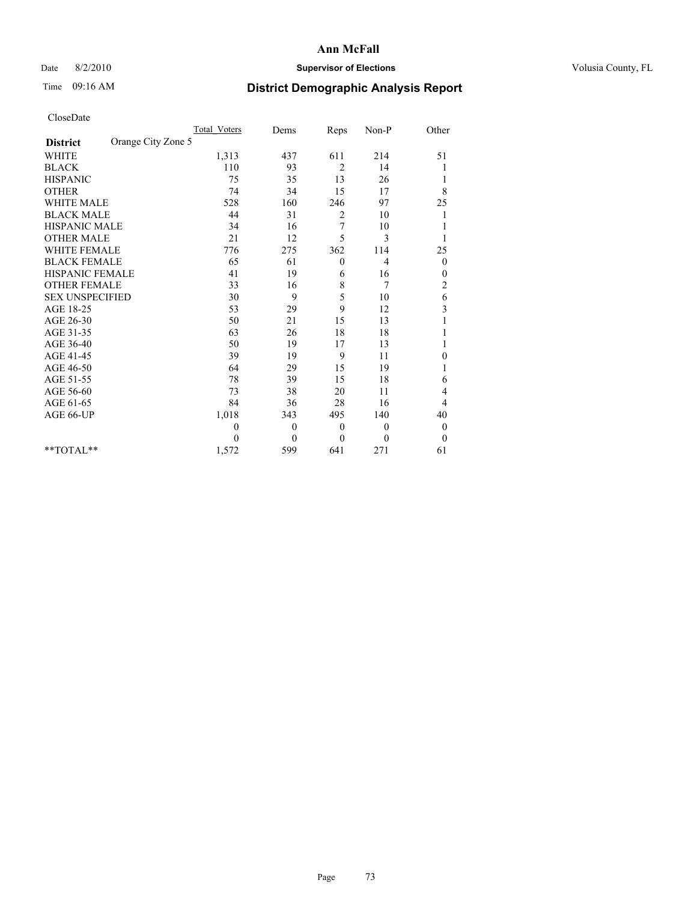## Date 8/2/2010 **Supervisor of Elections Supervisor of Elections** Volusia County, FL

## Time 09:16 AM **District Demographic Analysis Report**

|                                       | <b>Total Voters</b> | Dems           | Reps           | Non-P          | Other                   |
|---------------------------------------|---------------------|----------------|----------------|----------------|-------------------------|
| Orange City Zone 5<br><b>District</b> |                     |                |                |                |                         |
| <b>WHITE</b>                          | 1,313               | 437            | 611            | 214            | 51                      |
| <b>BLACK</b>                          | 110                 | 93             | $\overline{2}$ | 14             |                         |
| <b>HISPANIC</b>                       | 75                  | 35             | 13             | 26             | 1                       |
| <b>OTHER</b>                          | 74                  | 34             | 15             | 17             | 8                       |
| <b>WHITE MALE</b>                     | 528                 | 160            | 246            | 97             | 25                      |
| <b>BLACK MALE</b>                     | 44                  | 31             | 2              | 10             | 1                       |
| HISPANIC MALE                         | 34                  | 16             | 7              | 10             |                         |
| <b>OTHER MALE</b>                     | 21                  | 12             | 5              | 3              |                         |
| <b>WHITE FEMALE</b>                   | 776                 | 275            | 362            | 114            | 25                      |
| <b>BLACK FEMALE</b>                   | 65                  | 61             | $\mathbf{0}$   | 4              | $\boldsymbol{0}$        |
| HISPANIC FEMALE                       | 41                  | 19             | 6              | 16             | 0                       |
| <b>OTHER FEMALE</b>                   | 33                  | 16             | 8              | 7              | $\overline{c}$          |
| <b>SEX UNSPECIFIED</b>                | 30                  | 9              | 5              | 10             | 6                       |
| AGE 18-25                             | 53                  | 29             | 9              | 12             | $\overline{\mathbf{3}}$ |
| AGE 26-30                             | 50                  | 21             | 15             | 13             |                         |
| AGE 31-35                             | 63                  | 26             | 18             | 18             |                         |
| AGE 36-40                             | 50                  | 19             | 17             | 13             |                         |
| AGE 41-45                             | 39                  | 19             | 9              | 11             | 0                       |
| AGE 46-50                             | 64                  | 29             | 15             | 19             |                         |
| AGE 51-55                             | 78                  | 39             | 15             | 18             | 6                       |
| AGE 56-60                             | 73                  | 38             | 20             | 11             | 4                       |
| AGE 61-65                             | 84                  | 36             | 28             | 16             | 4                       |
| AGE 66-UP                             | 1,018               | 343            | 495            | 140            | 40                      |
|                                       | $\theta$            | $\theta$       | $\theta$       | $\overline{0}$ | $\boldsymbol{0}$        |
|                                       | $\theta$            | $\overline{0}$ | $\mathbf{0}$   | $\Omega$       | $\boldsymbol{0}$        |
| $*$ TOTAL $*$                         | 1,572               | 599            | 641            | 271            | 61                      |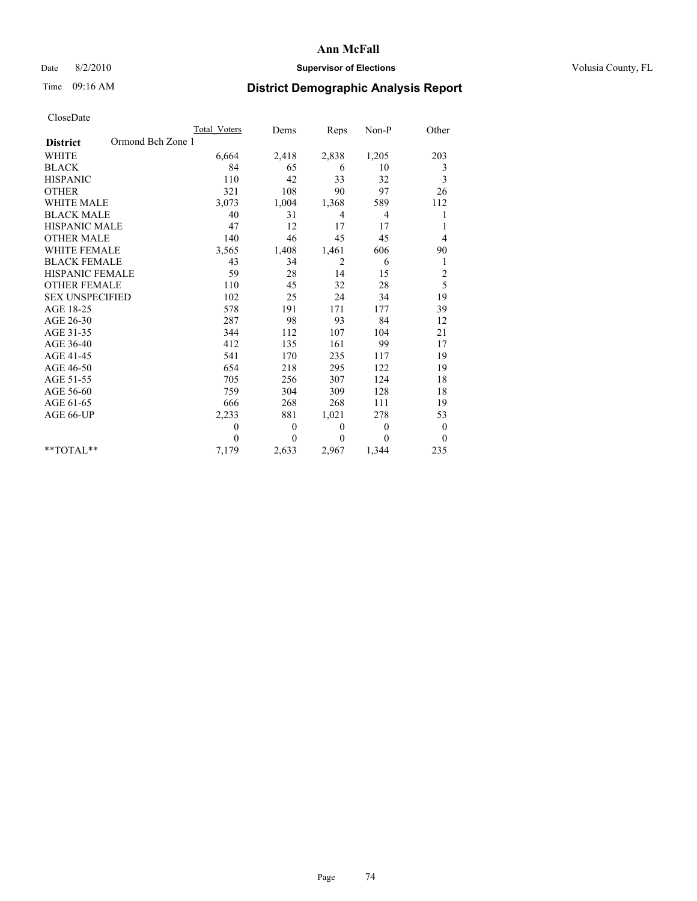## Date 8/2/2010 **Supervisor of Elections Supervisor of Elections** Volusia County, FL

# Time 09:16 AM **District Demographic Analysis Report**

|                                      | Total Voters | Dems     | Reps           | $Non-P$        | Other            |
|--------------------------------------|--------------|----------|----------------|----------------|------------------|
| Ormond Bch Zone 1<br><b>District</b> |              |          |                |                |                  |
| <b>WHITE</b>                         | 6,664        | 2,418    | 2,838          | 1,205          | 203              |
| <b>BLACK</b>                         | 84           | 65       | 6              | 10             | 3                |
| <b>HISPANIC</b>                      | 110          | 42       | 33             | 32             | 3                |
| <b>OTHER</b>                         | 321          | 108      | 90             | 97             | 26               |
| <b>WHITE MALE</b>                    | 3,073        | 1,004    | 1,368          | 589            | 112              |
| <b>BLACK MALE</b>                    | 40           | 31       | 4              | 4              |                  |
| <b>HISPANIC MALE</b>                 | 47           | 12       | 17             | 17             |                  |
| <b>OTHER MALE</b>                    | 140          | 46       | 45             | 45             | 4                |
| <b>WHITE FEMALE</b>                  | 3,565        | 1,408    | 1,461          | 606            | 90               |
| <b>BLACK FEMALE</b>                  | 43           | 34       | $\overline{2}$ | 6              | 1                |
| HISPANIC FEMALE                      | 59           | 28       | 14             | 15             | $\overline{c}$   |
| <b>OTHER FEMALE</b>                  | 110          | 45       | 32             | 28             | 5                |
| <b>SEX UNSPECIFIED</b>               | 102          | 25       | 24             | 34             | 19               |
| AGE 18-25                            | 578          | 191      | 171            | 177            | 39               |
| AGE 26-30                            | 287          | 98       | 93             | 84             | 12               |
| AGE 31-35                            | 344          | 112      | 107            | 104            | 21               |
| AGE 36-40                            | 412          | 135      | 161            | 99             | 17               |
| AGE 41-45                            | 541          | 170      | 235            | 117            | 19               |
| AGE 46-50                            | 654          | 218      | 295            | 122            | 19               |
| AGE 51-55                            | 705          | 256      | 307            | 124            | 18               |
| AGE 56-60                            | 759          | 304      | 309            | 128            | 18               |
| AGE 61-65                            | 666          | 268      | 268            | 111            | 19               |
| AGE 66-UP                            | 2,233        | 881      | 1,021          | 278            | 53               |
|                                      | $\theta$     | $\theta$ | $\mathbf{0}$   | $\overline{0}$ | $\boldsymbol{0}$ |
|                                      | $\Omega$     | $\theta$ | $\theta$       | $\Omega$       | $\theta$         |
| **TOTAL**                            | 7,179        | 2,633    | 2,967          | 1,344          | 235              |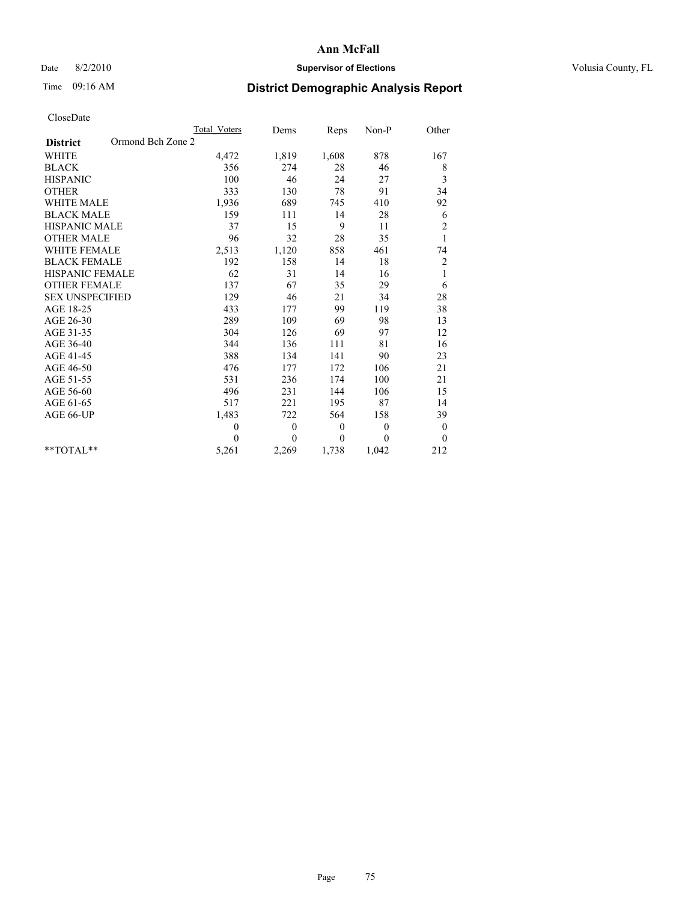## Date 8/2/2010 **Supervisor of Elections Supervisor of Elections** Volusia County, FL

# Time 09:16 AM **District Demographic Analysis Report**

|                                      | Total Voters | Dems     | Reps     | $Non-P$  | Other          |  |
|--------------------------------------|--------------|----------|----------|----------|----------------|--|
| Ormond Bch Zone 2<br><b>District</b> |              |          |          |          |                |  |
| <b>WHITE</b>                         | 4,472        | 1,819    | 1,608    | 878      | 167            |  |
| <b>BLACK</b>                         | 356          | 274      | 28       | 46       | 8              |  |
| <b>HISPANIC</b>                      | 100          | 46       | 24       | 27       | 3              |  |
| <b>OTHER</b>                         | 333          | 130      | 78       | 91       | 34             |  |
| <b>WHITE MALE</b>                    | 1,936        | 689      | 745      | 410      | 92             |  |
| <b>BLACK MALE</b>                    | 159          | 111      | 14       | 28       | 6              |  |
| HISPANIC MALE                        | 37           | 15       | 9        | 11       | $\overline{c}$ |  |
| <b>OTHER MALE</b>                    | 96           | 32       | 28       | 35       | $\mathbf{1}$   |  |
| WHITE FEMALE                         | 2,513        | 1,120    | 858      | 461      | 74             |  |
| <b>BLACK FEMALE</b>                  | 192          | 158      | 14       | 18       | $\overline{c}$ |  |
| HISPANIC FEMALE                      | 62           | 31       | 14       | 16       | $\mathbf{1}$   |  |
| <b>OTHER FEMALE</b>                  | 137          | 67       | 35       | 29       | 6              |  |
| <b>SEX UNSPECIFIED</b>               | 129          | 46       | 21       | 34       | 28             |  |
| AGE 18-25                            | 433          | 177      | 99       | 119      | 38             |  |
| AGE 26-30                            | 289          | 109      | 69       | 98       | 13             |  |
| AGE 31-35                            | 304          | 126      | 69       | 97       | 12             |  |
| AGE 36-40                            | 344          | 136      | 111      | 81       | 16             |  |
| AGE 41-45                            | 388          | 134      | 141      | 90       | 23             |  |
| AGE 46-50                            | 476          | 177      | 172      | 106      | 21             |  |
| AGE 51-55                            | 531          | 236      | 174      | 100      | 21             |  |
| AGE 56-60                            | 496          | 231      | 144      | 106      | 15             |  |
| AGE 61-65                            | 517          | 221      | 195      | 87       | 14             |  |
| AGE 66-UP                            | 1,483        | 722      | 564      | 158      | 39             |  |
|                                      | $\mathbf{0}$ | $\theta$ | $\theta$ | $\theta$ | $\mathbf{0}$   |  |
|                                      | $\theta$     | $\theta$ | $\Omega$ | $\theta$ | $\theta$       |  |
| $*$ $TOTAI.**$                       | 5,261        | 2,269    | 1,738    | 1,042    | 212            |  |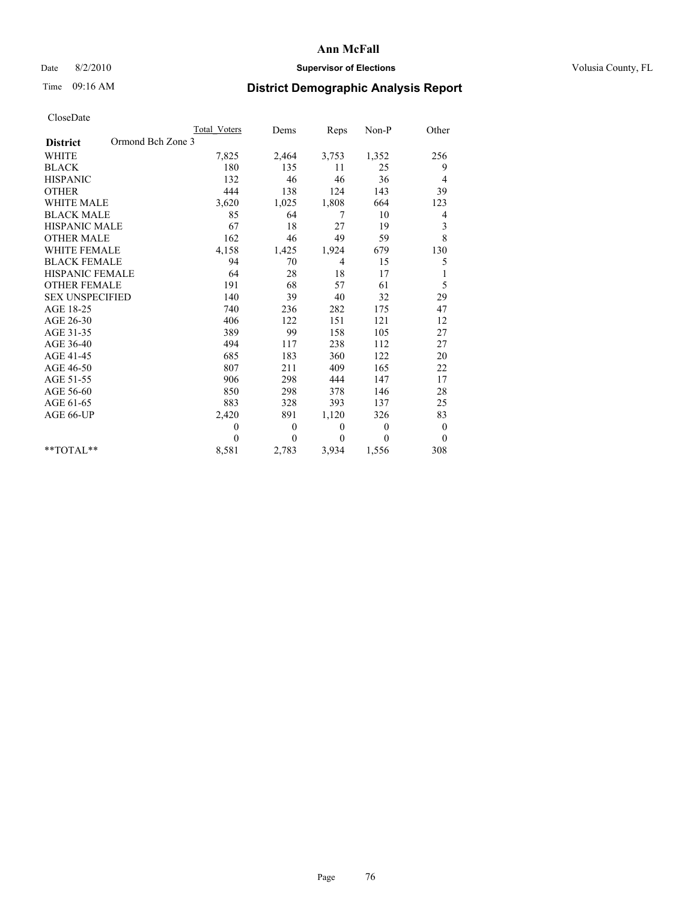## Date 8/2/2010 **Supervisor of Elections Supervisor of Elections** Volusia County, FL

## Time 09:16 AM **District Demographic Analysis Report**

|                                      | <b>Total Voters</b> | Dems         | Reps           | Non-P          | Other            |
|--------------------------------------|---------------------|--------------|----------------|----------------|------------------|
| Ormond Bch Zone 3<br><b>District</b> |                     |              |                |                |                  |
| <b>WHITE</b>                         | 7,825               | 2,464        | 3,753          | 1,352          | 256              |
| <b>BLACK</b>                         | 180                 | 135          | 11             | 25             | 9                |
| <b>HISPANIC</b>                      | 132                 | 46           | 46             | 36             | 4                |
| <b>OTHER</b>                         | 444                 | 138          | 124            | 143            | 39               |
| <b>WHITE MALE</b>                    | 3,620               | 1,025        | 1,808          | 664            | 123              |
| <b>BLACK MALE</b>                    | 85                  | 64           | 7              | 10             | 4                |
| <b>HISPANIC MALE</b>                 | 67                  | 18           | 27             | 19             | 3                |
| <b>OTHER MALE</b>                    | 162                 | 46           | 49             | 59             | 8                |
| <b>WHITE FEMALE</b>                  | 4,158               | 1,425        | 1,924          | 679            | 130              |
| <b>BLACK FEMALE</b>                  | 94                  | 70           | $\overline{4}$ | 15             | 5                |
| HISPANIC FEMALE                      | 64                  | 28           | 18             | 17             |                  |
| <b>OTHER FEMALE</b>                  | 191                 | 68           | 57             | 61             | 5                |
| <b>SEX UNSPECIFIED</b>               | 140                 | 39           | 40             | 32             | 29               |
| AGE 18-25                            | 740                 | 236          | 282            | 175            | 47               |
| AGE 26-30                            | 406                 | 122          | 151            | 121            | 12               |
| AGE 31-35                            | 389                 | 99           | 158            | 105            | 27               |
| AGE 36-40                            | 494                 | 117          | 238            | 112            | 27               |
| AGE 41-45                            | 685                 | 183          | 360            | 122            | 20               |
| AGE 46-50                            | 807                 | 211          | 409            | 165            | 22               |
| AGE 51-55                            | 906                 | 298          | 444            | 147            | 17               |
| AGE 56-60                            | 850                 | 298          | 378            | 146            | 28               |
| AGE 61-65                            | 883                 | 328          | 393            | 137            | 25               |
| AGE 66-UP                            | 2,420               | 891          | 1,120          | 326            | 83               |
|                                      | $\theta$            | $\mathbf{0}$ | $\theta$       | $\overline{0}$ | $\boldsymbol{0}$ |
|                                      | $\theta$            | $\theta$     | $\theta$       | $\theta$       | $\theta$         |
| $*$ TOTAL $*$                        | 8,581               | 2,783        | 3,934          | 1,556          | 308              |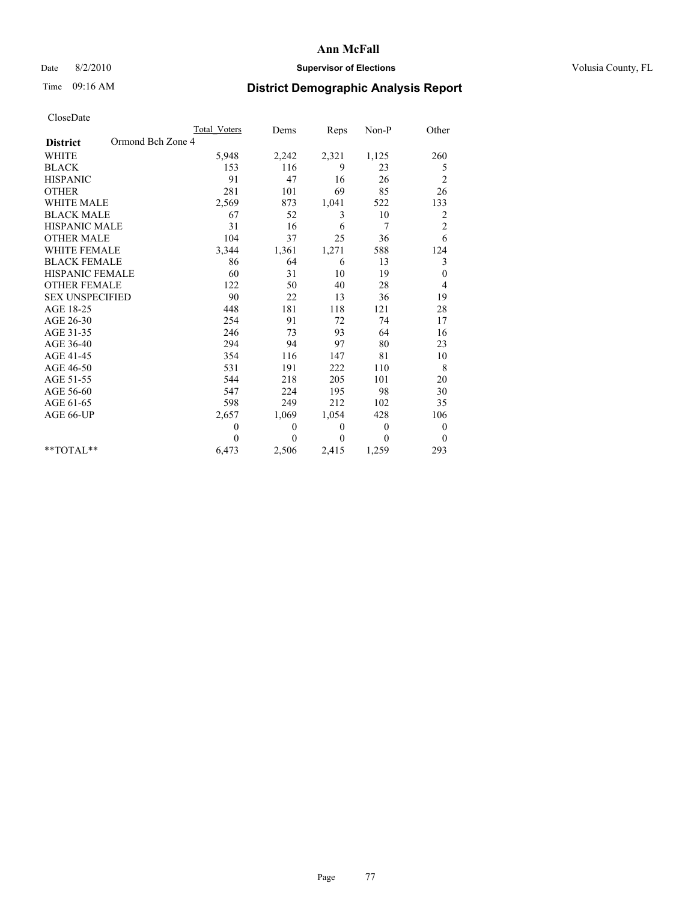## Date 8/2/2010 **Supervisor of Elections Supervisor of Elections** Volusia County, FL

## Time 09:16 AM **District Demographic Analysis Report**

|                                      | Total Voters | Dems         | Reps         | Non-P          | Other                   |
|--------------------------------------|--------------|--------------|--------------|----------------|-------------------------|
| Ormond Bch Zone 4<br><b>District</b> |              |              |              |                |                         |
| <b>WHITE</b>                         | 5,948        | 2,242        | 2,321        | 1,125          | 260                     |
| <b>BLACK</b>                         | 153          | 116          | 9            | 23             | 5                       |
| <b>HISPANIC</b>                      | 91           | 47           | 16           | 26             | $\overline{c}$          |
| <b>OTHER</b>                         | 281          | 101          | 69           | 85             | 26                      |
| <b>WHITE MALE</b>                    | 2,569        | 873          | 1,041        | 522            | 133                     |
| <b>BLACK MALE</b>                    | 67           | 52           | 3            | 10             | $\overline{\mathbf{c}}$ |
| <b>HISPANIC MALE</b>                 | 31           | 16           | 6            | 7              | $\overline{c}$          |
| <b>OTHER MALE</b>                    | 104          | 37           | 25           | 36             | 6                       |
| <b>WHITE FEMALE</b>                  | 3,344        | 1,361        | 1,271        | 588            | 124                     |
| <b>BLACK FEMALE</b>                  | 86           | 64           | 6            | 13             | 3                       |
| HISPANIC FEMALE                      | 60           | 31           | 10           | 19             | $\boldsymbol{0}$        |
| <b>OTHER FEMALE</b>                  | 122          | 50           | 40           | 28             | 4                       |
| <b>SEX UNSPECIFIED</b>               | 90           | 22           | 13           | 36             | 19                      |
| AGE 18-25                            | 448          | 181          | 118          | 121            | 28                      |
| AGE 26-30                            | 254          | 91           | 72           | 74             | 17                      |
| AGE 31-35                            | 246          | 73           | 93           | 64             | 16                      |
| AGE 36-40                            | 294          | 94           | 97           | 80             | 23                      |
| AGE 41-45                            | 354          | 116          | 147          | 81             | 10                      |
| AGE 46-50                            | 531          | 191          | 222          | 110            | 8                       |
| AGE 51-55                            | 544          | 218          | 205          | 101            | 20                      |
| AGE 56-60                            | 547          | 224          | 195          | 98             | 30                      |
| AGE 61-65                            | 598          | 249          | 212          | 102            | 35                      |
| AGE 66-UP                            | 2,657        | 1,069        | 1,054        | 428            | 106                     |
|                                      | $\theta$     | $\mathbf{0}$ | $\mathbf{0}$ | $\overline{0}$ | $\boldsymbol{0}$        |
|                                      | $\theta$     | $\theta$     | $\theta$     | $\theta$       | $\theta$                |
| $*$ TOTAL $*$                        | 6,473        | 2,506        | 2,415        | 1,259          | 293                     |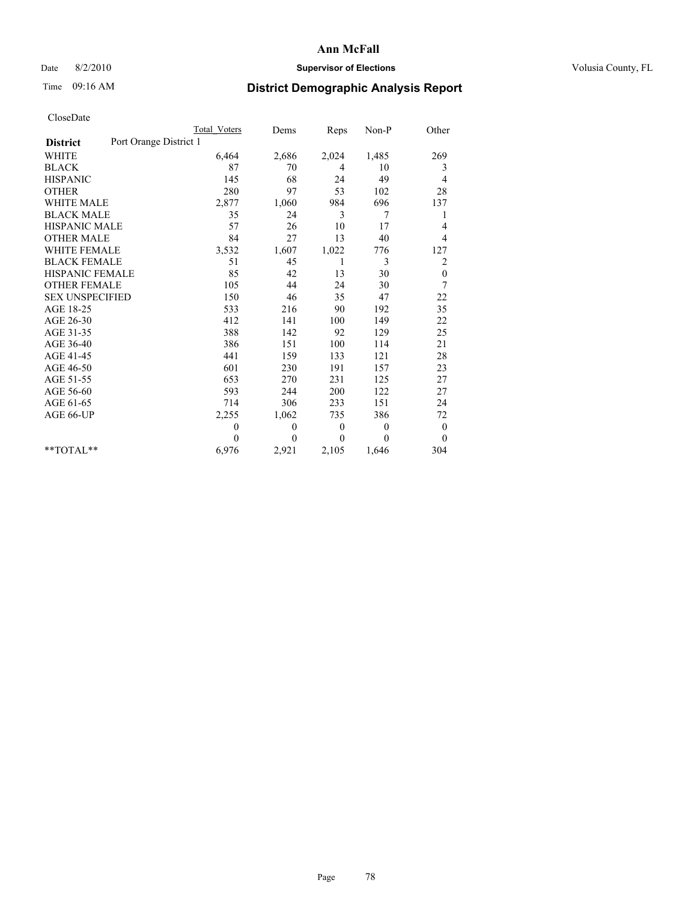## Date 8/2/2010 **Supervisor of Elections Supervisor of Elections** Volusia County, FL

## Time 09:16 AM **District Demographic Analysis Report**

|                                           | Total Voters | Dems           | <b>Reps</b>  | Non-P          | Other            |
|-------------------------------------------|--------------|----------------|--------------|----------------|------------------|
| Port Orange District 1<br><b>District</b> |              |                |              |                |                  |
| <b>WHITE</b>                              | 6,464        | 2,686          | 2,024        | 1,485          | 269              |
| <b>BLACK</b>                              | 87           | 70             | 4            | 10             | 3                |
| <b>HISPANIC</b>                           | 145          | 68             | 24           | 49             | 4                |
| <b>OTHER</b>                              | 280          | 97             | 53           | 102            | 28               |
| <b>WHITE MALE</b>                         | 2,877        | 1,060          | 984          | 696            | 137              |
| <b>BLACK MALE</b>                         | 35           | 24             | 3            | 7              | 1                |
| <b>HISPANIC MALE</b>                      | 57           | 26             | 10           | 17             | 4                |
| <b>OTHER MALE</b>                         | 84           | 27             | 13           | 40             | 4                |
| WHITE FEMALE                              | 3,532        | 1,607          | 1,022        | 776            | 127              |
| <b>BLACK FEMALE</b>                       | 51           | 45             | 1            | 3              | $\overline{c}$   |
| HISPANIC FEMALE                           | 85           | 42             | 13           | 30             | $\boldsymbol{0}$ |
| <b>OTHER FEMALE</b>                       | 105          | 44             | 24           | 30             | 7                |
| <b>SEX UNSPECIFIED</b>                    | 150          | 46             | 35           | 47             | 22               |
| AGE 18-25                                 | 533          | 216            | 90           | 192            | 35               |
| AGE 26-30                                 | 412          | 141            | 100          | 149            | 22               |
| AGE 31-35                                 | 388          | 142            | 92           | 129            | 25               |
| AGE 36-40                                 | 386          | 151            | 100          | 114            | 21               |
| AGE 41-45                                 | 441          | 159            | 133          | 121            | 28               |
| AGE 46-50                                 | 601          | 230            | 191          | 157            | 23               |
| AGE 51-55                                 | 653          | 270            | 231          | 125            | 27               |
| AGE 56-60                                 | 593          | 244            | 200          | 122            | 27               |
| AGE 61-65                                 | 714          | 306            | 233          | 151            | 24               |
| AGE 66-UP                                 | 2,255        | 1,062          | 735          | 386            | 72               |
|                                           | $\theta$     | $\theta$       | $\mathbf{0}$ | $\overline{0}$ | $\mathbf{0}$     |
|                                           | $\theta$     | $\overline{0}$ | $\Omega$     | $\theta$       | $\mathbf{0}$     |
| $*$ $TOTAI.**$                            | 6,976        | 2,921          | 2,105        | 1,646          | 304              |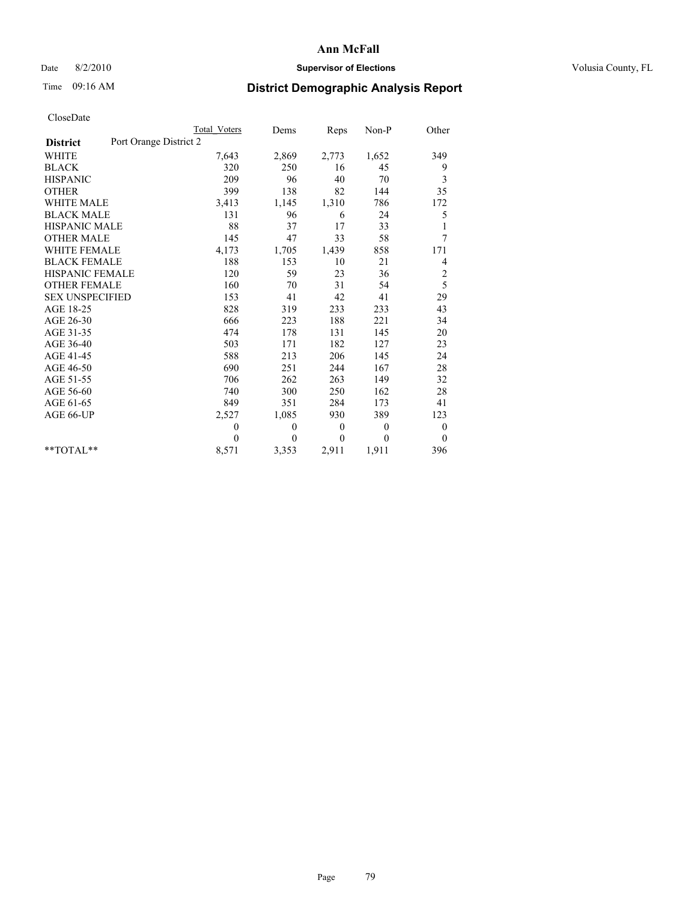## Date 8/2/2010 **Supervisor of Elections Supervisor of Elections** Volusia County, FL

# Time 09:16 AM **District Demographic Analysis Report**

|                                           | Total Voters   | Dems             | Reps             | Non-P        | Other            |
|-------------------------------------------|----------------|------------------|------------------|--------------|------------------|
| Port Orange District 2<br><b>District</b> |                |                  |                  |              |                  |
| <b>WHITE</b>                              | 7,643          | 2,869            | 2,773            | 1,652        | 349              |
| <b>BLACK</b>                              | 320            | 250              | 16               | 45           | 9                |
| <b>HISPANIC</b>                           | 209            | 96               | 40               | 70           | 3                |
| <b>OTHER</b>                              | 399            | 138              | 82               | 144          | 35               |
| WHITE MALE                                | 3,413          | 1,145            | 1,310            | 786          | 172              |
| <b>BLACK MALE</b>                         | 131            | 96               | 6                | 24           | 5                |
| <b>HISPANIC MALE</b>                      | $88\,$         | 37               | 17               | 33           |                  |
| <b>OTHER MALE</b>                         | 145            | 47               | 33               | 58           | 7                |
| <b>WHITE FEMALE</b>                       | 4,173          | 1,705            | 1,439            | 858          | 171              |
| <b>BLACK FEMALE</b>                       | 188            | 153              | 10               | 21           | 4                |
| <b>HISPANIC FEMALE</b>                    | 120            | 59               | 23               | 36           | $\overline{c}$   |
| <b>OTHER FEMALE</b>                       | 160            | 70               | 31               | 54           | 5                |
| <b>SEX UNSPECIFIED</b>                    | 153            | 41               | 42               | 41           | 29               |
| AGE 18-25                                 | 828            | 319              | 233              | 233          | 43               |
| AGE 26-30                                 | 666            | 223              | 188              | 221          | 34               |
| AGE 31-35                                 | 474            | 178              | 131              | 145          | 20               |
| AGE 36-40                                 | 503            | 171              | 182              | 127          | 23               |
| AGE 41-45                                 | 588            | 213              | 206              | 145          | 24               |
| AGE 46-50                                 | 690            | 251              | 244              | 167          | 28               |
| AGE 51-55                                 | 706            | 262              | 263              | 149          | 32               |
| AGE 56-60                                 | 740            | 300              | 250              | 162          | 28               |
| AGE 61-65                                 | 849            | 351              | 284              | 173          | 41               |
| AGE 66-UP                                 | 2,527          | 1,085            | 930              | 389          | 123              |
|                                           | $\overline{0}$ | $\boldsymbol{0}$ | $\boldsymbol{0}$ | $\mathbf{0}$ | $\boldsymbol{0}$ |
|                                           | $\Omega$       | $\theta$         | $\theta$         | $\theta$     | $\theta$         |
| $*$ $TOTAI.**$                            | 8,571          | 3,353            | 2,911            | 1,911        | 396              |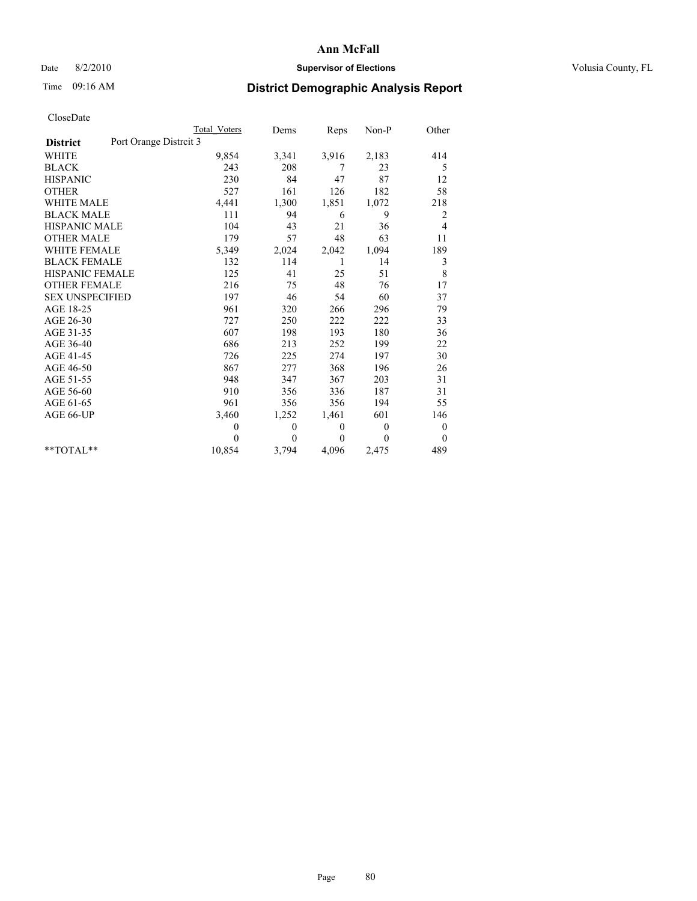### Date 8/2/2010 **Supervisor of Elections Supervisor of Elections** Volusia County, FL

# Time 09:16 AM **District Demographic Analysis Report**

|                                           | <b>Total Voters</b> | Dems           | Reps         | $Non-P$  | Other            |
|-------------------------------------------|---------------------|----------------|--------------|----------|------------------|
| Port Orange Distrcit 3<br><b>District</b> |                     |                |              |          |                  |
| <b>WHITE</b>                              | 9,854               | 3,341          | 3,916        | 2,183    | 414              |
| <b>BLACK</b>                              | 243                 | 208            | 7            | 23       | 5                |
| <b>HISPANIC</b>                           | 230                 | 84             | 47           | 87       | 12               |
| <b>OTHER</b>                              | 527                 | 161            | 126          | 182      | 58               |
| <b>WHITE MALE</b>                         | 4,441               | 1,300          | 1,851        | 1,072    | 218              |
| <b>BLACK MALE</b>                         | 111                 | 94             | 6            | 9        | 2                |
| <b>HISPANIC MALE</b>                      | 104                 | 43             | 21           | 36       | 4                |
| <b>OTHER MALE</b>                         | 179                 | 57             | 48           | 63       | 11               |
| <b>WHITE FEMALE</b>                       | 5,349               | 2,024          | 2,042        | 1,094    | 189              |
| <b>BLACK FEMALE</b>                       | 132                 | 114            | 1            | 14       | 3                |
| HISPANIC FEMALE                           | 125                 | 41             | 25           | 51       | 8                |
| <b>OTHER FEMALE</b>                       | 216                 | 75             | 48           | 76       | 17               |
| <b>SEX UNSPECIFIED</b>                    | 197                 | 46             | 54           | 60       | 37               |
| AGE 18-25                                 | 961                 | 320            | 266          | 296      | 79               |
| AGE 26-30                                 | 727                 | 250            | 222          | 222      | 33               |
| AGE 31-35                                 | 607                 | 198            | 193          | 180      | 36               |
| AGE 36-40                                 | 686                 | 213            | 252          | 199      | 22               |
| AGE 41-45                                 | 726                 | 225            | 274          | 197      | 30               |
| AGE 46-50                                 | 867                 | 277            | 368          | 196      | 26               |
| AGE 51-55                                 | 948                 | 347            | 367          | 203      | 31               |
| AGE 56-60                                 | 910                 | 356            | 336          | 187      | 31               |
| AGE 61-65                                 | 961                 | 356            | 356          | 194      | 55               |
| AGE 66-UP                                 | 3,460               | 1,252          | 1,461        | 601      | 146              |
|                                           | $\overline{0}$      | 0              | $\mathbf{0}$ | $\theta$ | $\boldsymbol{0}$ |
|                                           | $\Omega$            | $\overline{0}$ | $\theta$     | $\theta$ | $\overline{0}$   |
| $*$ $TOTAI.**$                            | 10,854              | 3,794          | 4,096        | 2,475    | 489              |